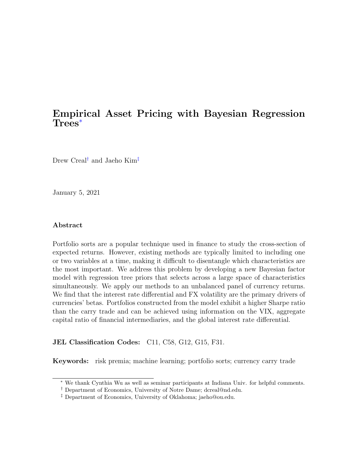## Empirical Asset Pricing with Bayesian Regression Trees[∗](#page-0-0)

Drew Creal<sup>[†](#page-0-1)</sup> and Jaeho Kim<sup>[‡](#page-0-2)</sup>

January 5, 2021

### Abstract

Portfolio sorts are a popular technique used in finance to study the cross-section of expected returns. However, existing methods are typically limited to including one or two variables at a time, making it difficult to disentangle which characteristics are the most important. We address this problem by developing a new Bayesian factor model with regression tree priors that selects across a large space of characteristics simultaneously. We apply our methods to an unbalanced panel of currency returns. We find that the interest rate differential and FX volatility are the primary drivers of currencies' betas. Portfolios constructed from the model exhibit a higher Sharpe ratio than the carry trade and can be achieved using information on the VIX, aggregate capital ratio of financial intermediaries, and the global interest rate differential.

### JEL Classification Codes: C11, C58, G12, G15, F31.

Keywords: risk premia; machine learning; portfolio sorts; currency carry trade

<span id="page-0-0"></span><sup>∗</sup> We thank Cynthia Wu as well as seminar participants at Indiana Univ. for helpful comments.

<span id="page-0-1"></span><sup>†</sup> Department of Economics, University of Notre Dame; dcreal@nd.edu.

<span id="page-0-2"></span><sup>‡</sup> Department of Economics, University of Oklahoma; jaeho@ou.edu.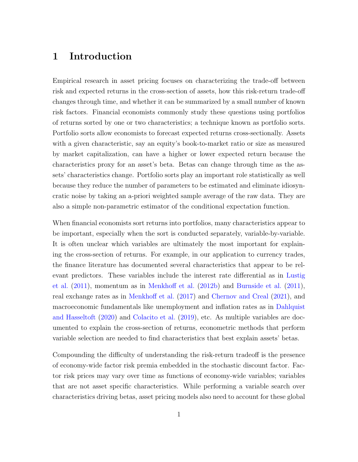## 1 Introduction

Empirical research in asset pricing focuses on characterizing the trade-off between risk and expected returns in the cross-section of assets, how this risk-return trade-off changes through time, and whether it can be summarized by a small number of known risk factors. Financial economists commonly study these questions using portfolios of returns sorted by one or two characteristics; a technique known as portfolio sorts. Portfolio sorts allow economists to forecast expected returns cross-sectionally. Assets with a given characteristic, say an equity's book-to-market ratio or size as measured by market capitalization, can have a higher or lower expected return because the characteristics proxy for an asset's beta. Betas can change through time as the assets' characteristics change. Portfolio sorts play an important role statistically as well because they reduce the number of parameters to be estimated and eliminate idiosyncratic noise by taking an a-priori weighted sample average of the raw data. They are also a simple non-parametric estimator of the conditional expectation function.

When financial economists sort returns into portfolios, many characteristics appear to be important, especially when the sort is conducted separately, variable-by-variable. It is often unclear which variables are ultimately the most important for explaining the cross-section of returns. For example, in our application to currency trades, the finance literature has documented several characteristics that appear to be relevant predictors. These variables include the interest rate differential as in [Lustig](#page-47-0) [et al.](#page-47-0) [\(2011\)](#page-47-0), momentum as in [Menkhoff et al.](#page-47-1) [\(2012b\)](#page-47-1) and [Burnside et al.](#page-44-0) [\(2011\)](#page-44-0), real exchange rates as in [Menkhoff et al.](#page-48-0) [\(2017\)](#page-48-0) and [Chernov and Creal](#page-45-0) [\(2021\)](#page-45-0), and macroeconomic fundamentals like unemployment and inflation rates as in [Dahlquist](#page-46-0) [and Hasseltoft](#page-46-0) [\(2020\)](#page-46-0) and [Colacito et al.](#page-45-1) [\(2019\)](#page-45-1), etc. As multiple variables are documented to explain the cross-section of returns, econometric methods that perform variable selection are needed to find characteristics that best explain assets' betas.

Compounding the difficulty of understanding the risk-return tradeoff is the presence of economy-wide factor risk premia embedded in the stochastic discount factor. Factor risk prices may vary over time as functions of economy-wide variables; variables that are not asset specific characteristics. While performing a variable search over characteristics driving betas, asset pricing models also need to account for these global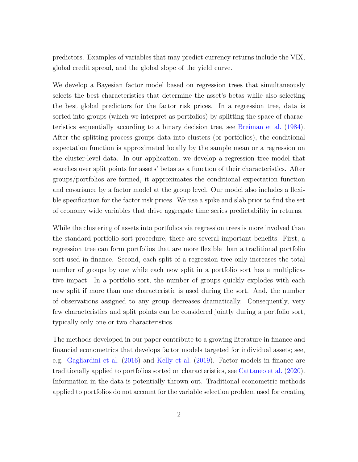predictors. Examples of variables that may predict currency returns include the VIX, global credit spread, and the global slope of the yield curve.

We develop a Bayesian factor model based on regression trees that simultaneously selects the best characteristics that determine the asset's betas while also selecting the best global predictors for the factor risk prices. In a regression tree, data is sorted into groups (which we interpret as portfolios) by splitting the space of characteristics sequentially according to a binary decision tree, see [Breiman et al.](#page-44-1) [\(1984\)](#page-44-1). After the splitting process groups data into clusters (or portfolios), the conditional expectation function is approximated locally by the sample mean or a regression on the cluster-level data. In our application, we develop a regression tree model that searches over split points for assets' betas as a function of their characteristics. After groups/portfolios are formed, it approximates the conditional expectation function and covariance by a factor model at the group level. Our model also includes a flexible specification for the factor risk prices. We use a spike and slab prior to find the set of economy wide variables that drive aggregate time series predictability in returns.

While the clustering of assets into portfolios via regression trees is more involved than the standard portfolio sort procedure, there are several important benefits. First, a regression tree can form portfolios that are more flexible than a traditional portfolio sort used in finance. Second, each split of a regression tree only increases the total number of groups by one while each new split in a portfolio sort has a multiplicative impact. In a portfolio sort, the number of groups quickly explodes with each new split if more than one characteristic is used during the sort. And, the number of observations assigned to any group decreases dramatically. Consequently, very few characteristics and split points can be considered jointly during a portfolio sort, typically only one or two characteristics.

The methods developed in our paper contribute to a growing literature in finance and financial econometrics that develops factor models targeted for individual assets; see, e.g. [Gagliardini et al.](#page-46-1) [\(2016\)](#page-46-1) and [Kelly et al.](#page-47-2) [\(2019\)](#page-47-2). Factor models in finance are traditionally applied to portfolios sorted on characteristics, see [Cattaneo et al.](#page-45-2) [\(2020\)](#page-45-2). Information in the data is potentially thrown out. Traditional econometric methods applied to portfolios do not account for the variable selection problem used for creating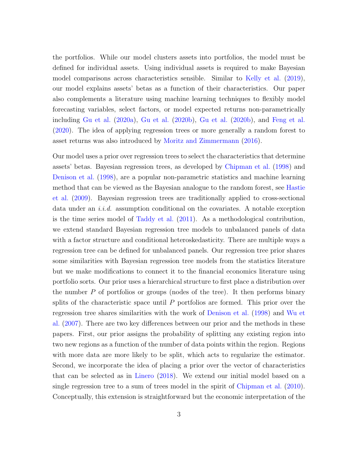the portfolios. While our model clusters assets into portfolios, the model must be defined for individual assets. Using individual assets is required to make Bayesian model comparisons across characteristics sensible. Similar to [Kelly et al.](#page-47-2) [\(2019\)](#page-47-2), our model explains assets' betas as a function of their characteristics. Our paper also complements a literature using machine learning techniques to flexibly model forecasting variables, select factors, or model expected returns non-parametrically including [Gu et al.](#page-46-2) [\(2020a\)](#page-46-2), [Gu et al.](#page-46-3) [\(2020b\)](#page-46-3), [Gu et al.](#page-46-3) [\(2020b\)](#page-46-3), and [Feng et al.](#page-46-4) [\(2020\)](#page-46-4). The idea of applying regression trees or more generally a random forest to asset returns was also introduced by [Moritz and Zimmermann](#page-48-1) [\(2016\)](#page-48-1).

Our model uses a prior over regression trees to select the characteristics that determine assets' betas. Bayesian regression trees, as developed by [Chipman et al.](#page-45-3) [\(1998\)](#page-45-3) and [Denison et al.](#page-46-5) [\(1998\)](#page-46-5), are a popular non-parametric statistics and machine learning method that can be viewed as the Bayesian analogue to the random forest, see [Hastie](#page-46-6) [et al.](#page-46-6) [\(2009\)](#page-46-6). Bayesian regression trees are traditionally applied to cross-sectional data under an *i.i.d.* assumption conditional on the covariates. A notable exception is the time series model of [Taddy et al.](#page-48-2) [\(2011\)](#page-48-2). As a methodological contribution, we extend standard Bayesian regression tree models to unbalanced panels of data with a factor structure and conditional heteroskedasticity. There are multiple ways a regression tree can be defined for unbalanced panels. Our regression tree prior shares some similarities with Bayesian regression tree models from the statistics literature but we make modifications to connect it to the financial economics literature using portfolio sorts. Our prior uses a hierarchical structure to first place a distribution over the number P of portfolios or groups (nodes of the tree). It then performs binary splits of the characteristic space until P portfolios are formed. This prior over the regression tree shares similarities with the work of [Denison et al.](#page-46-5) [\(1998\)](#page-46-5) and [Wu et](#page-48-3) [al.](#page-48-3) [\(2007\)](#page-48-3). There are two key differences between our prior and the methods in these papers. First, our prior assigns the probability of splitting any existing region into two new regions as a function of the number of data points within the region. Regions with more data are more likely to be split, which acts to regularize the estimator. Second, we incorporate the idea of placing a prior over the vector of characteristics that can be selected as in [Linero](#page-47-3) [\(2018\)](#page-47-3). We extend our initial model based on a single regression tree to a sum of trees model in the spirit of [Chipman et al.](#page-45-4) [\(2010\)](#page-45-4). Conceptually, this extension is straightforward but the economic interpretation of the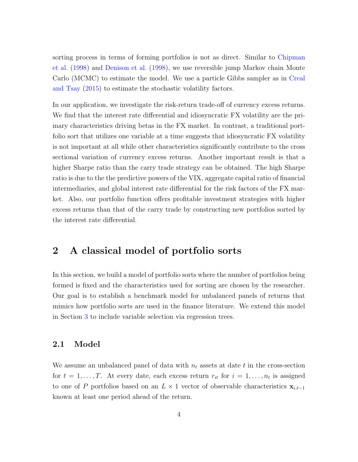sorting process in terms of forming portfolios is not as direct. Similar to [Chipman](#page-45-3) [et al.](#page-45-3) [\(1998\)](#page-45-3) and [Denison et al.](#page-46-5) [\(1998\)](#page-46-5), we use reversible jump Markov chain Monte Carlo (MCMC) to estimate the model. We use a particle Gibbs sampler as in [Creal](#page-45-5) [and Tsay](#page-45-5) [\(2015\)](#page-45-5) to estimate the stochastic volatility factors.

In our application, we investigate the risk-return trade-off of currency excess returns. We find that the interest rate differential and idiosyncratic FX volatility are the primary characteristics driving betas in the FX market. In contrast, a traditional portfolio sort that utilizes one variable at a time suggests that idiosyncratic FX volatility is not important at all while other characteristics significantly contribute to the cross sectional variation of currency excess returns. Another important result is that a higher Sharpe ratio than the carry trade strategy can be obtained. The high Sharpe ratio is due to the the predictive powers of the VIX, aggregate capital ratio of financial intermediaries, and global interest rate differential for the risk factors of the FX market. Also, our portfolio function offers profitable investment strategies with higher excess returns than that of the carry trade by constructing new portfolios sorted by the interest rate differential.

## 2 A classical model of portfolio sorts

In this section, we build a model of portfolio sorts where the number of portfolios being formed is fixed and the characteristics used for sorting are chosen by the researcher. Our goal is to establish a benchmark model for unbalanced panels of returns that mimics how portfolio sorts are used in the finance literature. We extend this model in Section [3](#page-9-0) to include variable selection via regression trees.

### 2.1 Model

We assume an unbalanced panel of data with  $n_t$  assets at date t in the cross-section for  $t = 1, \ldots, T$ . At every date, each excess return  $r_{it}$  for  $i = 1, \ldots, n_t$  is assigned to one of P portfolios based on an  $L \times 1$  vector of observable characteristics  $\mathbf{x}_{i,t-1}$ known at least one period ahead of the return.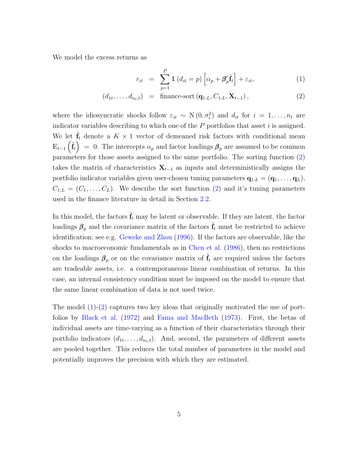We model the excess returns as

<span id="page-5-0"></span>
$$
r_{it} = \sum_{p=1}^{P} \mathbb{1} \left( d_{it} = p \right) \left[ \alpha_p + \beta'_p \tilde{\mathbf{f}}_t \right] + \varepsilon_{it}, \tag{1}
$$

$$
(d_{1t},\ldots,d_{n_t,t}) = \text{ finance-sort}(\mathbf{q}_{1:L},C_{1:L},\mathbf{X}_{t-1}),
$$
\n(2)

where the idiosyncratic shocks follow  $\varepsilon_{it} \sim N(0, \sigma_i^2)$  and  $d_{it}$  for  $i = 1, \ldots, n_t$  are indicator variables describing to which one of the  $P$  portfolios that asset  $i$  is assigned. We let  $\tilde{\mathbf{f}}_t$  denote a  $K \times 1$  vector of demeaned risk factors with conditional mean  $\mathbb{E}_{t-1}(\tilde{\mathbf{f}}_t) = 0.$  The intercepts  $\alpha_p$  and factor loadings  $\beta_p$  are assumed to be common parameters for those assets assigned to the same portfolio. The sorting function [\(2\)](#page-5-0) takes the matrix of characteristics  $X_{t-1}$  as inputs and deterministically assigns the portfolio indicator variables given user-chosen tuning parameters  $\mathbf{q}_{1:L} = (\mathbf{q}_1, \ldots, \mathbf{q}_L)$ ,  $C_{1:L} = (C_1, \ldots, C_L)$ . We describe the sort function [\(2\)](#page-5-0) and it's tuning parameters used in the finance literature in detail in Section [2.2.](#page-6-0)

In this model, the factors  $\tilde{\mathbf{f}}_t$  may be latent or observable. If they are latent, the factor loadings  $\beta_p$  and the covariance matrix of the factors  $\tilde{\mathbf{f}}_t$  must be restricted to achieve identification; see e.g. [Geweke and Zhou](#page-46-7) [\(1996\)](#page-46-7). If the factors are observable, like the shocks to macroeconomic fundamentals as in [Chen et al.](#page-45-6) [\(1986\)](#page-45-6), then no restrictions on the loadings  $\beta_p$  or on the covariance matrix of  $\tilde{f}_t$  are required unless the factors are tradeable assets, i.e. a contemporaneous linear combination of returns. In this case, an internal consistency condition must be imposed on the model to ensure that the same linear combination of data is not used twice.

The model [\(1\)](#page-5-0)-[\(2\)](#page-5-0) captures two key ideas that originally motivated the use of portfolios by [Black et al.](#page-44-2) [\(1972\)](#page-44-2) and [Fama and MacBeth](#page-46-8) [\(1973\)](#page-46-8). First, the betas of individual assets are time-varying as a function of their characteristics through their portfolio indicators  $(d_{1t},...,d_{n_t,t})$ . And, second, the parameters of different assets are pooled together. This reduces the total number of parameters in the model and potentially improves the precision with which they are estimated.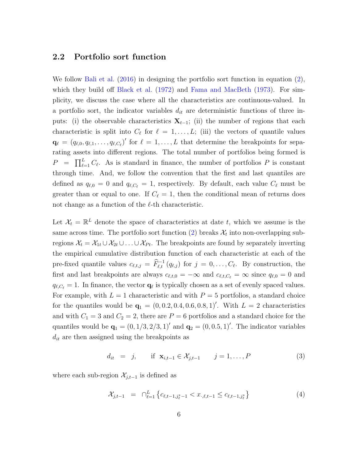## <span id="page-6-0"></span>2.2 Portfolio sort function

We follow [Bali et al.](#page-44-3) [\(2016\)](#page-44-3) in designing the portfolio sort function in equation [\(2\)](#page-5-0), which they build off [Black et al.](#page-44-2) [\(1972\)](#page-44-2) and [Fama and MacBeth](#page-46-8) [\(1973\)](#page-46-8). For simplicity, we discuss the case where all the characteristics are continuous-valued. In a portfolio sort, the indicator variables  $d_{it}$  are deterministic functions of three inputs: (i) the observable characteristics  $X_{t-1}$ ; (ii) the number of regions that each characteristic is split into  $C_{\ell}$  for  $\ell = 1, \ldots, L$ ; (iii) the vectors of quantile values  $\mathbf{q}_{\ell} = (q_{\ell,0}, q_{\ell,1}, \ldots, q_{\ell,C_{\ell}})'$  for  $\ell = 1, \ldots, L$  that determine the breakpoints for separating assets into different regions. The total number of portfolios being formed is  $P = \prod_{\ell=1}^{L} C_{\ell}$ . As is standard in finance, the number of portfolios P is constant through time. And, we follow the convention that the first and last quantiles are defined as  $q_{\ell,0} = 0$  and  $q_{\ell,C_{\ell}} = 1$ , respectively. By default, each value  $C_{\ell}$  must be greater than or equal to one. If  $C_{\ell} = 1$ , then the conditional mean of returns does not change as a function of the  $\ell$ -th characteristic.

Let  $\mathcal{X}_t = \mathbb{R}^L$  denote the space of characteristics at date t, which we assume is the same across time. The portfolio sort function [\(2\)](#page-5-0) breaks  $\mathcal{X}_t$  into non-overlapping subregions  $\mathcal{X}_t = \mathcal{X}_{1t} \cup \mathcal{X}_{2t} \cup \ldots \cup \mathcal{X}_{Pt}$ . The breakpoints are found by separately inverting the empirical cumulative distribution function of each characteristic at each of the pre-fixed quantile values  $c_{\ell,t,j} = \widehat{F}_{\ell,t}^{-1}(q_{\ell,j})$  for  $j = 0, \ldots, C_{\ell}$ . By construction, the first and last breakpoints are always  $c_{\ell,t,0} = -\infty$  and  $c_{\ell,t,C_{\ell}} = \infty$  since  $q_{\ell,0} = 0$  and  $q_{\ell,C_{\ell}} = 1$ . In finance, the vector  $\mathbf{q}_{\ell}$  is typically chosen as a set of evenly spaced values. For example, with  $L = 1$  characteristic and with  $P = 5$  portfolios, a standard choice for the quantiles would be  $\mathbf{q}_1 = (0, 0.2, 0.4, 0.6, 0.8, 1)'$ . With  $L = 2$  characteristics and with  $C_1 = 3$  and  $C_2 = 2$ , there are  $P = 6$  portfolios and a standard choice for the quantiles would be  $\mathbf{q}_1 = (0, 1/3, 2/3, 1)$  and  $\mathbf{q}_2 = (0, 0.5, 1)$ . The indicator variables  $d_{it}$  are then assigned using the breakpoints as

$$
d_{it} = j
$$
, if  $\mathbf{x}_{i,t-1} \in \mathcal{X}_{j,t-1}$   $j = 1, ..., P$  (3)

where each sub-region  $\mathcal{X}_{j,t-1}$  is defined as

$$
\mathcal{X}_{j,t-1} = \bigcap_{\ell=1}^{L} \left\{ c_{\ell,t-1,j_{\ell}^* - 1} < x_{\cdot,\ell,t-1} \leq c_{\ell,t-1,j_{\ell}^*} \right\} \tag{4}
$$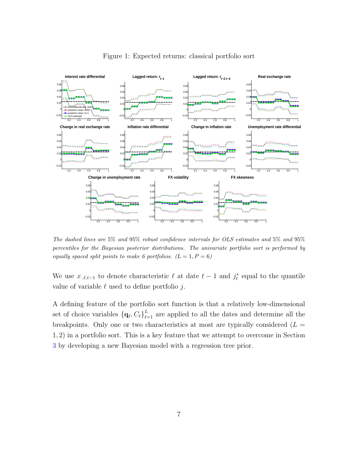<span id="page-7-0"></span>

Figure 1: Expected returns: classical portfolio sort

The dashed lines are 5% and 95% robust confidence intervals for OLS estimates and 5% and 95% percentiles for the Bayesian posterior distributions. The univariate portfolio sort is performed by equally spaced split points to make 6 portfolios.  $(L = 1, P = 6)$ 

We use  $x_{\cdot,\ell,t-1}$  to denote characteristic  $\ell$  at date  $t-1$  and  $j_{\ell}^*$  equal to the quantile value of variable  $\ell$  used to define portfolio j.

A defining feature of the portfolio sort function is that a relatively low-dimensional set of choice variables  $\{q_\ell, C_\ell\}_{\ell=1}^L$  are applied to all the dates and determine all the breakpoints. Only one or two characteristics at most are typically considered  $(L =$ 1, 2) in a portfolio sort. This is a key feature that we attempt to overcome in Section [3](#page-9-0) by developing a new Bayesian model with a regression tree prior.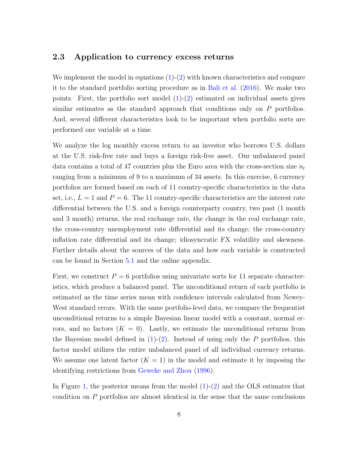### 2.3 Application to currency excess returns

We implement the model in equations  $(1)-(2)$  $(1)-(2)$  with known characteristics and compare it to the standard portfolio sorting procedure as in [Bali et al.](#page-44-3) [\(2016\)](#page-44-3). We make two points. First, the portfolio sort model  $(1)-(2)$  $(1)-(2)$  estimated on individual assets gives similar estimates as the standard approach that conditions only on P portfolios. And, several different characteristics look to be important when portfolio sorts are performed one variable at a time.

We analyze the log monthly excess return to an investor who borrows U.S. dollars at the U.S. risk-free rate and buys a foreign risk-free asset. Our unbalanced panel data contains a total of 47 countries plus the Euro area with the cross-section size  $n_t$ ranging from a minimum of 9 to a maximum of 34 assets. In this exercise, 6 currency portfolios are formed based on each of 11 country-specific characteristics in the data set, i.e.,  $L = 1$  and  $P = 6$ . The 11 country-specific characteristics are the interest rate differential between the U.S. and a foreign counterparty country, two past (1 month and 3 month) returns, the real exchange rate, the change in the real exchange rate, the cross-country unemployment rate differential and its change; the cross-country inflation rate differential and its change; idiosyncratic FX volatility and skewness. Further details about the sources of the data and how each variable is constructed can be found in Section [5.1](#page-25-0) and the online appendix.

First, we construct  $P = 6$  portfolios using univariate sorts for 11 separate characteristics, which produce a balanced panel. The unconditional return of each portfolio is estimated as the time series mean with confidence intervals calculated from Newey-West standard errors. With the same portfolio-level data, we compare the frequentist unconditional returns to a simple Bayesian linear model with a constant, normal errors, and no factors  $(K = 0)$ . Lastly, we estimate the unconditional returns from the Bayesian model defined in  $(1)-(2)$  $(1)-(2)$ . Instead of using only the P portfolios, this factor model utilizes the entire unbalanced panel of all individual currency returns. We assume one latent factor  $(K = 1)$  in the model and estimate it by imposing the identifying restrictions from [Geweke and Zhou](#page-46-7) [\(1996\)](#page-46-7).

In Figure [1,](#page-7-0) the posterior means from the model  $(1)-(2)$  $(1)-(2)$  and the OLS estimates that condition on P portfolios are almost identical in the sense that the same conclusions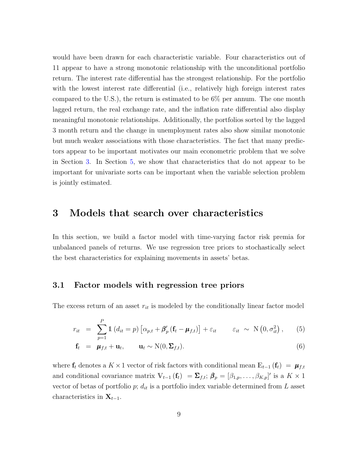would have been drawn for each characteristic variable. Four characteristics out of 11 appear to have a strong monotonic relationship with the unconditional portfolio return. The interest rate differential has the strongest relationship. For the portfolio with the lowest interest rate differential (i.e., relatively high foreign interest rates compared to the U.S.), the return is estimated to be 6% per annum. The one month lagged return, the real exchange rate, and the inflation rate differential also display meaningful monotonic relationships. Additionally, the portfolios sorted by the lagged 3 month return and the change in unemployment rates also show similar monotonic but much weaker associations with those characteristics. The fact that many predictors appear to be important motivates our main econometric problem that we solve in Section [3.](#page-9-0) In Section [5,](#page-25-1) we show that characteristics that do not appear to be important for univariate sorts can be important when the variable selection problem is jointly estimated.

## <span id="page-9-0"></span>3 Models that search over characteristics

In this section, we build a factor model with time-varying factor risk premia for unbalanced panels of returns. We use regression tree priors to stochastically select the best characteristics for explaining movements in assets' betas.

### <span id="page-9-1"></span>3.1 Factor models with regression tree priors

The excess return of an asset  $r_{it}$  is modeled by the conditionally linear factor model

<span id="page-9-2"></span>
$$
r_{it} = \sum_{p=1}^{P} \mathbb{1} \left( d_{it} = p \right) \left[ \alpha_{p,t} + \beta'_p \left( \mathbf{f}_t - \boldsymbol{\mu}_{f,t} \right) \right] + \varepsilon_{it} \qquad \varepsilon_{it} \sim \text{N} \left( 0, \sigma_{it}^2 \right), \qquad (5)
$$

$$
\mathbf{f}_t = \boldsymbol{\mu}_{f,t} + \mathbf{u}_t, \qquad \mathbf{u}_t \sim \mathcal{N}(0, \boldsymbol{\Sigma}_{f,t}). \tag{6}
$$

where  $f_t$  denotes a K × 1 vector of risk factors with conditional mean  $\mathbb{E}_{t-1} (f_t) = \mu_{f,t}$ and conditional covariance matrix  $V_{t-1}(\mathbf{f}_t) = \sum_{f,t} \mathbf{f}_f \mathbf{f}_p = [\beta_{1,p}, \dots, \beta_{K,p}]'$  is a  $K \times 1$ vector of betas of portfolio p;  $d_{it}$  is a portfolio index variable determined from L asset characteristics in  $X_{t-1}$ .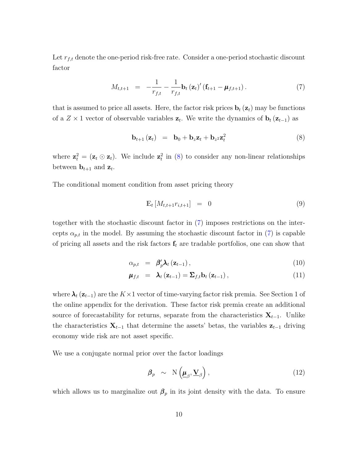Let  $r_{f,t}$  denote the one-period risk-free rate. Consider a one-period stochastic discount factor

<span id="page-10-1"></span>
$$
M_{t,t+1} = -\frac{1}{r_{f,t}} - \frac{1}{r_{f,t}} \mathbf{b}_t (\mathbf{z}_t)' (\mathbf{f}_{t+1} - \boldsymbol{\mu}_{f,t+1}). \tag{7}
$$

that is assumed to price all assets. Here, the factor risk prices  $\mathbf{b}_t(\mathbf{z}_t)$  may be functions of a  $Z \times 1$  vector of observable variables  $z_t$ . We write the dynamics of  $b_t(z_{t-1})$  as

<span id="page-10-0"></span>
$$
\mathbf{b}_{t+1}(\mathbf{z}_t) = \mathbf{b}_0 + \mathbf{b}_z \mathbf{z}_t + \mathbf{b}_z \mathbf{z}_t^2 \tag{8}
$$

where  $\mathbf{z}_t^2 = (\mathbf{z}_t \odot \mathbf{z}_t)$ . We include  $\mathbf{z}_t^2$  in [\(8\)](#page-10-0) to consider any non-linear relationships between  $\mathbf{b}_{t+1}$  and  $\mathbf{z}_t$ .

The conditional moment condition from asset pricing theory

$$
\mathbb{E}_t \left[ M_{t,t+1} r_{i,t+1} \right] = 0 \tag{9}
$$

together with the stochastic discount factor in [\(7\)](#page-10-1) imposes restrictions on the intercepts  $\alpha_{p,t}$  in the model. By assuming the stochastic discount factor in [\(7\)](#page-10-1) is capable of pricing all assets and the risk factors  $f_t$  are tradable portfolios, one can show that

<span id="page-10-2"></span>
$$
\alpha_{p,t} = \beta_p' \lambda_t \left( \mathbf{z}_{t-1} \right), \tag{10}
$$

$$
\mu_{f,t} = \lambda_t (z_{t-1}) = \sum_{f,t} b_t (z_{t-1}), \qquad (11)
$$

where  $\lambda_t$  ( $\mathbf{z}_{t-1}$ ) are the K×1 vector of time-varying factor risk premia. See Section 1 of the online appendix for the derivation. These factor risk premia create an additional source of forecastability for returns, separate from the characteristics  $X_{t-1}$ . Unlike the characteristics  $\mathbf{X}_{t-1}$  that determine the assets' betas, the variables  $\mathbf{z}_{t-1}$  driving economy wide risk are not asset specific.

We use a conjugate normal prior over the factor loadings

$$
\beta_p \sim \mathcal{N}\left(\underline{\mu}_{\beta}, \underline{\mathbf{V}}_{\beta}\right),\tag{12}
$$

which allows us to marginalize out  $\beta_p$  in its joint density with the data. To ensure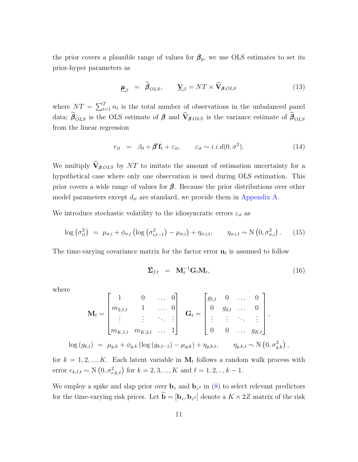the prior covers a plausible range of values for  $\beta_p$ , we use OLS estimates to set its prior-hyper parameters as

$$
\underline{\mu}_{\beta} = \widehat{\beta}_{OLS}, \qquad \underline{\mathbf{V}}_{\beta} = NT \times \widehat{\mathbf{V}}_{\beta,OLS}
$$
(13)

where  $NT = \sum_{t=1}^{T} n_t$  is the total number of observations in the unbalanced panel data;  $\hat{\beta}_{OLS}$  is the OLS estimate of  $\beta$  and  $\hat{V}_{\beta,OLS}$  is the variance estimate of  $\hat{\beta}_{OLS}$ from the linear regression

<span id="page-11-0"></span>
$$
r_{it} = \beta_0 + \beta' \mathbf{f}_t + \varepsilon_{it}, \qquad \varepsilon_{it} \sim i.i.d(0, \sigma^2). \tag{14}
$$

We multiply  $\widehat{\mathbf{V}}_{\beta,OLS}$  by NT to imitate the amount of estimation uncertainty for a hypothetical case where only one observation is used during OLS estimation. This prior covers a wide range of values for  $\beta$ . Because the prior distributions over other model parameters except  $d_{it}$  are standard, we provide them in [Appendix A.](#page-49-0)

We introduce stochastic volatility to the idiosyncratic errors  $\varepsilon_{it}$  as

$$
\log\left(\sigma_{it}^2\right) = \mu_{\sigma,i} + \phi_{\sigma,i} \left( \log\left(\sigma_{i,t-1}^2\right) - \mu_{\sigma,i} \right) + \eta_{\sigma,i,t}, \qquad \eta_{\sigma,i,t} \sim \text{N}\left(0, \sigma_{\sigma,i}^2\right). \tag{15}
$$

The time-varying covariance matrix for the factor error  $\mathbf{u}_t$  is assumed to follow

<span id="page-11-1"></span>
$$
\Sigma_{f,t} = \mathbf{M}_t^{-1} \mathbf{G}_t \mathbf{M}_t, \tag{16}
$$

where

$$
\mathbf{M}_{t} = \begin{bmatrix} 1 & 0 & \dots & 0 \\ m_{2,1,t} & 1 & \dots & 0 \\ \vdots & \vdots & \ddots & \vdots \\ m_{K,1,t} & m_{K,2,t} & \dots & 1 \end{bmatrix} \quad \mathbf{G}_{t} = \begin{bmatrix} g_{1,t} & 0 & \dots & 0 \\ 0 & g_{2,t} & \dots & 0 \\ \vdots & \vdots & \ddots & \vdots \\ 0 & 0 & \dots & g_{K,t} \end{bmatrix},
$$

$$
\log (g_{k,t}) = \mu_{g,k} + \phi_{g,k} (\log (g_{k,t-1}) - \mu_{g,k}) + \eta_{g,k,t}, \quad \eta_{g,k,t} \sim \mathcal{N} (0, \sigma_{g,k}^2),
$$

for  $k = 1, 2, ..., K$ . Each latent variable in  $M_t$  follows a random walk process with error  $e_{k,\ell,t} \sim N(0, \sigma_{e,k,\ell}^2)$  for  $k = 2, 3, ..., K$  and  $\ell = 1, 2, ..., k - 1$ .

We employ a spike and slap prior over  $\mathbf{b}_z$  and  $\mathbf{b}_{z^2}$  in [\(8\)](#page-10-0) to select relevant predictors for the time-varying risk prices. Let  $\mathbf{b} = [\mathbf{b}_z, \mathbf{b}_{z^2}]$  denote a  $K \times 2Z$  matrix of the risk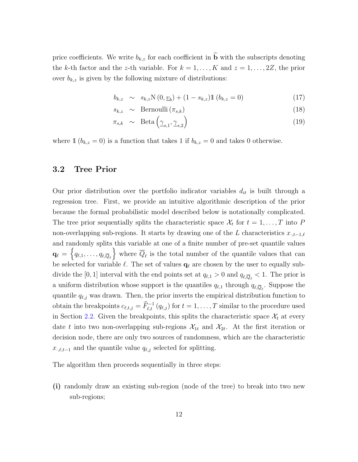price coefficients. We write  $b_{k,z}$  for each coefficient in  $\widetilde{\mathbf{b}}$  with the subscripts denoting the k-th factor and the z-th variable. For  $k = 1, ..., K$  and  $z = 1, ..., 2Z$ , the prior over  $b_{k,z}$  is given by the following mixture of distributions:

$$
b_{k,z} \sim s_{k,z} \mathcal{N}(0, \underline{v}_b) + (1 - s_{k,z}) \mathbb{1} \left( b_{k,z} = 0 \right) \tag{17}
$$

$$
s_{k,z} \sim \text{Bernoulli}(\pi_{s,k}) \tag{18}
$$

$$
\pi_{s,k} \sim \text{Beta}\left(\underline{\gamma}_{s,1}, \underline{\gamma}_{s,2}\right) \tag{19}
$$

where  $\mathbb{1} (b_{k,z} = 0)$  is a function that takes 1 if  $b_{k,z} = 0$  and takes 0 otherwise.

## 3.2 Tree Prior

Our prior distribution over the portfolio indicator variables  $d_{it}$  is built through a regression tree. First, we provide an intuitive algorithmic description of the prior because the formal probabilistic model described below is notationally complicated. The tree prior sequentially splits the characteristic space  $\mathcal{X}_t$  for  $t = 1, \ldots, T$  into F non-overlapping sub-regions. It starts by drawing one of the L characteristics  $x_{\cdot,t-1,\ell}$ and randomly splits this variable at one of a finite number of pre-set quantile values  $\mathbf{q}_\ell = \left\{q_{\ell,1},\ldots,q_{\ell,\overline{Q}_\ell}\right\}$  where  $\overline{Q}_\ell$  is the total number of the quantile values that can be selected for variable  $\ell.$  The set of values  $\mathbf{q}_\ell$  are chosen by the user to equally subdivide the [0, 1] interval with the end points set at  $q_{\ell,1} > 0$  and  $q_{\ell,\overline{Q}_{\ell}} < 1$ . The prior is a uniform distribution whose support is the quantiles  $q_{\ell,1}$  through  $q_{\ell,\overline{Q}_{\ell}}$ . Suppose the quantile  $q_{\ell,j}$  was drawn. Then, the prior inverts the empirical distribution function to obtain the breakpoints  $c_{\ell,t,j} = \widehat{F}_{\ell,t}^{-1}(q_{\ell,j})$  for  $t = 1, \ldots, T$  similar to the procedure used in Section [2.2.](#page-6-0) Given the breakpoints, this splits the characteristic space  $\mathcal{X}_t$  at every date t into two non-overlapping sub-regions  $\mathcal{X}_{1t}$  and  $\mathcal{X}_{2t}$ . At the first iteration or decision node, there are only two sources of randomness, which are the characteristic  $x_{\cdot,\ell,t-1}$  and the quantile value  $q_{\ell,j}$  selected for splitting.

The algorithm then proceeds sequentially in three steps:

(i) randomly draw an existing sub-region (node of the tree) to break into two new sub-regions;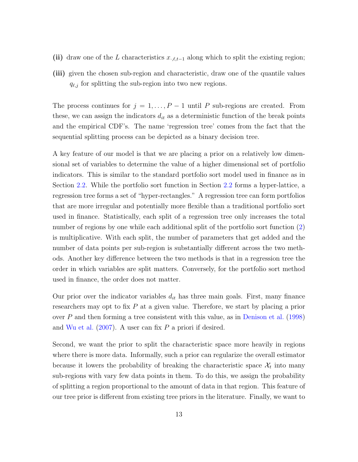- (ii) draw one of the L characteristics  $x_{\cdot,\ell,t-1}$  along which to split the existing region;
- (iii) given the chosen sub-region and characteristic, draw one of the quantile values  $q_{\ell,j}$  for splitting the sub-region into two new regions.

The process continues for  $j = 1, ..., P - 1$  until P sub-regions are created. From these, we can assign the indicators  $d_{it}$  as a deterministic function of the break points and the empirical CDF's. The name 'regression tree' comes from the fact that the sequential splitting process can be depicted as a binary decision tree.

A key feature of our model is that we are placing a prior on a relatively low dimensional set of variables to determine the value of a higher dimensional set of portfolio indicators. This is similar to the standard portfolio sort model used in finance as in Section [2.2.](#page-6-0) While the portfolio sort function in Section [2.2](#page-6-0) forms a hyper-lattice, a regression tree forms a set of "hyper-rectangles." A regression tree can form portfolios that are more irregular and potentially more flexible than a traditional portfolio sort used in finance. Statistically, each split of a regression tree only increases the total number of regions by one while each additional split of the portfolio sort function [\(2\)](#page-5-0) is multiplicative. With each split, the number of parameters that get added and the number of data points per sub-region is substantially different across the two methods. Another key difference between the two methods is that in a regression tree the order in which variables are split matters. Conversely, for the portfolio sort method used in finance, the order does not matter.

Our prior over the indicator variables  $d_{it}$  has three main goals. First, many finance researchers may opt to fix P at a given value. Therefore, we start by placing a prior over P and then forming a tree consistent with this value, as in [Denison et al.](#page-46-5) [\(1998\)](#page-46-5) and [Wu et al.](#page-48-3)  $(2007)$ . A user can fix P a priori if desired.

Second, we want the prior to split the characteristic space more heavily in regions where there is more data. Informally, such a prior can regularize the overall estimator because it lowers the probability of breaking the characteristic space  $\mathcal{X}_t$  into many sub-regions with vary few data points in them. To do this, we assign the probability of splitting a region proportional to the amount of data in that region. This feature of our tree prior is different from existing tree priors in the literature. Finally, we want to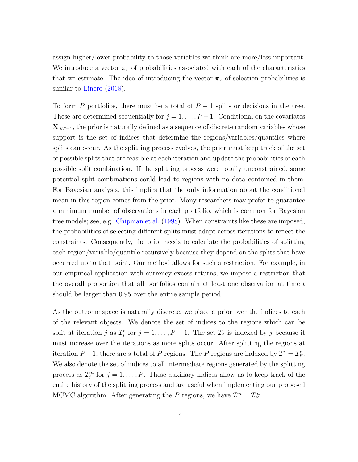assign higher/lower probability to those variables we think are more/less important. We introduce a vector  $\pi_x$  of probabilities associated with each of the characteristics that we estimate. The idea of introducing the vector  $\pi_x$  of selection probabilities is similar to [Linero](#page-47-3) [\(2018\)](#page-47-3).

To form P portfolios, there must be a total of  $P-1$  splits or decisions in the tree. These are determined sequentially for  $j = 1, \ldots, P-1$ . Conditional on the covariates  $\mathbf{X}_{0:T-1}$ , the prior is naturally defined as a sequence of discrete random variables whose support is the set of indices that determine the regions/variables/quantiles where splits can occur. As the splitting process evolves, the prior must keep track of the set of possible splits that are feasible at each iteration and update the probabilities of each possible split combination. If the splitting process were totally unconstrained, some potential split combinations could lead to regions with no data contained in them. For Bayesian analysis, this implies that the only information about the conditional mean in this region comes from the prior. Many researchers may prefer to guarantee a minimum number of observations in each portfolio, which is common for Bayesian tree models; see, e.g. [Chipman et al.](#page-45-3) [\(1998\)](#page-45-3). When constraints like these are imposed, the probabilities of selecting different splits must adapt across iterations to reflect the constraints. Consequently, the prior needs to calculate the probabilities of splitting each region/variable/quantile recursively because they depend on the splits that have occurred up to that point. Our method allows for such a restriction. For example, in our empirical application with currency excess returns, we impose a restriction that the overall proportion that all portfolios contain at least one observation at time t should be larger than 0.95 over the entire sample period.

As the outcome space is naturally discrete, we place a prior over the indices to each of the relevant objects. We denote the set of indices to the regions which can be split at iteration j as  $\mathcal{I}_j^r$  for  $j = 1, \ldots, P-1$ . The set  $\mathcal{I}_j^r$  is indexed by j because it must increase over the iterations as more splits occur. After splitting the regions at iteration  $P-1$ , there are a total of P regions. The P regions are indexed by  $\mathcal{I}^r = \mathcal{I}_P^r$ . We also denote the set of indices to all intermediate regions generated by the splitting process as  $\mathcal{I}_j^m$  for  $j = 1, \ldots, P$ . These auxiliary indices allow us to keep track of the entire history of the splitting process and are useful when implementing our proposed MCMC algorithm. After generating the P regions, we have  $\mathcal{I}^m = \mathcal{I}_P^m$ .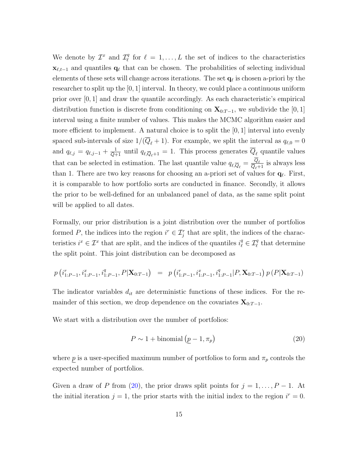We denote by  $\mathcal{I}^x$  and  $\mathcal{I}^q_\ell$  $\ell \atop \ell$  for  $\ell = 1, \ldots, L$  the set of indices to the characteristics  $\mathbf{x}_{\ell,t-1}$  and quantiles  $\mathbf{q}_{\ell}$  that can be chosen. The probabilities of selecting individual elements of these sets will change across iterations. The set  $\mathbf{q}_\ell$  is chosen a-priori by the researcher to split up the [0, 1] interval. In theory, we could place a continuous uniform prior over [0, 1] and draw the quantile accordingly. As each characteristic's empirical distribution function is discrete from conditioning on  $\mathbf{X}_{0:T-1}$ , we subdivide the [0, 1] interval using a finite number of values. This makes the MCMC algorithm easier and more efficient to implement. A natural choice is to split the [0, 1] interval into evenly spaced sub-intervals of size  $1/(\overline{Q}_\ell + 1)$ . For example, we split the interval as  $q_{\ell,0} = 0$ and  $q_{\ell,j} = q_{\ell,j-1} + \frac{1}{Q+1}$  until  $q_{\ell,\overline{Q}_{\ell}+1} = 1$ . This process generates  $\overline{Q}_{\ell}$  quantile values that can be selected in estimation. The last quantile value  $q_{\ell,\overline{Q}_{\ell}} = \frac{Q_{\ell}}{\overline{Q}_{\ell+1}}$  is always less than 1. There are two key reasons for choosing an a-priori set of values for  $\mathbf{q}_\ell$ . First, it is comparable to how portfolio sorts are conducted in finance. Secondly, it allows the prior to be well-defined for an unbalanced panel of data, as the same split point will be applied to all dates.

Formally, our prior distribution is a joint distribution over the number of portfolios formed P, the indices into the region  $i^r \in \mathcal{I}_j^r$  that are split, the indices of the characteristics  $i^x \in \mathcal{I}^x$  that are split, and the indices of the quantiles  $i^q_\ell \in \mathcal{I}^q_\ell$  that determine the split point. This joint distribution can be decomposed as

$$
p(i_{1:P-1}^r, i_{1:P-1}^x, i_{1:P-1}^q, P|\mathbf{X}_{0:T-1}) = p(i_{1:P-1}^r, i_{1:P-1}^x, i_{1:P-1}^q | P, \mathbf{X}_{0:T-1}) p(P|\mathbf{X}_{0:T-1})
$$

The indicator variables  $d_{it}$  are deterministic functions of these indices. For the remainder of this section, we drop dependence on the covariates  $\mathbf{X}_{0:T-1}$ .

We start with a distribution over the number of portfolios:

<span id="page-15-0"></span>
$$
P \sim 1 + \text{binomial}\left(\underline{p} - 1, \pi_p\right) \tag{20}
$$

where p is a user-specified maximum number of portfolios to form and  $\pi_p$  controls the expected number of portfolios.

Given a draw of P from [\(20\)](#page-15-0), the prior draws split points for  $j = 1, \ldots, P - 1$ . At the initial iteration  $j = 1$ , the prior starts with the initial index to the region  $i^r = 0$ .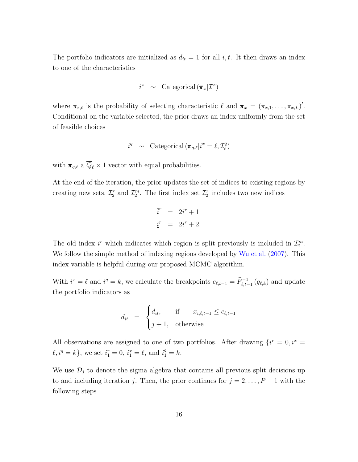The portfolio indicators are initialized as  $d_{it} = 1$  for all i, t. It then draws an index to one of the characteristics

$$
i^x \sim \text{Categorical } (\pi_x | \mathcal{I}^x)
$$

where  $\pi_{x,\ell}$  is the probability of selecting characteristic  $\ell$  and  $\pi_x = (\pi_{x,1}, \ldots, \pi_{x,L})'$ . Conditional on the variable selected, the prior draws an index uniformly from the set of feasible choices

$$
i^q \sim \text{Categorical } (\pi_{q,\ell} | i^x = \ell, \mathcal{I}_{\ell}^q)
$$

with  $\pi_{q,\ell}$  a  $\overline{Q}_{\ell} \times 1$  vector with equal probabilities.

At the end of the iteration, the prior updates the set of indices to existing regions by creating new sets,  $\mathcal{I}_2^r$  and  $\mathcal{I}_2^m$ . The first index set  $\mathcal{I}_2^r$  includes two new indices

$$
\begin{aligned}\n\vec{i}^r &= 2\vec{i}^r + 1 \\
\vec{i}^r &= 2\vec{i}^r + 2.\n\end{aligned}
$$

The old index  $i^r$  which indicates which region is split previously is included in  $\mathcal{I}_2^m$ . We follow the simple method of indexing regions developed by [Wu et al.](#page-48-3) [\(2007\)](#page-48-3). This index variable is helpful during our proposed MCMC algorithm.

With  $i^x = \ell$  and  $i^q = k$ , we calculate the breakpoints  $c_{\ell,t-1} = \widehat{F}_{\ell,t-1}^{-1}(q_{\ell,k})$  and update the portfolio indicators as

$$
d_{it} = \begin{cases} d_{it}, & \text{if } x_{i,\ell,t-1} \le c_{\ell,t-1} \\ j+1, & \text{otherwise} \end{cases}
$$

All observations are assigned to one of two portfolios. After drawing  $\{i^r = 0, i^x = 1\}$  $\ell, i^q = k$ , we set  $i_1^r = 0$ ,  $i_1^x = \ell$ , and  $i_1^q = k$ .

We use  $\mathcal{D}_j$  to denote the sigma algebra that contains all previous split decisions up to and including iteration j. Then, the prior continues for  $j = 2, \ldots, P - 1$  with the following steps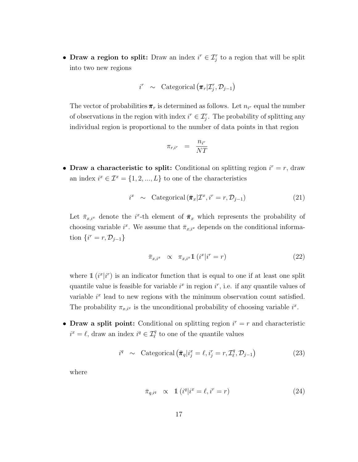• Draw a region to split: Draw an index  $i^r \in \mathcal{I}_j^r$  to a region that will be split into two new regions

$$
i^r \sim \text{Categorical } (\pi_r | \mathcal{I}_j^r, \mathcal{D}_{j-1})
$$

The vector of probabilities  $\pi_r$  is determined as follows. Let  $n_{i^r}$  equal the number of observations in the region with index  $i^r \in \mathcal{I}_j^r$ . The probability of splitting any individual region is proportional to the number of data points in that region

$$
\pi_{r,i^r} = \frac{n_{i^r}}{NT}
$$

• Draw a characteristic to split: Conditional on splitting region  $i^r = r$ , draw an index  $i^x \in \mathcal{I}^x = \{1, 2, ..., L\}$  to one of the characteristics

<span id="page-17-2"></span>
$$
i^{x} \sim \text{Categorical}(\bar{\pi}_{x} | \mathcal{I}^{x}, i^{r} = r, \mathcal{D}_{j-1})
$$
\n(21)

Let  $\bar{\pi}_{x,i^x}$  denote the *i*<sup>x</sup>-th element of  $\bar{\pi}_x$  which represents the probability of choosing variable  $i^x$ . We assume that  $\bar{\pi}_{x,i^x}$  depends on the conditional information  $\{i^r = r, \mathcal{D}_{j-1}\}\$ 

<span id="page-17-0"></span>
$$
\bar{\pi}_{x,i^x} \quad \propto \quad \pi_{x,i^x} \mathbb{1} \left( i^x | i^r = r \right) \tag{22}
$$

where  $\mathbb{1}(i^{x}|i^{r})$  is an indicator function that is equal to one if at least one split quantile value is feasible for variable  $i^x$  in region  $i^r$ , i.e. if any quantile values of variable  $i<sup>x</sup>$  lead to new regions with the minimum observation count satisfied. The probability  $\pi_{x,i^x}$  is the unconditional probability of choosing variable  $i^x$ .

• Draw a split point: Conditional on splitting region  $i^r = r$  and characteristic  $i^x = \ell$ , draw an index  $i^q \in \mathcal{I}_{\ell}^q$  to one of the quantile values

<span id="page-17-3"></span>
$$
i^{q} \sim \text{Categorical} \left( \bar{\pi}_q | i_j^x = \ell, i_j^r = r, \mathcal{I}_{\ell}^q, \mathcal{D}_{j-1} \right) \tag{23}
$$

where

<span id="page-17-1"></span>
$$
\bar{\pi}_{q,i^q} \quad \propto \quad \mathbb{1} \left( i^q | i^x = \ell, i^r = r \right) \tag{24}
$$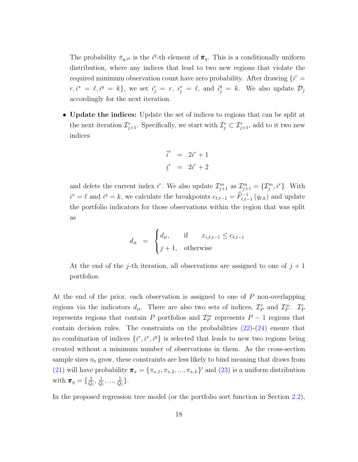The probability  $\bar{\pi}_{q,iq}$  is the  $i^q$ -th element of  $\bar{\pi}_q$ . This is a conditionally uniform distribution, where any indices that lead to two new regions that violate the required minimum observation count have zero probability. After drawing  $\{i^r =$  $r, i^x = \ell, i^q = k$ , we set  $i_j^r = r, i_j^x = \ell$ , and  $i_j^q = k$ . We also update  $\mathcal{D}_j$ accordingly for the next iteration.

• Update the indices: Update the set of indices to regions that can be split at the next iteration  $\mathcal{I}_{j+1}^r$ . Specifically, we start with  $\mathcal{I}_j^r \subset \mathcal{I}_{j+1}^r$ , add to it two new indices

$$
\begin{aligned}\n\vec{i}^r &= 2i^r + 1 \\
\vec{i}^r &= 2i^r + 2\n\end{aligned}
$$

and delete the current index i<sup>r</sup>. We also update  $\mathcal{I}_{j+1}^m$  as  $\mathcal{I}_{j+1}^m = \{\mathcal{I}_j^m, i^r\}$ . With  $i^x = \ell$  and  $i^q = k$ , we calculate the breakpoints  $c_{\ell,t-1} = \widehat{F}_{\ell,t-1}^{-1}(q_{\ell,k})$  and update the portfolio indicators for those observations within the region that was split as

$$
d_{it} = \begin{cases} d_{it}, & \text{if } x_{i,\ell,t-1} \le c_{\ell,t-1} \\ j+1, & \text{otherwise} \end{cases}
$$

At the end of the j-th iteration, all observations are assigned to one of  $j + 1$ portfolios.

At the end of the prior, each observation is assigned to one of P non-overlapping regions via the indicators  $d_{it}$ . There are also two sets of indices,  $\mathcal{I}_P^r$  and  $\mathcal{I}_P^m$ .  $\mathcal{I}_P^r$ represents regions that contain P portfolios and  $\mathcal{I}_P^m$  represents  $P-1$  regions that contain decision rules. The constraints on the probabilities  $(22)-(24)$  $(22)-(24)$  ensure that no combination of indices  $\{i^r, i^x, i^q\}$  is selected that leads to new two regions being created without a minimum number of observations in them. As the cross-section sample sizes  $n_t$  grow, these constraints are less likely to bind meaning that draws from [\(21\)](#page-17-2) will have probability  $\pi_x = {\pi_{x,1}, \pi_{x,2}, ..., \pi_{x,L}}'$  and [\(23\)](#page-17-3) is a uniform distribution with  $\pi_q = \{\frac{1}{\bar{Q}_l}, \frac{1}{\bar{Q}_l}, ..., \frac{1}{\bar{Q}_l}\}.$ 

In the proposed regression tree model (or the portfolio sort function in Section [2.2\)](#page-6-0),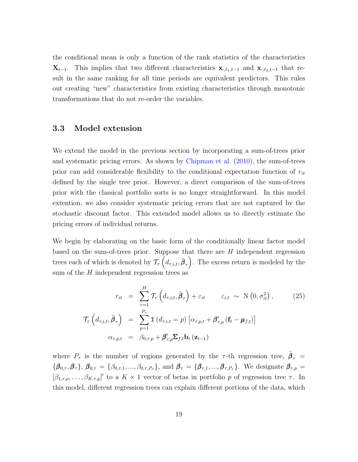the conditional mean is only a function of the rank statistics of the characteristics  $\mathbf{X}_{t-1}$ . This implies that two different characteristics  $\mathbf{x}_{\cdot,\ell_1,t-1}$  and  $\mathbf{x}_{\cdot,\ell_2,t-1}$  that result in the same ranking for all time periods are equivalent predictors. This rules out creating "new" characteristics from existing characteristics through monotonic transformations that do not re-order the variables.

## 3.3 Model extension

We extend the model in the previous section by incorporating a sum-of-trees prior and systematic pricing errors. As shown by [Chipman et al.](#page-45-4) [\(2010\)](#page-45-4), the sum-of-trees prior can add considerable flexibility to the conditional expectation function of  $r_{it}$ defined by the single tree prior. However, a direct comparison of the sum-of-trees prior with the classical portfolio sorts is no longer straightforward. In this model extention, we also consider systematic pricing errors that are not captured by the stochastic discount factor. This extended model allows us to directly estimate the pricing errors of individual returns.

We begin by elaborating on the basic form of the conditionally linear factor model based on the sum-of-trees prior. Suppose that there are H independent regression trees each of which is denoted by  $\mathcal{T}_{\tau}\left(d_{\tau,i,t}, \tilde{\beta}_{\tau}\right)$ . The excess return is modeled by the sum of the  $H$  independent regression trees as

<span id="page-19-0"></span>
$$
r_{it} = \sum_{\tau=1}^{H} \mathcal{T}_{\tau} \left( d_{\tau,i,t}, \tilde{\beta}_{\tau} \right) + \varepsilon_{it} \qquad \varepsilon_{i,t} \sim \mathcal{N} \left( 0, \sigma_{it}^{2} \right), \qquad (25)
$$

$$
\mathcal{T}_{\tau} \left( d_{\tau,i,t}, \tilde{\beta}_{\tau} \right) = \sum_{p=1}^{P_{\tau}} \mathbb{1} \left( d_{\tau,i,t} = p \right) \left[ \alpha_{\tau,p,t} + \beta'_{\tau,p} \left( \mathbf{f}_{t} - \boldsymbol{\mu}_{f,t} \right) \right]
$$

$$
\alpha_{\tau,p,t} = \beta_{0,\tau,p} + \beta'_{\tau,p} \Sigma_{f,t} \mathbf{b}_{t} \left( \mathbf{z}_{t-1} \right)
$$

where  $P_{\tau}$  is the number of regions generated by the  $\tau$ -th regression tree,  $\beta_{\tau}$  =  ${\{\beta_{0,\tau}, \beta_{\tau}\}}$ ,  $\beta_{0,\tau} = {\{\beta_{0,\tau,1}, ..., \beta_{0,\tau,P_{\tau}}\}}$ , and  $\beta_{\tau} = {\{\beta_{\tau,1}, ..., \beta_{\tau,P_{\tau}}\}}$ . We designate  $\beta_{\tau,p} =$  $[\beta_{1,\tau,p},\ldots,\beta_{K,\tau,p}]'$  to a  $K\times 1$  vector of betas in portfolio p of regression tree  $\tau$ . In this model, different regression trees can explain different portions of the data, which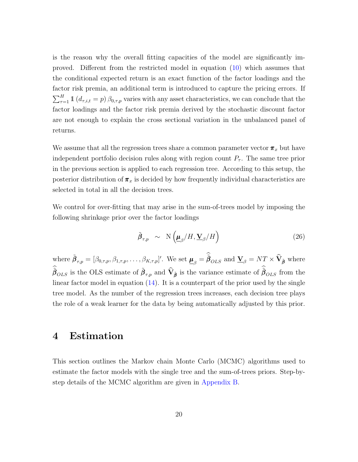is the reason why the overall fitting capacities of the model are significantly improved. Different from the restricted model in equation [\(10\)](#page-10-2) which assumes that the conditional expected return is an exact function of the factor loadings and the factor risk premia, an additional term is introduced to capture the pricing errors. If  $\sum_{\tau=1}^{H} \mathbb{1} (d_{\tau,i,t} = p) \beta_{0,\tau,p}$  varies with any asset characteristics, we can conclude that the factor loadings and the factor risk premia derived by the stochastic discount factor are not enough to explain the cross sectional variation in the unbalanced panel of returns.

We assume that all the regression trees share a common parameter vector  $\pi_x$  but have independent portfolio decision rules along with region count  $P<sub>\tau</sub>$ . The same tree prior in the previous section is applied to each regression tree. According to this setup, the posterior distribution of  $\pi_x$  is decided by how frequently individual characteristics are selected in total in all the decision trees.

We control for over-fitting that may arise in the sum-of-trees model by imposing the following shrinkage prior over the factor loadings

$$
\tilde{\beta}_{\tau,p} \sim \mathcal{N}\left(\underline{\mu}_{\beta}/H, \underline{\mathbf{V}}_{\beta}/H\right) \tag{26}
$$

where  $\tilde{\boldsymbol{\beta}}_{\tau,p} = [\beta_{0,\tau,p}, \beta_{1,\tau,p}, \dots, \beta_{K,\tau,p}]'$ . We set  $\underline{\boldsymbol{\mu}}_{\beta} = \tilde{\boldsymbol{\beta}}_{OLS}$  and  $\underline{\mathbf{V}}_{\beta} = NT \times \widehat{\mathbf{V}}_{\tilde{\boldsymbol{\beta}}}$  where  $\tilde{\beta}_{OLS}$  is the OLS estimate of  $\tilde{\beta}_{\tau,p}$  and  $\widehat{V}_{\tilde{\beta}}$  is the variance estimate of  $\tilde{\beta}_{OLS}$  from the linear factor model in equation  $(14)$ . It is a counterpart of the prior used by the single tree model. As the number of the regression trees increases, each decision tree plays the role of a weak learner for the data by being automatically adjusted by this prior.

## 4 Estimation

This section outlines the Markov chain Monte Carlo (MCMC) algorithms used to estimate the factor models with the single tree and the sum-of-trees priors. Step-bystep details of the MCMC algorithm are given in [Appendix B.](#page-50-0)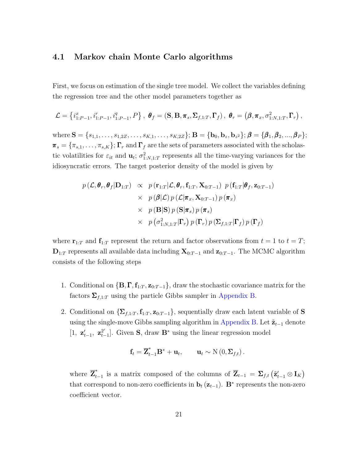### 4.1 Markov chain Monte Carlo algorithms

First, we focus on estimation of the single tree model. We collect the variables defining the regression tree and the other model parameters together as

$$
\mathcal{L} = \left\{ i_{1:P-1}^x, i_{1:P-1}^r, i_{1:P-1}^q, P \right\}, \ \theta_f = (\mathbf{S}, \mathbf{B}, \pi_s, \Sigma_{f,1:T}, \Gamma_f), \ \theta_r = (\boldsymbol{\beta}, \pi_x, \sigma_{1:N,1:T}^2, \Gamma_r),
$$

where  $\mathbf{S} = \{s_{1,1}, \ldots, s_{1,2Z}, \ldots, s_{K,1}, \ldots, s_{K,2Z}\}; \mathbf{B} = \{\mathbf{b}_0, \mathbf{b}_z, \mathbf{b}_{z^2}\}; \boldsymbol{\beta} = \{\boldsymbol{\beta}_1, \boldsymbol{\beta}_2, ..., \boldsymbol{\beta}_P\};$  $\pi_s = {\pi_{s,1}, \ldots, \pi_{s,K}}$ ;  $\Gamma_r$  and  $\Gamma_f$  are the sets of parameters associated with the scholastic volatilities for  $\varepsilon_{it}$  and  $\mathbf{u}_t$ ;  $\sigma_{1:N,1:T}^2$  represents all the time-varying variances for the idiosyncratic errors. The target posterior density of the model is given by

$$
p(\mathcal{L}, \theta_r, \theta_f | \mathbf{D}_{1:T}) \propto p(\mathbf{r}_{1:T} | \mathcal{L}, \theta_r, \mathbf{f}_{1:T}, \mathbf{X}_{0:T-1}) p(\mathbf{f}_{1:T} | \theta_f, \mathbf{z}_{0:T-1})
$$
  
\n
$$
\times p(\beta | \mathcal{L}) p(\mathcal{L} | \pi_x, \mathbf{X}_{0:T-1}) p(\pi_x)
$$
  
\n
$$
\times p(\mathbf{B} | \mathbf{S}) p(\mathbf{S} | \pi_s) p(\pi_s)
$$
  
\n
$$
\times p(\sigma_{1:N,1:T}^2 | \mathbf{\Gamma}_r) p(\mathbf{\Gamma}_r) p(\mathbf{\Sigma}_{f,1:T} | \mathbf{\Gamma}_f) p(\mathbf{\Gamma}_f)
$$

where  $\mathbf{r}_{1:T}$  and  $\mathbf{f}_{1:T}$  represent the return and factor observations from  $t = 1$  to  $t = T$ ;  $\mathbf{D}_{1:T}$  represents all available data including  $\mathbf{X}_{0:T-1}$  and  $\mathbf{z}_{0:T-1}$ . The MCMC algorithm consists of the following steps

- 1. Conditional on  ${\bf \{B, \Gamma, f_{1:T}, z_{0:T-1}\}}$ , draw the stochastic covariance matrix for the factors  $\Sigma_{f,1:T}$  using the particle Gibbs sampler in [Appendix B.](#page-50-0)
- 2. Conditional on  $\{\mathbf\Sigma_{f,1:T}, \mathbf{f}_{1:T}, \mathbf{z}_{0:T-1}\}$ , sequentially draw each latent variable of **S** using the single-move Gibbs sampling algorithm in [Appendix B.](#page-50-0) Let  $\tilde{\mathbf{z}}_{t-1}$  denote  $[1, z'_{t-1}, z^{2'}_{t-1}]$  $_{t-1}^{2'}$ . Given S, draw B<sup>\*</sup> using the linear regression model

$$
\mathbf{f}_t = \overline{\mathbf{Z}}_{t-1}^* \mathbf{B}^* + \mathbf{u}_t, \qquad \mathbf{u}_t \sim \mathrm{N}\left(0, \Sigma_{f,t}\right).
$$

where  $\overline{\mathbf{Z}}_t^*$  $_{t-1}^*$  is a matrix composed of the columns of  $\overline{Z}_{t-1} = \Sigma_{f,t} (\tilde{z}'_{t-1} \otimes I_K)$ that correspond to non-zero coefficients in  $\mathbf{b}_t(\mathbf{z}_{t-1})$ . B<sup>\*</sup> represents the non-zero coefficient vector.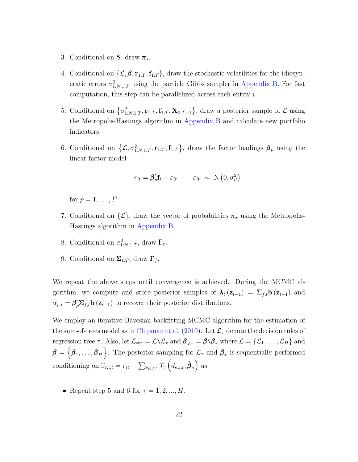- 3. Conditional on  $S$ , draw  $\pi_s$ .
- 4. Conditional on  $\{\mathcal{L}, \beta, r_{1:T}, f_{1:T}\}$ , draw the stochastic volatilities for the idiosyncratic errors  $\sigma_{1:N,1:T}^2$  using the particle Gibbs sampler in [Appendix B.](#page-50-0) For fast computation, this step can be parallelized across each entity i.
- 5. Conditional on  $\{\sigma_{1:N,1:T}^2, \mathbf{r}_{1:T}, \mathbf{f}_{1:T}, \mathbf{X}_{0:T-1}\}$ , draw a posterior sample of  $\mathcal{L}$  using the Metropolis-Hastings algorithm in [Appendix B](#page-50-0) and calculate new portfolio indicators.
- 6. Conditional on  $\{\mathcal{L}, \sigma_{1:N,1:T}^2, \mathbf{r}_{1:T}, \mathbf{f}_{1:T}\}\$ , draw the factor loadings  $\beta_p$  using the linear factor model

$$
r_{it} = \beta_p' \mathbf{f}_t + \varepsilon_{it} \qquad \varepsilon_{it} \sim \mathcal{N}\left(0, \sigma_{it}^2\right)
$$

for  $p = 1, \ldots, P$ .

- 7. Conditional on  $\{\mathcal{L}\},\$  draw the vector of probabilities  $\pi_x$  using the Metropolis-Hastings algorithm in [Appendix B.](#page-50-0)
- 8. Conditional on  $\sigma_{1:N,1:T}^2$ , draw  $\Gamma_r$ .
- 9. Conditional on  $\Sigma_{1:T}$ , draw  $\Gamma_f$ .

We repeat the above steps until convergence is achieved. During the MCMC algorithm, we compute and store posterior samples of  $\lambda_t$  ( $\mathbf{z}_{t-1}$ ) =  $\sum_{f,t}$   $\mathbf{b}$  ( $\mathbf{z}_{t-1}$ ) and  $\alpha_{p,t} = \beta_p' \Sigma_{f,t} \mathbf{b}(\mathbf{z}_{t-1})$  to recover their posterior distributions.

We employ an iterative Bayesian backfitting MCMC algorithm for the estimation of the sum-of-trees model as in [Chipman et al.](#page-45-4) [\(2010\)](#page-45-4). Let  $\mathcal{L}_{\tau}$  denote the decision rules of regression tree  $\tau$ . Also, let  $\mathcal{L}_{\neq\tau} = \mathcal{L} \setminus \mathcal{L}_{\tau}$  and  $\tilde{\beta}_{\neq\tau} = \tilde{\beta} \setminus \tilde{\beta}_{\tau}$  where  $\mathcal{L} = {\mathcal{L}_1, \ldots, \mathcal{L}_H}$  and  $\tilde{\boldsymbol{\beta}} = \left\{ \tilde{\boldsymbol{\beta}}_1, \ldots, \tilde{\boldsymbol{\beta}}_H \right\}$ . The posterior sampling for  $\mathcal{L}_{\tau}$  and  $\tilde{\boldsymbol{\beta}}_{\tau}$  is sequentially performed conditioning on  $\widehat{\varepsilon}_{\tau,i,t} = r_{it} - \sum_{\forall \kappa \neq \tau} \mathcal{T}_{\tau} \left( d_{\kappa,i,t}, \tilde{\beta}_{\kappa} \right)$  as

• Repeat step 5 and 6 for  $\tau = 1, 2, ..., H$ .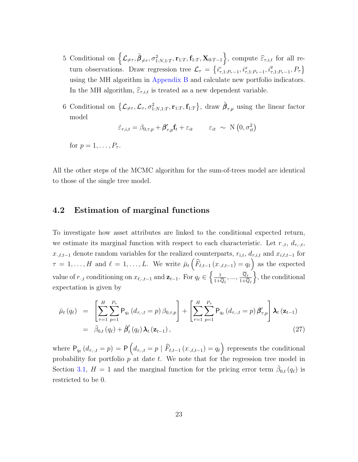- 5 Conditional on  $\left\{\mathcal{L}_{\neq\tau}, \tilde{\boldsymbol{\beta}}_{\neq\tau}, \sigma_{1:N,1:T}^2, \mathbf{r}_{1:T}, \mathbf{f}_{1:T}, \mathbf{X}_{0:T-1}\right\}$ , compute  $\widehat{\varepsilon}_{\tau,i,t}$  for all return observations. Draw regression tree  $\mathcal{L}_{\tau} = \left\{ i_{\tau,1:P_{\tau}-1}^{r}, i_{\tau,1:P_{\tau}-1}^{x}, i_{\tau,1:P_{\tau}-1}^{q}, P_{\tau} \right\}$ using the MH algorithm in [Appendix B](#page-50-0) and calculate new portfolio indicators. In the MH algorithm,  $\widehat{\varepsilon}_{\tau,i,t}$  is treated as a new dependent variable.
- 6 Conditional on  $\{\mathcal{L}_{\neq\tau}, \mathcal{L}_{\tau}, \sigma^2_{1:N,1:T}, \mathbf{r}_{1:T}, \mathbf{f}_{1:T}\}\$ , draw  $\tilde{\boldsymbol{\beta}}_{\tau,p}$  using the linear factor model

$$
\hat{\varepsilon}_{\tau,i,t} = \beta_{0,\tau,p} + \boldsymbol{\beta}_{\tau,p}' \mathbf{f}_t + \varepsilon_{it} \qquad \varepsilon_{it} \sim \mathcal{N}\left(0, \sigma_{it}^2\right)
$$

for  $p=1,\ldots,P_{\tau}$ .

All the other steps of the MCMC algorithm for the sum-of-trees model are identical to those of the single tree model.

### <span id="page-23-0"></span>4.2 Estimation of marginal functions

To investigate how asset attributes are linked to the conditional expected return, we estimate its marginal function with respect to each characteristic. Let  $r_{\cdot,t}$ ,  $d_{\tau_{\cdot},t}$ ,  $x_{,\ell,t-1}$  denote random variables for the realized counterparts,  $r_{i,t}$ ,  $d_{\tau,i,t}$  and  $x_{i,\ell,t-1}$  for  $\tau = 1, \ldots, H$  and  $\ell = 1, \ldots, L$ . We write  $\bar{\mu}_t \left( \widehat{F}_{\ell,t-1} (x_{\cdot,\ell,t-1}) = q_\ell \right)$  as the expected value of  $r_{\cdot,t}$  conditioning on  $x_{\ell,\cdot,t-1}$  and  $\mathbf{z}_{t-1}$ . For  $q_\ell \in \left\{\frac{1}{1+t}\right\}$  $\frac{1}{1+\overline{Q}_\ell},...,\frac{\overline{Q}_\ell}{1+\overline{\zeta}}$  $1+Q_\ell$  $\},\$  the conditional expectation is given by

<span id="page-23-1"></span>
$$
\bar{\mu}_{t}(q_{\ell}) = \left[ \sum_{\tau=1}^{H} \sum_{p=1}^{P_{\tau}} \mathsf{P}_{q_{\ell}}(d_{\tau,\cdot,t} = p) \, \beta_{0,\tau,p} \right] + \left[ \sum_{\tau=1}^{H} \sum_{p=1}^{P_{\tau}} \mathsf{P}_{q_{\ell}}(d_{\tau,\cdot,t} = p) \, \beta'_{\tau,p} \right] \lambda_{t} \left( \mathbf{z}_{t-1} \right) \n= \bar{\beta}_{0,t}(q_{\ell}) + \bar{\beta}'_{t}(q_{\ell}) \, \lambda_{t} \left( \mathbf{z}_{t-1} \right),
$$
\n(27)

where  $P_{q_\ell}(d_{\tau,\cdot,t} = p) = P\left(d_{\tau,\cdot,t} = p \mid \widehat{F}_{\ell,t-1}(x_{\cdot,\ell,t-1}) = q_\ell\right)$  represents the conditional probability for portfolio  $p$  at date  $t$ . We note that for the regression tree model in Section [3.1,](#page-9-1)  $H = 1$  and the marginal function for the pricing error term  $\bar{\beta}_{0,t}(q_{\ell})$  is restricted to be 0.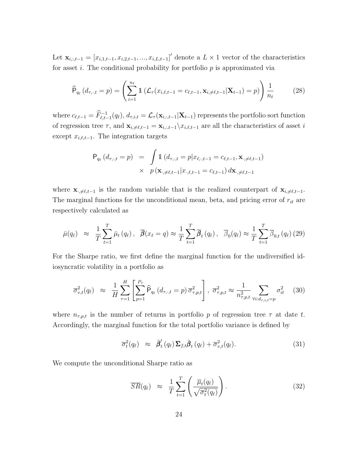Let  $\mathbf{x}_{i,:t-1} = [x_{i,1,t-1}, x_{i,2,t-1}, ..., x_{i,L,t-1}]'$  denote a  $L \times 1$  vector of the characteristics for asset i. The conditional probability for portfolio  $p$  is approximated via

$$
\widehat{\mathsf{P}}_{q_{\ell}}(d_{\tau,\cdot,t}=p) = \left(\sum_{i=1}^{n_t} \mathbb{1}\left(\mathcal{L}_{\tau}(x_{i,\ell,t-1}=c_{\ell,t-1}, \mathbf{x}_{i,\neq \ell,t-1}|\mathbf{X}_{t-1})=p\right)\right) \frac{1}{n_t} \tag{28}
$$

where  $c_{\ell,t-1} = \widehat{F}_{\ell,t-1}^{-1}(q_{\ell}), d_{\tau,i,t} = \mathcal{L}_{\tau}(\mathbf{x}_{i,:t-1}|\mathbf{X}_{t-1})$  represents the portfolio sort function of regression tree  $\tau$ , and  $\mathbf{x}_{i,\neq \ell,t-1} = \mathbf{x}_{i,:t-1}\setminus x_{i,\ell,t-1}$  are all the characteristics of asset i except  $x_{i,\ell,t-1}$ . The integration targets

<span id="page-24-0"></span>
$$
\mathsf{P}_{q_{\ell}}(d_{\tau,\cdot,t}=p) = \int \mathbf{1}(d_{\tau,\cdot,t}=p|x_{\ell,\cdot,t-1}=c_{\ell,t-1}, \mathbf{x}_{\cdot,\neq \ell,t-1})
$$
  
 
$$
\times p(\mathbf{x}_{\cdot,\neq \ell,t-1}|x_{\cdot,\ell,t-1}=c_{\ell,t-1}) d\mathbf{x}_{\cdot,\neq \ell,t-1}
$$

where  $\mathbf{x}_{\cdot,\neq \ell,t-1}$  is the random variable that is the realized counterpart of  $\mathbf{x}_{i,\neq \ell,t-1}$ . The marginal functions for the unconditional mean, beta, and pricing error of  $r_{it}$  are respectively calculated as

$$
\bar{\mu}(q_{\ell}) \approx \frac{1}{T} \sum_{t=1}^{T} \bar{\mu}_{t}(q_{\ell}), \quad \bar{\beta}(x_{\ell} = q) \approx \frac{1}{T} \sum_{t=1}^{T} \bar{\beta}_{t}(q_{\ell}), \quad \bar{\beta}_{0}(q_{\ell}) \approx \frac{1}{T} \sum_{t=1}^{T} \bar{\beta}_{0,t}(q_{\ell})
$$
(29)

For the Sharpe ratio, we first define the marginal function for the undiversified idiosyncratic volatility in a portfolio as

$$
\overline{\sigma}_{v,t}^2(q_\ell) \approx \frac{1}{H} \sum_{\tau=1}^H \left[ \sum_{p=1}^{P_\tau} \widehat{P}_{q_\ell} \left( d_{\tau,\cdot,t} = p \right) \overline{\sigma}_{\tau,p,t}^2 \right], \ \overline{\sigma}_{\tau,p,t}^2 \approx \frac{1}{n_{\tau,p,t}^2} \sum_{\forall i: d_{\tau,i,t} = p} \sigma_{it}^2 \tag{30}
$$

where  $n_{\tau,p,t}$  is the number of returns in portfolio p of regression tree  $\tau$  at date t. Accordingly, the marginal function for the total portfolio variance is defined by

$$
\overline{\sigma}_t^2(q_\ell) \approx \overline{\beta}_t'(q_\ell) \Sigma_{f,t} \overline{\beta}_t(q_\ell) + \overline{\sigma}_{v,t}^2(q_\ell). \tag{31}
$$

We compute the unconditional Sharpe ratio as

<span id="page-24-1"></span>
$$
\overline{SR}(q_{\ell}) \approx \frac{1}{T} \sum_{t=1}^{T} \left( \frac{\overline{\mu}_{t}(q_{\ell})}{\sqrt{\overline{\sigma}_{t}^{2}(q_{\ell})}} \right). \tag{32}
$$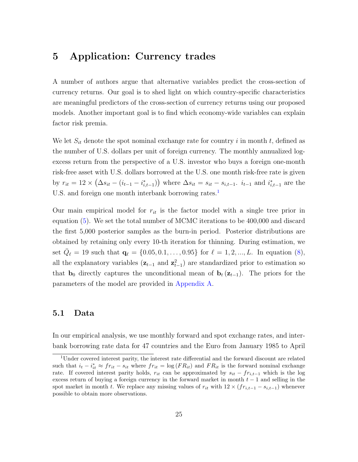## <span id="page-25-1"></span>5 Application: Currency trades

A number of authors argue that alternative variables predict the cross-section of currency returns. Our goal is to shed light on which country-specific characteristics are meaningful predictors of the cross-section of currency returns using our proposed models. Another important goal is to find which economy-wide variables can explain factor risk premia.

We let  $S_{it}$  denote the spot nominal exchange rate for country i in month t, defined as the number of U.S. dollars per unit of foreign currency. The monthly annualized logexcess return from the perspective of a U.S. investor who buys a foreign one-month risk-free asset with U.S. dollars borrowed at the U.S. one month risk-free rate is given by  $r_{it} = 12 \times (\Delta s_{it} - (i_{t-1} - i_{i,t-1}^*))$  where  $\Delta s_{it} = s_{it} - s_{i,t-1}$ .  $i_{t-1}$  and  $i_{i,t-1}^*$  are the U.S. and foreign one month interbank borrowing rates.<sup>[1](#page-25-2)</sup>

Our main empirical model for  $r_{it}$  is the factor model with a single tree prior in equation [\(5\)](#page-9-2). We set the total number of MCMC iterations to be 400,000 and discard the first 5,000 posterior samples as the burn-in period. Posterior distributions are obtained by retaining only every 10-th iteration for thinning. During estimation, we set  $\bar{Q}_{\ell} = 19$  such that  $\mathbf{q}_{\ell} = \{0.05, 0.1, \ldots, 0.95\}$  for  $\ell = 1, 2, \ldots, L$ . In equation [\(8\)](#page-10-0), all the explanatory variables  $(z_{t-1}$  and  $z_{t-1}^2$ ) are standardized prior to estimation so that  $\mathbf{b}_0$  directly captures the unconditional mean of  $\mathbf{b}_t(\mathbf{z}_{t-1})$ . The priors for the parameters of the model are provided in [Appendix A.](#page-49-0)

### <span id="page-25-0"></span>5.1 Data

In our empirical analysis, we use monthly forward and spot exchange rates, and interbank borrowing rate data for 47 countries and the Euro from January 1985 to April

<span id="page-25-2"></span><sup>&</sup>lt;sup>1</sup>Under covered interest parity, the interest rate differential and the forward discount are related such that  $i_t - i_{it}^* \approx fr_{it} - s_{it}$  where  $fr_{it} = \log (FR_{it})$  and  $FR_{it}$  is the forward nominal exchange rate. If covered interest parity holds,  $r_{it}$  can be approximated by  $s_{it} - fr_{i,t-1}$  which is the log excess return of buying a foreign currency in the forward market in month  $t-1$  and selling in the spot market in month t. We replace any missing values of  $r_{it}$  with  $12 \times (fr_{i,t-1} - s_{i,t-1})$  whenever possible to obtain more observations.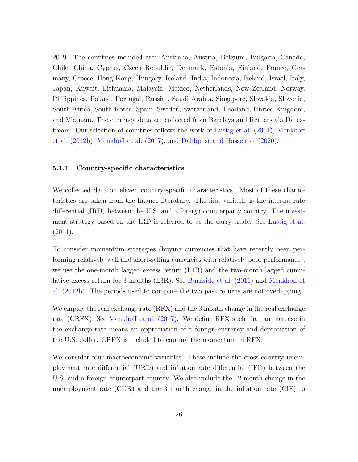2019. The countries included are: Australia, Austria, Belgium, Bulgaria, Canada, Chile, China, Cyprus, Czech Republic, Denmark, Estonia, Finland, France, Germany, Greece, Hong Kong, Hungary, Iceland, India, Indonesia, Ireland, Israel, Italy, Japan, Kuwait, Lithuania, Malaysia, Mexico, Netherlands, New Zealand, Norway, Philippines, Poland, Portugal, Russia , Saudi Arabia, Singapore, Slovakia, Slovenia, South Africa, South Korea, Spain, Sweden, Switzerland, Thailand, United Kingdom, and Vietnam. The currency data are collected from Barclays and Reuters via Datastream. Our selection of countries follows the work of [Lustig et al.](#page-47-0) [\(2011\)](#page-47-0), [Menkhoff](#page-47-1) [et al.](#page-47-1) [\(2012b\)](#page-47-1), [Menkhoff et al.](#page-48-0) [\(2017\)](#page-48-0), and [Dahlquist and Hasseltoft](#page-46-0) [\(2020\)](#page-46-0).

#### 5.1.1 Country-specific characteristics

We collected data on eleven country-specific characteristics. Most of these characteristics are taken from the finance literature. The first variable is the interest rate differential (IRD) between the U.S. and a foreign counterparty country. The investment strategy based on the IRD is referred to as the carry trade. See [Lustig et al.](#page-47-0) [\(2011\)](#page-47-0).

To consider momentum strategies (buying currencies that have recently been performing relatively well and short-selling currencies with relatively poor performance), we use the one-month lagged excess return (L1R) and the two-month lagged cumulative excess return for 3 months (L3R). See [Burnside et al.](#page-44-0) [\(2011\)](#page-44-0) and [Menkhoff et](#page-47-1) [al.](#page-47-1) [\(2012b\)](#page-47-1). The periods used to compute the two past returns are not overlapping.

We employ the real exchange rate (RFX) and the 3 month change in the real exchange rate (CRFX). See [Menkhoff et al.](#page-48-0) [\(2017\)](#page-48-0). We define RFX such that an increase in the exchange rate means an appreciation of a foreign currency and depreciation of the U.S. dollar. CRFX is included to capture the momentum in RFX.

We consider four macroeconomic variables. These include the cross-country unemployment rate differential (URD) and inflation rate differential (IFD) between the U.S. and a foreign counterpart country. We also include the 12 month change in the unemployment rate (CUR) and the 3 month change in the inflation rate (CIF) to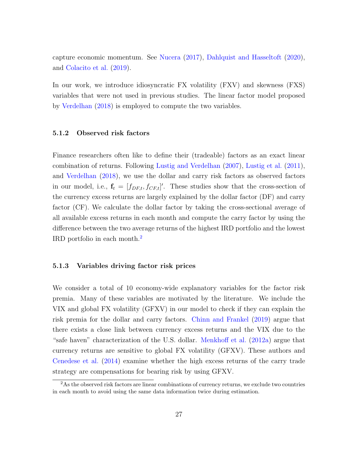capture economic momentum. See [Nucera](#page-48-4) [\(2017\)](#page-48-4), [Dahlquist and Hasseltoft](#page-46-0) [\(2020\)](#page-46-0), and [Colacito et al.](#page-45-1) [\(2019\)](#page-45-1).

In our work, we introduce idiosyncratic FX volatility (FXV) and skewness (FXS) variables that were not used in previous studies. The linear factor model proposed by [Verdelhan](#page-48-5) [\(2018\)](#page-48-5) is employed to compute the two variables.

#### 5.1.2 Observed risk factors

Finance researchers often like to define their (tradeable) factors as an exact linear combination of returns. Following [Lustig and Verdelhan](#page-47-4) [\(2007\)](#page-47-4), [Lustig et al.](#page-47-0) [\(2011\)](#page-47-0), and [Verdelhan](#page-48-5) [\(2018\)](#page-48-5), we use the dollar and carry risk factors as observed factors in our model, i.e.,  $\mathbf{f}_t = [f_{DF,t}, f_{CF,t}]'$ . These studies show that the cross-section of the currency excess returns are largely explained by the dollar factor (DF) and carry factor (CF). We calculate the dollar factor by taking the cross-sectional average of all available excess returns in each month and compute the carry factor by using the difference between the two average returns of the highest IRD portfolio and the lowest IRD portfolio in each month.[2](#page-27-0)

#### 5.1.3 Variables driving factor risk prices

We consider a total of 10 economy-wide explanatory variables for the factor risk premia. Many of these variables are motivated by the literature. We include the VIX and global FX volatility (GFXV) in our model to check if they can explain the risk premia for the dollar and carry factors. [Chinn and Frankel](#page-45-7) [\(2019\)](#page-45-7) argue that there exists a close link between currency excess returns and the VIX due to the "safe haven" characterization of the U.S. dollar. [Menkhoff et al.](#page-47-5) [\(2012a\)](#page-47-5) argue that currency returns are sensitive to global FX volatility (GFXV). These authors and [Cenedese et al.](#page-45-8) [\(2014\)](#page-45-8) examine whether the high excess returns of the carry trade strategy are compensations for bearing risk by using GFXV.

<span id="page-27-0"></span><sup>&</sup>lt;sup>2</sup>As the observed risk factors are linear combinations of currency returns, we exclude two countries in each month to avoid using the same data information twice during estimation.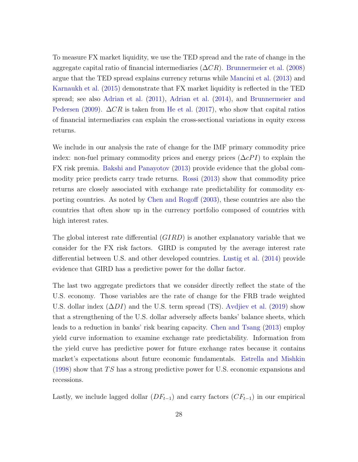To measure FX market liquidity, we use the TED spread and the rate of change in the aggregate capital ratio of financial intermediaries  $(\Delta CR)$ . [Brunnermeier et al.](#page-44-4) [\(2008\)](#page-44-4) argue that the TED spread explains currency returns while [Mancini et al.](#page-47-6) [\(2013\)](#page-47-6) and [Karnaukh et al.](#page-47-7) [\(2015\)](#page-47-7) demonstrate that FX market liquidity is reflected in the TED spread; see also [Adrian et al.](#page-44-5) [\(2011\)](#page-44-5), [Adrian et al.](#page-44-6) [\(2014\)](#page-44-6), and [Brunnermeier and](#page-44-7) [Pedersen](#page-44-7) [\(2009\)](#page-44-7).  $\Delta CR$  is taken from [He et al.](#page-46-9) [\(2017\)](#page-46-9), who show that capital ratios of financial intermediaries can explain the cross-sectional variations in equity excess returns.

We include in our analysis the rate of change for the IMF primary commodity price index: non-fuel primary commodity prices and energy prices  $(\Delta cPI)$  to explain the FX risk premia. [Bakshi and Panayotov](#page-44-8) [\(2013\)](#page-44-8) provide evidence that the global commodity price predicts carry trade returns. [Rossi](#page-48-6) [\(2013\)](#page-48-6) show that commodity price returns are closely associated with exchange rate predictability for commodity exporting countries. As noted by [Chen and Rogoff](#page-45-9) [\(2003\)](#page-45-9), these countries are also the countries that often show up in the currency portfolio composed of countries with high interest rates.

The global interest rate differential  $(GIRD)$  is another explanatory variable that we consider for the FX risk factors. GIRD is computed by the average interest rate differential between U.S. and other developed countries. [Lustig et al.](#page-47-8) [\(2014\)](#page-47-8) provide evidence that GIRD has a predictive power for the dollar factor.

The last two aggregate predictors that we consider directly reflect the state of the U.S. economy. Those variables are the rate of change for the FRB trade weighted U.S. dollar index  $(\Delta DI)$  and the U.S. term spread (TS). [Avdjiev et al.](#page-44-9) [\(2019\)](#page-44-9) show that a strengthening of the U.S. dollar adversely affects banks' balance sheets, which leads to a reduction in banks' risk bearing capacity. [Chen and Tsang](#page-45-10) [\(2013\)](#page-45-10) employ yield curve information to examine exchange rate predictability. Information from the yield curve has predictive power for future exchange rates because it contains market's expectations about future economic fundamentals. [Estrella and Mishkin](#page-46-10)  $(1998)$  show that TS has a strong predictive power for U.S. economic expansions and recessions.

Lastly, we include lagged dollar  $(DF_{t-1})$  and carry factors  $(CF_{t-1})$  in our empirical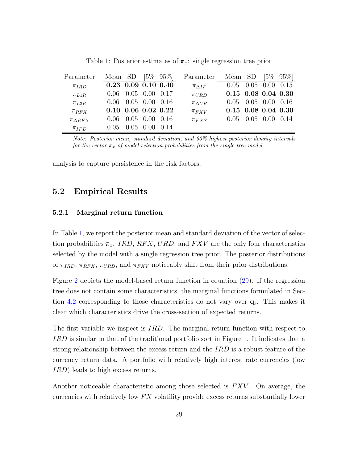<span id="page-29-0"></span>

| Parameter          | Mean SD |      |                          | $[5\% \ 95\%]$ | Parameter          | Mean SD               |                |                      | $[5\% \ 95\%]$ |
|--------------------|---------|------|--------------------------|----------------|--------------------|-----------------------|----------------|----------------------|----------------|
| $\pi_{IRD}$        |         |      | $0.23$ 0.09 0.10 0.40    |                | $\pi_{\Delta IF}$  | 0.05                  |                | $0.05$ $0.00$ $0.15$ |                |
| $\pi_{L1R}$        | 0.06    |      | $0.05$ $0.00$ $0.17$     |                | $\pi_{URD}$        | $0.15$ 0.08 0.04 0.30 |                |                      |                |
| $\pi_{L3R}$        | 0.06    |      | $0.05$ $0.00$ $0.16$     |                | $\pi_{\Delta U R}$ | (1.05)                | 0.05 0.00 0.16 |                      |                |
| $\pi_{RFX}$        |         |      | $0.10\ 0.06\ 0.02\ 0.22$ |                | $\pi_{FXV}$        | $0.15$ 0.08 0.04 0.30 |                |                      |                |
| $\pi_{\Delta RFX}$ | 0.06    | 0.05 | 0.00                     | -0.16          | $\pi_{FXS}$        | (1.05)                | 0.05           | 0.00                 | (0.14)         |
| $\pi_{IFD}$        | 0.05    | 0.05 | (1.00)                   | (0.14)         |                    |                       |                |                      |                |

Table 1: Posterior estimates of  $\pi_x$ : single regression tree prior

Note: Posterior mean, standard deviation, and 90% highest posterior density intervals for the vector  $\pi_x$  of model selection probabilities from the single tree model.

analysis to capture persistence in the risk factors.

## 5.2 Empirical Results

#### 5.2.1 Marginal return function

In Table [1,](#page-29-0) we report the posterior mean and standard deviation of the vector of selection probabilities  $\pi_x$ . IRD, RFX, URD, and FXV are the only four characteristics selected by the model with a single regression tree prior. The posterior distributions of  $\pi_{IRD}$ ,  $\pi_{RFX}$ ,  $\pi_{URD}$ , and  $\pi_{FXV}$  noticeably shift from their prior distributions.

Figure [2](#page-30-0) depicts the model-based return function in equation [\(29\)](#page-24-0). If the regression tree does not contain some characteristics, the marginal functions formulated in Sec-tion [4.2](#page-23-0) corresponding to those characteristics do not vary over  $q_\ell$ . This makes it clear which characteristics drive the cross-section of expected returns.

The first variable we inspect is *IRD*. The marginal return function with respect to IRD is similar to that of the traditional portfolio sort in Figure [1.](#page-7-0) It indicates that a strong relationship between the excess return and the  $IRD$  is a robust feature of the currency return data. A portfolio with relatively high interest rate currencies (low IRD) leads to high excess returns.

Another noticeable characteristic among those selected is  $FXV$ . On average, the currencies with relatively low  $FX$  volatility provide excess returns substantially lower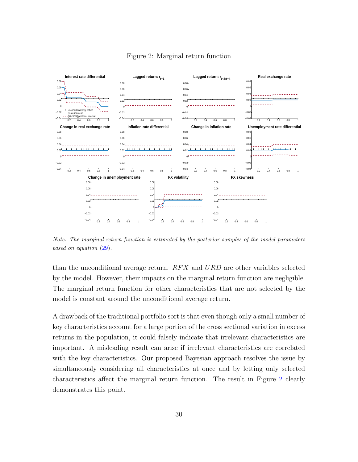<span id="page-30-0"></span>

#### Figure 2: Marginal return function

Note: The marginal return function is estimated by the posterior samples of the model parameters based on equation [\(29\)](#page-24-0).

than the unconditional average return.  $RFX$  and  $URD$  are other variables selected by the model. However, their impacts on the marginal return function are negligible. The marginal return function for other characteristics that are not selected by the model is constant around the unconditional average return.

A drawback of the traditional portfolio sort is that even though only a small number of key characteristics account for a large portion of the cross sectional variation in excess returns in the population, it could falsely indicate that irrelevant characteristics are important. A misleading result can arise if irrelevant characteristics are correlated with the key characteristics. Our proposed Bayesian approach resolves the issue by simultaneously considering all characteristics at once and by letting only selected characteristics affect the marginal return function. The result in Figure [2](#page-30-0) clearly demonstrates this point.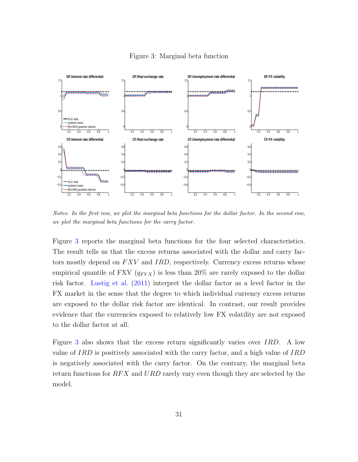<span id="page-31-0"></span>

#### Figure 3: Marginal beta function

Notes: In the first row, we plot the marginal beta functions for the dollar factor. In the second row, we plot the marginal beta functions for the carry factor.

Figure [3](#page-31-0) reports the marginal beta functions for the four selected characteristics. The result tells us that the excess returns associated with the dollar and carry factors mostly depend on  $FXV$  and  $IRD$ , respectively. Currency excess returns whose empirical quantile of FXV  $(q_{FVX})$  is less than 20% are rarely exposed to the dollar risk factor. [Lustig et al.](#page-47-0) [\(2011\)](#page-47-0) interpret the dollar factor as a level factor in the FX market in the sense that the degree to which individual currency excess returns are exposed to the dollar risk factor are identical. In contrast, our result provides evidence that the currencies exposed to relatively low FX volatility are not exposed to the dollar factor at all.

Figure [3](#page-31-0) also shows that the excess return significantly varies over IRD. A low value of IRD is positively associated with the carry factor, and a high value of IRD is negatively associated with the carry factor. On the contrary, the marginal beta return functions for  $RFX$  and  $URD$  rarely vary even though they are selected by the model.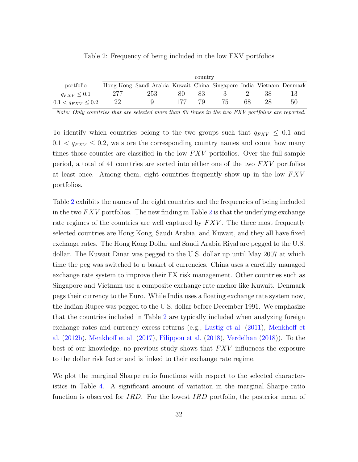<span id="page-32-0"></span>

|                       | country |                                                                     |     |  |  |    |  |    |  |  |
|-----------------------|---------|---------------------------------------------------------------------|-----|--|--|----|--|----|--|--|
| portfolio             |         | Hong Kong Saudi Arabia Kuwait China Singapore India Vietnam Denmark |     |  |  |    |  |    |  |  |
| $q_{FXV} \leq 0.1$    |         | 253                                                                 | 80. |  |  |    |  |    |  |  |
| $0.1 < q_{FXV} < 0.2$ | 22      |                                                                     |     |  |  | 68 |  | 50 |  |  |

Table 2: Frequency of being included in the low FXV portfolios

Note: Only countries that are selected more than 60 times in the two FXV portfolios are reported.

To identify which countries belong to the two groups such that  $q_{FXV} \leq 0.1$  and  $0.1 < q_{FXV} \leq 0.2$ , we store the corresponding country names and count how many times those counties are classified in the low  $FXV$  portfolios. Over the full sample period, a total of 41 countries are sorted into either one of the two  $FXV$  portfolios at least once. Among them, eight countries frequently show up in the low  $FXV$ portfolios.

Table [2](#page-32-0) exhibits the names of the eight countries and the frequencies of being included in the two  $FXV$  portfolios. The new finding in Table [2](#page-32-0) is that the underlying exchange rate regimes of the countries are well captured by  $FXV$ . The three most frequently selected countries are Hong Kong, Saudi Arabia, and Kuwait, and they all have fixed exchange rates. The Hong Kong Dollar and Saudi Arabia Riyal are pegged to the U.S. dollar. The Kuwait Dinar was pegged to the U.S. dollar up until May 2007 at which time the peg was switched to a basket of currencies. China uses a carefully managed exchange rate system to improve their FX risk management. Other countries such as Singapore and Vietnam use a composite exchange rate anchor like Kuwait. Denmark pegs their currency to the Euro. While India uses a floating exchange rate system now, the Indian Rupee was pegged to the U.S. dollar before December 1991. We emphasize that the countries included in Table [2](#page-32-0) are typically included when analyzing foreign exchange rates and currency excess returns (e.g., [Lustig et al.](#page-47-0) [\(2011\)](#page-47-0), [Menkhoff et](#page-47-1) [al.](#page-47-1) [\(2012b\)](#page-47-1), [Menkhoff et al.](#page-48-0) [\(2017\)](#page-48-0), [Filippou et al.](#page-46-11) [\(2018\)](#page-46-11), [Verdelhan](#page-48-5) [\(2018\)](#page-48-5)). To the best of our knowledge, no previous study shows that  $FXV$  influences the exposure to the dollar risk factor and is linked to their exchange rate regime.

We plot the marginal Sharpe ratio functions with respect to the selected characteristics in Table [4.](#page-33-0) A significant amount of variation in the marginal Sharpe ratio function is observed for IRD. For the lowest IRD portfolio, the posterior mean of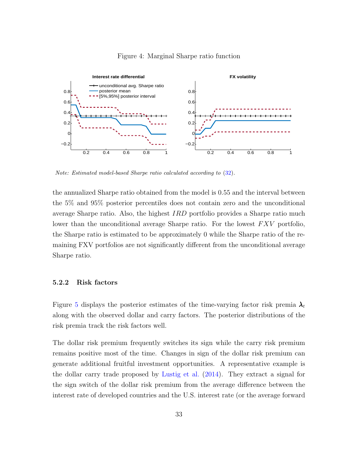<span id="page-33-0"></span>

#### Figure 4: Marginal Sharpe ratio function

Note: Estimated model-based Sharpe ratio calculated according to [\(32\)](#page-24-1).

the annualized Sharpe ratio obtained from the model is 0.55 and the interval between the 5% and 95% posterior percentiles does not contain zero and the unconditional average Sharpe ratio. Also, the highest  $IRD$  portfolio provides a Sharpe ratio much lower than the unconditional average Sharpe ratio. For the lowest  $FXV$  portfolio, the Sharpe ratio is estimated to be approximately 0 while the Sharpe ratio of the remaining FXV portfolios are not significantly different from the unconditional average Sharpe ratio.

### 5.2.2 Risk factors

Figure [5](#page-34-0) displays the posterior estimates of the time-varying factor risk premia  $\lambda_t$ along with the observed dollar and carry factors. The posterior distributions of the risk premia track the risk factors well.

The dollar risk premium frequently switches its sign while the carry risk premium remains positive most of the time. Changes in sign of the dollar risk premium can generate additional fruitful investment opportunities. A representative example is the dollar carry trade proposed by [Lustig et al.](#page-47-8) [\(2014\)](#page-47-8). They extract a signal for the sign switch of the dollar risk premium from the average difference between the interest rate of developed countries and the U.S. interest rate (or the average forward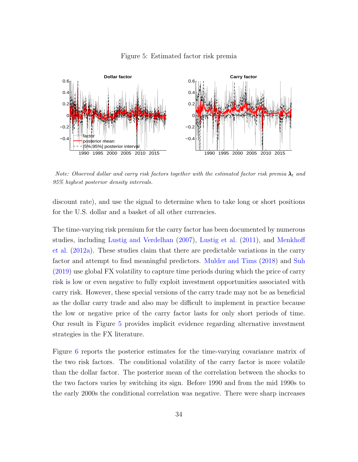<span id="page-34-0"></span>

#### Figure 5: Estimated factor risk premia

Note: Observed dollar and carry risk factors together with the estimated factor risk premia  $\lambda_t$  and 95% highest posterior density intervals.

discount rate), and use the signal to determine when to take long or short positions for the U.S. dollar and a basket of all other currencies.

The time-varying risk premium for the carry factor has been documented by numerous studies, including [Lustig and Verdelhan](#page-47-4) [\(2007\)](#page-47-4), [Lustig et al.](#page-47-0) [\(2011\)](#page-47-0), and [Menkhoff](#page-47-5) [et al.](#page-47-5) [\(2012a\)](#page-47-5). These studies claim that there are predictable variations in the carry factor and attempt to find meaningful predictors. [Mulder and Tims](#page-48-7) [\(2018\)](#page-48-7) and [Suh](#page-48-8) [\(2019\)](#page-48-8) use global FX volatility to capture time periods during which the price of carry risk is low or even negative to fully exploit investment opportunities associated with carry risk. However, these special versions of the carry trade may not be as beneficial as the dollar carry trade and also may be difficult to implement in practice because the low or negative price of the carry factor lasts for only short periods of time. Our result in Figure [5](#page-34-0) provides implicit evidence regarding alternative investment strategies in the FX literature.

Figure [6](#page-35-0) reports the posterior estimates for the time-varying covariance matrix of the two risk factors. The conditional volatility of the carry factor is more volatile than the dollar factor. The posterior mean of the correlation between the shocks to the two factors varies by switching its sign. Before 1990 and from the mid 1990s to the early 2000s the conditional correlation was negative. There were sharp increases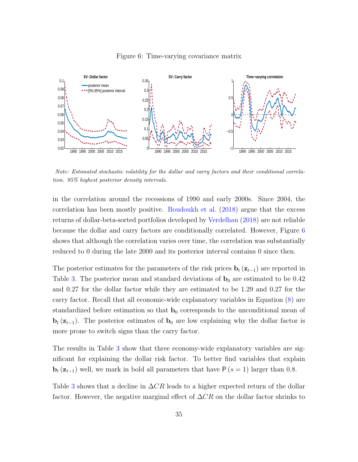<span id="page-35-0"></span>

#### Figure 6: Time-varying covariance matrix

Note: Estimated stochastic volatility for the dollar and carry factors and their conditional correlation. 95% highest posterior density intervals.

in the correlation around the recessions of 1990 and early 2000s. Since 2004, the correlation has been mostly positive. [Boudoukh et al.](#page-44-10) [\(2018\)](#page-44-10) argue that the excess returns of dollar-beta-sorted portfolios developed by [Verdelhan](#page-48-5) [\(2018\)](#page-48-5) are not reliable because the dollar and carry factors are conditionally correlated. However, Figure [6](#page-35-0) shows that although the correlation varies over time, the correlation was substantially reduced to 0 during the late 2000 and its posterior interval contains 0 since then.

The posterior estimates for the parameters of the risk prices  $\mathbf{b}_t$  ( $\mathbf{z}_{t-1}$ ) are reported in Table [3.](#page-36-0) The posterior mean and standard deviations of  $\mathbf{b}_0$  are estimated to be 0.42 and 0.27 for the dollar factor while they are estimated to be 1.29 and 0.27 for the carry factor. Recall that all economic-wide explanatory variables in Equation [\(8\)](#page-10-0) are standardized before estimation so that  $\mathbf{b}_0$  corresponds to the unconditional mean of **. The posterior estimates of**  $**b**<sub>0</sub>$  **are low explaining why the dollar factor is** more prone to switch signs than the carry factor.

The results in Table [3](#page-36-0) show that three economy-wide explanatory variables are significant for explaining the dollar risk factor. To better find variables that explain  **well, we mark in bold all parameters that have**  $P(s = 1)$  **larger than 0.8.** 

Table [3](#page-36-0) shows that a decline in  $\Delta CR$  leads to a higher expected return of the dollar factor. However, the negative marginal effect of  $\Delta CR$  on the dollar factor shrinks to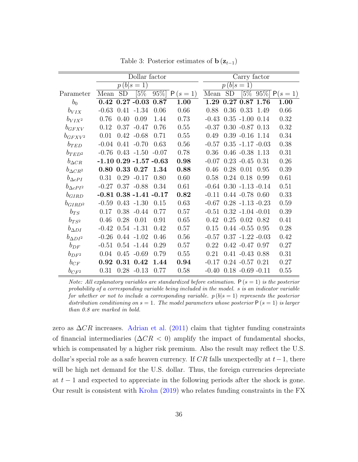<span id="page-36-0"></span>

|                    |            |           | Carry factor                 |                   |            |         |                                  |                      |      |                 |  |  |
|--------------------|------------|-----------|------------------------------|-------------------|------------|---------|----------------------------------|----------------------|------|-----------------|--|--|
|                    | $p(b s=1)$ |           |                              |                   |            |         | p(b)<br>$\vert 1 \vert$<br>$ s=$ |                      |      |                 |  |  |
| Parameter          | Mean       | <b>SD</b> | $\sqrt{5\%}$                 | $\overline{95\%}$ | $P(s = 1)$ | Mean    | <b>SD</b>                        | $[5\%]$              |      | $95\%$ P(s = 1) |  |  |
| $b_0$              | 0.42       |           | $0.27 - 0.03$                | 0.87              | 1.00       | 1.29    |                                  | 0.27 0.87 1.76       |      | 1.00            |  |  |
| $b_{VIX}$          | $-0.63$    | 0.41      | $-1.34$                      | 0.06              | 0.66       | 0.88    | 0.36                             | 0.33                 | 1.49 | 0.66            |  |  |
| $b_{VIX^2}$        | 0.76       | 0.40      | 0.09                         | 1.44              | 0.73       | $-0.43$ |                                  | $0.35 - 1.00$ $0.14$ |      | 0.32            |  |  |
| $b_{GFXV}$         | 0.12       | 0.37      | $-0.47$                      | 0.76              | 0.55       | $-0.37$ |                                  | $0.30 - 0.87 0.13$   |      | 0.32            |  |  |
| $b_{GFXV^2}$       | 0.01       |           | $0.42 - 0.68$                | 0.71              | 0.55       | 0.49    |                                  | $0.39 - 0.16$ 1.14   |      | 0.34            |  |  |
| $b_{TED}$          | $-0.04$    | 0.41      | $-0.70$                      | 0.63              | 0.56       | $-0.57$ |                                  | $0.35 - 1.17 - 0.03$ |      | 0.38            |  |  |
| $b_{TED^2}$        | $-0.76$    |           | $0.43 - 1.50$                | $-0.07$           | 0.78       | 0.36    |                                  | $0.46 - 0.38$ 1.13   |      | 0.31            |  |  |
| $b_{\Delta CR}$    |            |           | $-1.10$ 0.29 $-1.57$ $-0.63$ |                   | 0.98       | $-0.07$ |                                  | $0.23 - 0.45 0.31$   |      | 0.26            |  |  |
| $b_{\Delta CR^2}$  | 0.80       |           | 0.33 0.27                    | 1.34              | 0.88       | 0.46    | 0.28                             | 0.01                 | 0.95 | 0.39            |  |  |
| $b_{\Delta cPI}$   | 0.31       | 0.29      | $-0.17$                      | 0.80              | 0.60       | 0.58    | 0.24                             | 0.18                 | 0.99 | 0.61            |  |  |
| $b_{\Delta cPI^2}$ | $-0.27$    |           | $0.37 - 0.88$                | 0.34              | 0.61       | $-0.64$ |                                  | $0.30 - 1.13 - 0.14$ |      | 0.51            |  |  |
| $b_{GIRD}$         |            |           | $-0.81$ 0.38 $-1.41$ $-0.17$ |                   | 0.82       | $-0.11$ |                                  | $0.44 - 0.78$ 0.60   |      | 0.33            |  |  |
| $b_{GIRD^2}$       | $-0.59$    |           | $0.43 - 1.30$                | 0.15              | 0.63       | $-0.67$ |                                  | $0.28 - 1.13 - 0.23$ |      | 0.59            |  |  |
| $b_{TS}$           | 0.17       | 0.38      | $-0.44$                      | 0.77              | 0.57       | $-0.51$ |                                  | $0.32 - 1.04 - 0.01$ |      | 0.39            |  |  |
| $b_{TS^2}$         | 0.46       | 0.28      | 0.01                         | 0.91              | 0.65       | 0.42    |                                  | $0.25$ $0.02$ $0.82$ |      | 0.41            |  |  |
| $b_{\Delta DI}$    | $-0.42$    |           | $0.54 - 1.31$                | 0.42              | 0.57       | 0.15    |                                  | $0.44 - 0.55 0.95$   |      | 0.28            |  |  |
| $b_{\Delta DI^2}$  | $-0.26$    |           | $0.44 - 1.02$                | 0.46              | 0.56       | $-0.57$ |                                  | $0.37 - 1.22 - 0.03$ |      | 0.42            |  |  |
| $b_{DF}$           | $-0.51$    |           | $0.54 - 1.44$                | 0.29              | 0.57       | 0.22    |                                  | $0.42 - 0.47$ 0.97   |      | 0.27            |  |  |
| $b_{DF^2}$         | 0.04       |           | $0.45 - 0.69$                | 0.79              | 0.55       | 0.21    |                                  | $0.41 - 0.43$ $0.88$ |      | 0.31            |  |  |
| $b_{CF}$           | 0.92       | 0.31      | 0.42                         | 1.44              | 0.94       | $-0.17$ |                                  | $0.24 - 0.57$ $0.21$ |      | 0.27            |  |  |
| $b_{CF^2}$         | 0.31       |           | $0.28 - 0.13$                | 0.77              | 0.58       | $-0.40$ |                                  | $0.18 - 0.69 - 0.11$ |      | 0.55            |  |  |

Table 3: Posterior estimates of  $\mathbf{b}(\mathbf{z}_{t-1})$ 

Note: All explanatory variables are standardized before estimation.  $P(s = 1)$  is the posterior probability of a corresponding variable being included in the model. s is an indicator variable for whether or not to include a corresponding variable.  $p(b|s=1)$  represents the posterior distribution conditioning on  $s = 1$ . The model parameters whose posterior  $P(s = 1)$  is larger than 0.8 are marked in bold.

zero as  $\Delta CR$  increases. [Adrian et al.](#page-44-5) [\(2011\)](#page-44-5) claim that tighter funding constraints of financial intermediaries ( $\Delta CR < 0$ ) amplify the impact of fundamental shocks, which is compensated by a higher risk premium. Also the result may reflect the U.S. dollar's special role as a safe heaven currency. If  $CR$  falls unexpectedly at  $t-1$ , there will be high net demand for the U.S. dollar. Thus, the foreign currencies depreciate at  $t-1$  and expected to appreciate in the following periods after the shock is gone. Our result is consistent with [Krohn](#page-47-9) [\(2019\)](#page-47-9) who relates funding constraints in the FX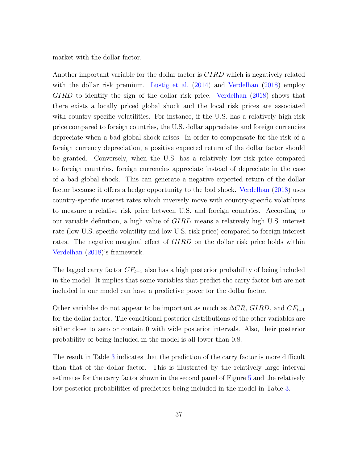market with the dollar factor.

Another important variable for the dollar factor is GIRD which is negatively related with the dollar risk premium. [Lustig et al.](#page-47-8) [\(2014\)](#page-47-8) and [Verdelhan](#page-48-5) [\(2018\)](#page-48-5) employ GIRD to identify the sign of the dollar risk price. [Verdelhan](#page-48-5) [\(2018\)](#page-48-5) shows that there exists a locally priced global shock and the local risk prices are associated with country-specific volatilities. For instance, if the U.S. has a relatively high risk price compared to foreign countries, the U.S. dollar appreciates and foreign currencies depreciate when a bad global shock arises. In order to compensate for the risk of a foreign currency depreciation, a positive expected return of the dollar factor should be granted. Conversely, when the U.S. has a relatively low risk price compared to foreign countries, foreign currencies appreciate instead of depreciate in the case of a bad global shock. This can generate a negative expected return of the dollar factor because it offers a hedge opportunity to the bad shock. [Verdelhan](#page-48-5) [\(2018\)](#page-48-5) uses country-specific interest rates which inversely move with country-specific volatilities to measure a relative risk price between U.S. and foreign countries. According to our variable definition, a high value of GIRD means a relatively high U.S. interest rate (low U.S. specific volatility and low U.S. risk price) compared to foreign interest rates. The negative marginal effect of  $GIRD$  on the dollar risk price holds within [Verdelhan](#page-48-5) [\(2018\)](#page-48-5)'s framework.

The lagged carry factor  $CF_{t-1}$  also has a high posterior probability of being included in the model. It implies that some variables that predict the carry factor but are not included in our model can have a predictive power for the dollar factor.

Other variables do not appear to be important as much as  $\Delta CR$ , GIRD, and  $CF_{t-1}$ for the dollar factor. The conditional posterior distributions of the other variables are either close to zero or contain 0 with wide posterior intervals. Also, their posterior probability of being included in the model is all lower than 0.8.

The result in Table [3](#page-36-0) indicates that the prediction of the carry factor is more difficult than that of the dollar factor. This is illustrated by the relatively large interval estimates for the carry factor shown in the second panel of Figure [5](#page-34-0) and the relatively low posterior probabilities of predictors being included in the model in Table [3.](#page-36-0)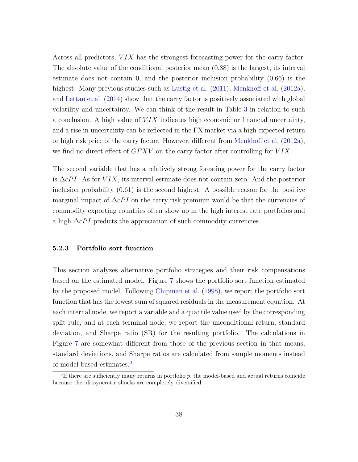Across all predictors,  $VIX$  has the strongest forecasting power for the carry factor. The absolute value of the conditional posterior mean (0.88) is the largest, its interval estimate does not contain 0, and the posterior inclusion probability (0.66) is the highest. Many previous studies such as [Lustig et al.](#page-47-0) [\(2011\)](#page-47-0), [Menkhoff et al.](#page-47-5) [\(2012a\)](#page-47-5), and [Lettau et al.](#page-47-10) [\(2014\)](#page-47-10) show that the carry factor is positively associated with global volatility and uncertainty. We can think of the result in Table [3](#page-36-0) in relation to such a conclusion. A high value of  $VIX$  indicates high economic or financial uncertainty, and a rise in uncertainty can be reflected in the FX market via a high expected return or high risk price of the carry factor. However, different from [Menkhoff et al.](#page-47-5) [\(2012a\)](#page-47-5), we find no direct effect of  $GFXV$  on the carry factor after controlling for  $VIX$ .

The second variable that has a relatively strong foresting power for the carry factor is  $\Delta cPI$ . As for VIX, its interval estimate does not contain zero. And the posterior inclusion probability (0.61) is the second highest. A possible reason for the positive marginal impact of  $\Delta cPI$  on the carry risk premium would be that the currencies of commodity exporting countries often show up in the high interest rate portfolios and a high  $\Delta cPI$  predicts the appreciation of such commodity currencies.

#### 5.2.3 Portfolio sort function

This section analyzes alternative portfolio strategies and their risk compensations based on the estimated model. Figure [7](#page-39-0) shows the portfolio sort function estimated by the proposed model. Following [Chipman et al.](#page-45-3) [\(1998\)](#page-45-3), we report the portfolio sort function that has the lowest sum of squared residuals in the measurement equation. At each internal node, we report a variable and a quantile value used by the corresponding split rule, and at each terminal node, we report the unconditional return, standard deviation, and Sharpe ratio (SR) for the resulting portfolio. The calculations in Figure [7](#page-39-0) are somewhat different from those of the previous section in that means, standard deviations, and Sharpe ratios are calculated from sample moments instead of model-based estimates.[3](#page-38-0)

<span id="page-38-0"></span><sup>&</sup>lt;sup>3</sup>If there are sufficiently many returns in portfolio  $p$ , the model-based and actual returns coincide because the idiosyncratic shocks are completely diversified.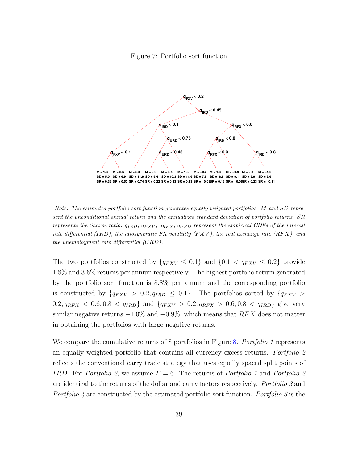#### Figure 7: Portfolio sort function

<span id="page-39-0"></span>

Note: The estimated portfolio sort function generates equally weighted portfolios. M and SD represent the unconditional annual return and the annualized standard deviation of portfolio returns. SR represents the Sharpe ratio.  $q_{IBD}$ ,  $q_{FXV}$ ,  $q_{RFX}$ ,  $q_{UBD}$  represent the empirical CDFs of the interest rate differential (IRD), the idiosyncratic FX volatility (FXV), the real exchange rate (RFX), and the unemployment rate differential (URD).

The two portfolios constructed by  $\{q_{FXV} \leq 0.1\}$  and  $\{0.1 < q_{FXV} \leq 0.2\}$  provide 1.8% and 3.6% returns per annum respectively. The highest portfolio return generated by the portfolio sort function is 8.8% per annum and the corresponding portfolio is constructed by  $\{q_{FXV} > 0.2, q_{IRD} \leq 0.1\}$ . The portfolios sorted by  $\{q_{FXV} >$  $0.2, q_{RFX} < 0.6, 0.8 < q_{IRD}$  and  $\{q_{FXV} > 0.2, q_{RFX} > 0.6, 0.8 < q_{IRD}\}\$  give very similar negative returns  $-1.0\%$  and  $-0.9\%$ , which means that RFX does not matter in obtaining the portfolios with large negative returns.

We compare the cumulative returns of 8 portfolios in Figure [8.](#page-40-0) Portfolio 1 represents an equally weighted portfolio that contains all currency excess returns. Portfolio 2 reflects the conventional carry trade strategy that uses equally spaced split points of IRD. For Portfolio 2, we assume  $P = 6$ . The returns of Portfolio 1 and Portfolio 2 are identical to the returns of the dollar and carry factors respectively. Portfolio 3 and Portfolio 4 are constructed by the estimated portfolio sort function. Portfolio 3 is the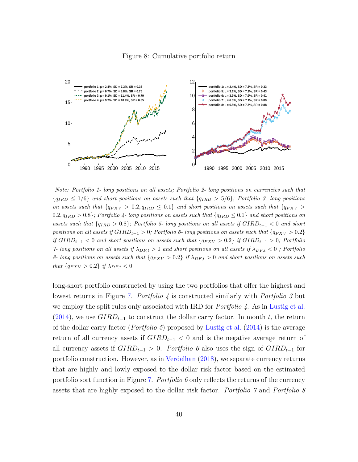#### Figure 8: Cumulative portfolio return

<span id="page-40-0"></span>

Note: Portfolio 1- long positions on all assets; Portfolio 2- long positions on currencies such that  ${q_{IRD} \leq 1/6}$  and short positions on assets such that  ${q_{IRD} > 5/6}$ ; Portfolio 3- long positions on assets such that  $\{q_{FXV} > 0.2, q_{IRD} \leq 0.1\}$  and short positions on assets such that  $\{q_{FXV} > 0.2, q_{IRD} \leq 0.1\}$  $0.2, q_{IRD} > 0.8$ ; Portfolio 4- long positions on assets such that  $\{q_{IRD} \le 0.1\}$  and short positions on assets such that  ${q_{IRD} > 0.8}$ ; Portfolio 5- long positions on all assets if  $GIRD_{t-1} < 0$  and short positions on all assets if  $GIRD_{t-1} > 0$ ; Portfolio 6- long positions on assets such that  $\{q_{FXV} > 0.2\}$ if  $GIRD_{t-1} < 0$  and short positions on assets such that  ${q_{FXV} > 0.2}$  if  $GIRD_{t-1} > 0$ ; Portfolio 7- long positions on all assets if  $\lambda_{DF,t} > 0$  and short positions on all assets if  $\lambda_{DF,t} < 0$ ; Portfolio 8- long positions on assets such that  $\{q_{FXV} > 0.2\}$  if  $\lambda_{DF,t} > 0$  and short positions on assets such that  $\{q_{FXV} > 0.2\}$  if  $\lambda_{DF,t} < 0$ 

long-short portfolio constructed by using the two portfolios that offer the highest and lowest returns in Figure [7.](#page-39-0) Portfolio 4 is constructed similarly with Portfolio 3 but we employ the split rules only associated with IRD for *Portfolio 4*. As in [Lustig et al.](#page-47-8) [\(2014\)](#page-47-8), we use  $GIRD_{t-1}$  to construct the dollar carry factor. In month t, the return of the dollar carry factor (*Portfolio 5*) proposed by [Lustig et al.](#page-47-8) [\(2014\)](#page-47-8) is the average return of all currency assets if  $GIRD_{t-1} < 0$  and is the negative average return of all currency assets if  $GIRD_{t-1} > 0$ . Portfolio 6 also uses the sign of  $GIRD_{t-1}$  for portfolio construction. However, as in [Verdelhan](#page-48-5) [\(2018\)](#page-48-5), we separate currency returns that are highly and lowly exposed to the dollar risk factor based on the estimated portfolio sort function in Figure [7.](#page-39-0) Portfolio 6 only reflects the returns of the currency assets that are highly exposed to the dollar risk factor. Portfolio 7 and Portfolio 8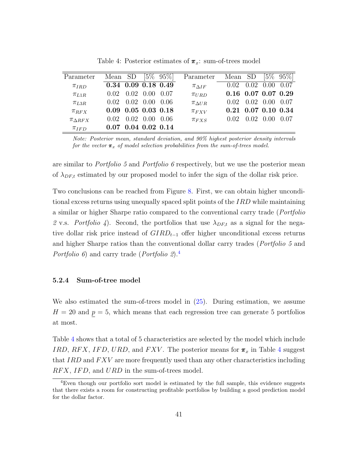<span id="page-41-1"></span>

| Parameter            | Mean SD |      |                             | $[5\% \ 95\%]$ | Parameter          | Mean SD                     |      | $5\%$  | $95\%$ |
|----------------------|---------|------|-----------------------------|----------------|--------------------|-----------------------------|------|--------|--------|
| $\pi_{IRD}$          |         |      | $0.34$ 0.09 0.18 0.49       |                | $\pi_{\Delta IF}$  | 0.02                        | 0.02 | 0.00   | 0.07   |
| $\pi_{L1R}$          | 0.02    |      | $0.02 \quad 0.00$           | 0.07           | $\pi_{URD}$        | $0.16$ $0.07$ $0.07$ $0.29$ |      |        |        |
| $\pi_{L3R}$          | 0.02    |      | $0.02 \quad 0.00$           | 0.06           | $\pi_{\Delta U R}$ | 0.02                        | 0.02 | 0.00   | 0.07   |
| $\pi_{RFX}$          |         |      | $0.09$ $0.05$ $0.03$ $0.18$ |                | $\pi_{FXV}$        | $0.21$ $0.07$ $0.10$ $0.34$ |      |        |        |
| $\pi_{\Lambda\,RFX}$ | 0.02    | 0.02 | 0.00                        | -0.06          | $\pi_{FXS}$        | 0.02                        | 0.02 | (1)(1) | 0.07   |
| $\pi_{IFD}$          |         |      | $0.04$ 0.02 0.14            |                |                    |                             |      |        |        |

Table 4: Posterior estimates of  $\pi_x$ : sum-of-trees model

Note: Posterior mean, standard deviation, and 90% highest posterior density intervals for the vector  $\pi_x$  of model selection probabilities from the sum-of-trees model.

are similar to Portfolio 5 and Portfolio 6 respectively, but we use the posterior mean of  $\lambda_{DF,t}$  estimated by our proposed model to infer the sign of the dollar risk price.

Two conclusions can be reached from Figure [8.](#page-40-0) First, we can obtain higher unconditional excess returns using unequally spaced split points of the IRD while maintaining a similar or higher Sharpe ratio compared to the conventional carry trade (Portfolio 2 v.s. Portfolio 4). Second, the portfolios that use  $\lambda_{DF,t}$  as a signal for the negative dollar risk price instead of  $GIRD_{t-1}$  offer higher unconditional excess returns and higher Sharpe ratios than the conventional dollar carry trades (Portfolio 5 and Portfolio 6) and carry trade (Portfolio 2).<sup>[4](#page-41-0)</sup>

#### 5.2.4 Sum-of-tree model

We also estimated the sum-of-trees model in [\(25\)](#page-19-0). During estimation, we assume  $H = 20$  and  $p = 5$ , which means that each regression tree can generate 5 portfolios at most.

Table [4](#page-41-1) shows that a total of 5 characteristics are selected by the model which include IRD, RFX, IFD, URD, and FXV. The posterior means for  $\pi_x$  in Table [4](#page-41-1) suggest that  $IRD$  and  $FXV$  are more frequently used than any other characteristics including RFX, IFD, and URD in the sum-of-trees model.

<span id="page-41-0"></span><sup>4</sup>Even though our portfolio sort model is estimated by the full sample, this evidence suggests that there exists a room for constructing profitable portfolios by building a good prediction model for the dollar factor.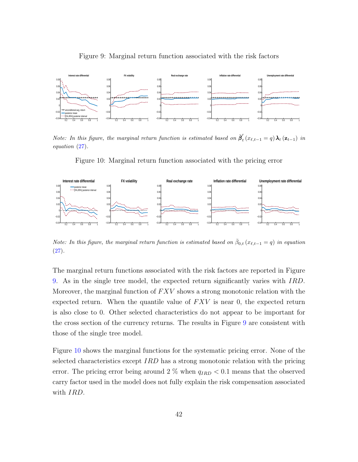<span id="page-42-0"></span>

Figure 9: Marginal return function associated with the risk factors

<span id="page-42-1"></span>Note: In this figure, the marginal return function is estimated based on  $\bar{\beta}'_t$  $t_{t}$  ( $x_{\ell,t-1} = q$ )  $\lambda_{t}$  ( $\mathbf{z}_{t-1}$ ) in equation [\(27\)](#page-23-1).

Figure 10: Marginal return function associated with the pricing error



Note: In this figure, the marginal return function is estimated based on  $\bar{\beta}_{0,t}$  ( $x_{\ell,t-1} = q$ ) in equation  $(27).$  $(27).$ 

The marginal return functions associated with the risk factors are reported in Figure [9.](#page-42-0) As in the single tree model, the expected return significantly varies with IRD. Moreover, the marginal function of  $FXV$  shows a strong monotonic relation with the expected return. When the quantile value of  $FXV$  is near 0, the expected return is also close to 0. Other selected characteristics do not appear to be important for the cross section of the currency returns. The results in Figure [9](#page-42-0) are consistent with those of the single tree model.

Figure [10](#page-42-1) shows the marginal functions for the systematic pricing error. None of the selected characteristics except  $IRD$  has a strong monotonic relation with the pricing error. The pricing error being around 2 % when  $q_{IRD} < 0.1$  means that the observed carry factor used in the model does not fully explain the risk compensation associated with *IRD*.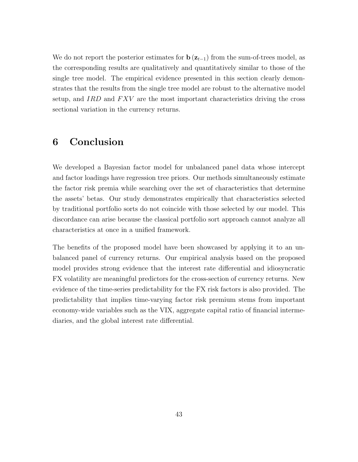We do not report the posterior estimates for  $\mathbf{b}(\mathbf{z}_{t-1})$  from the sum-of-trees model, as the corresponding results are qualitatively and quantitatively similar to those of the single tree model. The empirical evidence presented in this section clearly demonstrates that the results from the single tree model are robust to the alternative model setup, and  $IRD$  and  $FXV$  are the most important characteristics driving the cross sectional variation in the currency returns.

## 6 Conclusion

We developed a Bayesian factor model for unbalanced panel data whose intercept and factor loadings have regression tree priors. Our methods simultaneously estimate the factor risk premia while searching over the set of characteristics that determine the assets' betas. Our study demonstrates empirically that characteristics selected by traditional portfolio sorts do not coincide with those selected by our model. This discordance can arise because the classical portfolio sort approach cannot analyze all characteristics at once in a unified framework.

The benefits of the proposed model have been showcased by applying it to an unbalanced panel of currency returns. Our empirical analysis based on the proposed model provides strong evidence that the interest rate differential and idiosyncratic FX volatility are meaningful predictors for the cross-section of currency returns. New evidence of the time-series predictability for the FX risk factors is also provided. The predictability that implies time-varying factor risk premium stems from important economy-wide variables such as the VIX, aggregate capital ratio of financial intermediaries, and the global interest rate differential.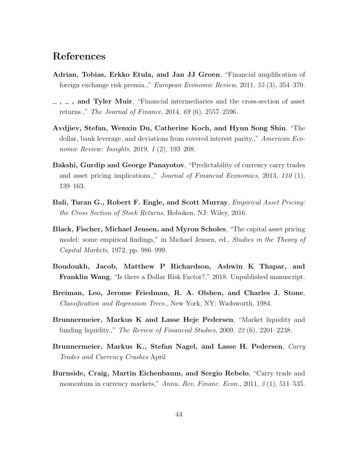## References

- <span id="page-44-5"></span>Adrian, Tobias, Erkko Etula, and Jan JJ Groen, "Financial amplification of foreign exchange risk premia.," European Economic Review, 2011, 55 (3), 354–370.
- <span id="page-44-6"></span> $\mu$ ,  $\mu$ , and Tyler Muir, "Financial intermediaries and the cross-section of asset returns.," The Journal of Finance, 2014, 69 (6), 2557–2596.
- <span id="page-44-9"></span>Avdjiev, Stefan, Wenxin Du, Catherine Koch, and Hyun Song Shin, "The dollar, bank leverage, and deviations from covered interest parity.," American Economic Review: Insights, 2019, 1 (2), 193–208.
- <span id="page-44-8"></span>Bakshi, Gurdip and George Panayotov, "Predictability of currency carry trades and asset pricing implications.," Journal of Financial Economics, 2013, 110 (1), 139–163.
- <span id="page-44-3"></span>Bali, Turan G., Robert F. Engle, and Scott Murray, *Empirical Asset Pricing:* the Cross Section of Stock Returns, Hoboken, NJ: Wiley, 2016.
- <span id="page-44-2"></span>Black, Fischer, Michael Jensen, and Myron Scholes, "The capital asset pricing model: some empirical findings," in Michael Jensen, ed., Studies in the Theory of Capital Markets, 1972, pp. 986–999.
- <span id="page-44-10"></span>Boudoukh, Jacob, Matthew P Richardson, Ashwin K Thapar, and Franklin Wang, "Is there a Dollar Risk Factor?," 2018. Unpublished manuscript.
- <span id="page-44-1"></span>Breiman, Leo, Jerome Friedman, R. A. Olshen, and Charles J. Stone, Classification and Regression Trees., New York, NY: Wadsworth, 1984.
- <span id="page-44-7"></span>Brunnermeier, Markus K and Lasse Heje Pedersen, "Market liquidity and funding liquidity.," The Review of Financial Studies, 2009, 22 (6), 2201–2238.
- <span id="page-44-4"></span>Brunnermeier, Markus K., Stefan Nagel, and Lasse H. Pedersen, Carry Trades and Currency Crashes April
- <span id="page-44-0"></span>Burnside, Craig, Martin Eichenbaum, and Sergio Rebelo, "Carry trade and momentum in currency markets," Annu. Rev. Financ. Econ., 2011, 3 (1), 511–535.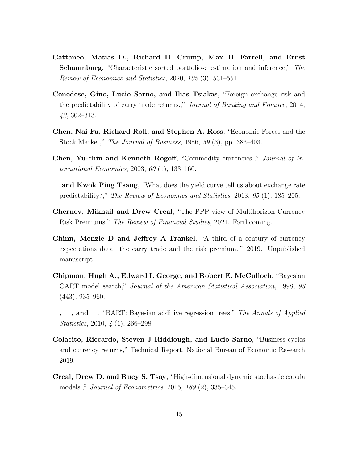- <span id="page-45-2"></span>Cattaneo, Matias D., Richard H. Crump, Max H. Farrell, and Ernst Schaumburg, "Characteristic sorted portfolios: estimation and inference," The Review of Economics and Statistics, 2020, 102 (3), 531–551.
- <span id="page-45-8"></span>Cenedese, Gino, Lucio Sarno, and Ilias Tsiakas, "Foreign exchange risk and the predictability of carry trade returns.," Journal of Banking and Finance, 2014, 42, 302–313.
- <span id="page-45-6"></span>Chen, Nai-Fu, Richard Roll, and Stephen A. Ross, "Economic Forces and the Stock Market," The Journal of Business, 1986, 59 (3), pp. 383–403.
- <span id="page-45-9"></span>Chen, Yu-chin and Kenneth Rogoff, "Commodity currencies.," Journal of International Economics, 2003, 60 (1), 133–160.
- <span id="page-45-10"></span> $\equiv$  and Kwok Ping Tsang, "What does the yield curve tell us about exchange rate predictability?," The Review of Economics and Statistics, 2013, 95 (1), 185–205.
- <span id="page-45-0"></span>Chernov, Mikhail and Drew Creal, "The PPP view of Multihorizon Currency Risk Premiums," The Review of Financial Studies, 2021. Forthcoming.
- <span id="page-45-7"></span>Chinn, Menzie D and Jeffrey A Frankel, "A third of a century of currency expectations data: the carry trade and the risk premium.," 2019. Unpublished manuscript.
- <span id="page-45-3"></span>Chipman, Hugh A., Edward I. George, and Robert E. McCulloch, "Bayesian CART model search," Journal of the American Statistical Association, 1998, 93 (443), 935–960.
- <span id="page-45-4"></span> $\ldots$ ,  $\ldots$ , and  $\ldots$ , "BART: Bayesian additive regression trees," The Annals of Applied Statistics, 2010, 4 (1), 266–298.
- <span id="page-45-1"></span>Colacito, Riccardo, Steven J Riddiough, and Lucio Sarno, "Business cycles and currency returns," Technical Report, National Bureau of Economic Research 2019.
- <span id="page-45-5"></span>Creal, Drew D. and Ruey S. Tsay, "High-dimensional dynamic stochastic copula models.," Journal of Econometrics, 2015, 189 (2), 335–345.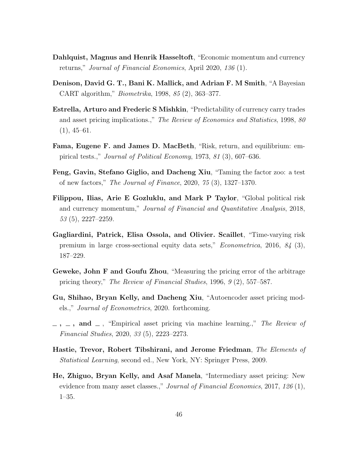- <span id="page-46-0"></span>Dahlquist, Magnus and Henrik Hasseltoft, "Economic momentum and currency returns," Journal of Financial Economics, April 2020, 136 (1).
- <span id="page-46-5"></span>Denison, David G. T., Bani K. Mallick, and Adrian F. M Smith, "A Bayesian CART algorithm," Biometrika, 1998, 85 (2), 363–377.
- <span id="page-46-10"></span>Estrella, Arturo and Frederic S Mishkin, "Predictability of currency carry trades and asset pricing implications.," The Review of Economics and Statistics, 1998, 80  $(1), 45-61.$
- <span id="page-46-8"></span>Fama, Eugene F. and James D. MacBeth, "Risk, return, and equilibrium: empirical tests.," Journal of Political Economy, 1973, 81 (3), 607–636.
- <span id="page-46-4"></span>Feng, Gavin, Stefano Giglio, and Dacheng Xiu, "Taming the factor zoo: a test of new factors," The Journal of Finance, 2020, 75 (3), 1327–1370.
- <span id="page-46-11"></span>Filippou, Ilias, Arie E Gozluklu, and Mark P Taylor, "Global political risk and currency momentum," Journal of Financial and Quantitative Analysis, 2018,  $53(5)$ ,  $2227-2259$ .
- <span id="page-46-1"></span>Gagliardini, Patrick, Elisa Ossola, and Olivier. Scaillet, "Time-varying risk premium in large cross-sectional equity data sets," Econometrica, 2016, 84 (3), 187–229.
- <span id="page-46-7"></span>Geweke, John F and Goufu Zhou, "Measuring the pricing error of the arbitrage pricing theory," The Review of Financial Studies, 1996, 9 (2), 557–587.
- <span id="page-46-2"></span>Gu, Shihao, Bryan Kelly, and Dacheng Xiu, "Autoencoder asset pricing models.," Journal of Econometrics, 2020. forthcoming.
- <span id="page-46-3"></span> $-$ ,  $-$ , and  $-$ , "Empirical asset pricing via machine learning.," The Review of Financial Studies, 2020, 33 (5), 2223–2273.
- <span id="page-46-6"></span>Hastie, Trevor, Robert Tibshirani, and Jerome Friedman, The Elements of Statistical Learning, second ed., New York, NY: Springer Press, 2009.
- <span id="page-46-9"></span>He, Zhiguo, Bryan Kelly, and Asaf Manela, "Intermediary asset pricing: New evidence from many asset classes.," *Journal of Financial Economics*, 2017, 126 (1), 1–35.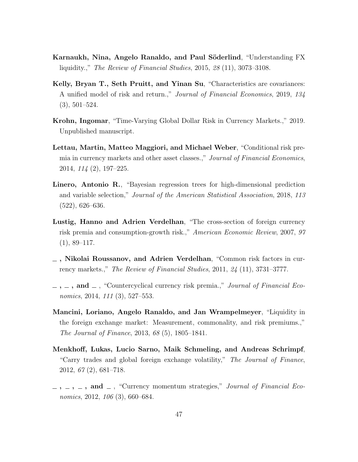- <span id="page-47-7"></span>Karnaukh, Nina, Angelo Ranaldo, and Paul Söderlind, "Understanding FX liquidity.," The Review of Financial Studies, 2015, 28 (11), 3073–3108.
- <span id="page-47-2"></span>Kelly, Bryan T., Seth Pruitt, and Yinan Su, "Characteristics are covariances: A unified model of risk and return.," Journal of Financial Economics, 2019, 134 (3), 501–524.
- <span id="page-47-9"></span>Krohn, Ingomar, "Time-Varying Global Dollar Risk in Currency Markets.," 2019. Unpublished manuscript.
- <span id="page-47-10"></span>Lettau, Martin, Matteo Maggiori, and Michael Weber, "Conditional risk premia in currency markets and other asset classes.," Journal of Financial Economics, 2014, 114 (2), 197–225.
- <span id="page-47-3"></span>Linero, Antonio R., "Bayesian regression trees for high-dimensional prediction and variable selection," Journal of the American Statistical Association, 2018, 113 (522), 626–636.
- <span id="page-47-4"></span>Lustig, Hanno and Adrien Verdelhan, "The cross-section of foreign currency risk premia and consumption-growth risk.," American Economic Review, 2007, 97  $(1), 89-117.$
- <span id="page-47-0"></span>, Nikolai Roussanov, and Adrien Verdelhan, "Common risk factors in currency markets.," The Review of Financial Studies, 2011, 24 (11), 3731–3777.
- <span id="page-47-8"></span> $\ldots$ , and  $\ldots$ , "Countercyclical currency risk premia.," Journal of Financial Economics, 2014, 111 (3), 527–553.
- <span id="page-47-6"></span>Mancini, Loriano, Angelo Ranaldo, and Jan Wrampelmeyer, "Liquidity in the foreign exchange market: Measurement, commonality, and risk premiums.," The Journal of Finance, 2013, 68 (5), 1805–1841.
- <span id="page-47-5"></span>Menkhoff, Lukas, Lucio Sarno, Maik Schmeling, and Andreas Schrimpf, "Carry trades and global foreign exchange volatility," The Journal of Finance, 2012, 67 (2), 681–718.
- <span id="page-47-1"></span> $\ldots$ ,  $\ldots$ , and  $\ldots$ , "Currency momentum strategies," *Journal of Financial Eco*nomics, 2012, 106 (3), 660–684.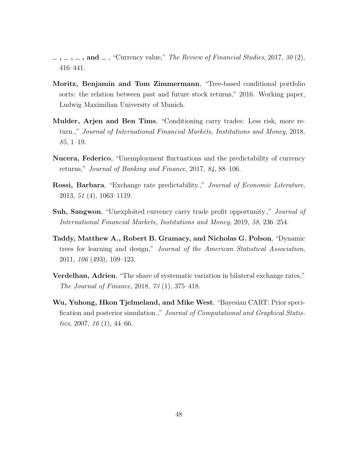- <span id="page-48-0"></span> $\ldots$ ,  $\ldots$ , and  $\ldots$ , "Currency value," The Review of Financial Studies, 2017, 30 (2), 416–441.
- <span id="page-48-1"></span>Moritz, Benjamin and Tom Zimmermann, "Tree-based conditional portfolio sorts: the relation between past and future stock returns," 2016. Working paper, Ludwig Maximilian University of Munich.
- <span id="page-48-7"></span>Mulder, Arjen and Ben Tims, "Conditioning carry trades: Less risk, more return.," Journal of International Financial Markets, Institutions and Money, 2018, 85, 1–19.
- <span id="page-48-4"></span>Nucera, Federico, "Unemployment fluctuations and the predictability of currency returns," Journal of Banking and Finance, 2017, 84, 88–106.
- <span id="page-48-6"></span>**Rossi, Barbara**, "Exchange rate predictability.," Journal of Economic Literature, 2013, 51 (4), 1063–1119.
- <span id="page-48-8"></span>**Suh, Sangwon**, "Unexploited currency carry trade profit opportunity.," *Journal of* International Financial Markets, Institutions and Money, 2019, 58, 236–254.
- <span id="page-48-2"></span>Taddy, Matthew A., Robert B. Gramacy, and Nicholas G. Polson, "Dynamic trees for learning and design," Journal of the American Statistical Association, 2011, 106 (493), 109–123.
- <span id="page-48-5"></span>Verdelhan, Adrien, "The share of systematic variation in bilateral exchange rates," The Journal of Finance, 2018, 73 (1), 375–418.
- <span id="page-48-3"></span>Wu, Yuhong, Hkon Tjelmeland, and Mike West, "Bayesian CART: Prior specification and posterior simulation.," Journal of Computational and Graphical Statistics, 2007,  $16(1)$ , 44–66.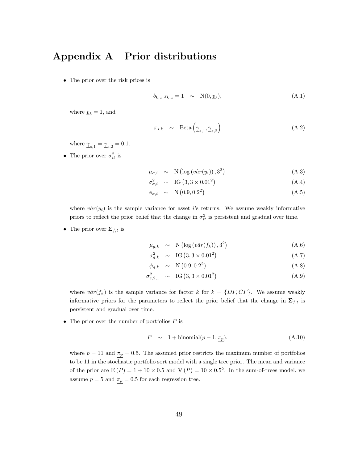## <span id="page-49-0"></span>Appendix A Prior distributions

• The prior over the risk prices is

$$
b_{k,z}|s_{k,z}=1 \quad \sim \quad \mathcal{N}(0,\underline{v}_b),\tag{A.1}
$$

where  $\underline{v}_b = 1$ , and

$$
\pi_{s,k} \sim \text{Beta}\left(\underline{\gamma}_{s,1}, \underline{\gamma}_{s,2}\right) \tag{A.2}
$$

where  $\gamma_{s,1} = \gamma_{s,2} = 0.1$ .

• The prior over  $\sigma_{it}^2$  is

$$
\mu_{\sigma,i} \sim \mathcal{N}\left(\log\left(v\hat{a}r(y_i)\right), 3^2\right) \tag{A.3}
$$

$$
\sigma_{\sigma,i}^2 \sim \text{IG}\left(3, 3 \times 0.01^2\right) \tag{A.4}
$$

$$
\phi_{\sigma,i} \sim \mathcal{N}\left(0.9, 0.2^2\right) \tag{A.5}
$$

where  $v\hat{a}r(y_i)$  is the sample variance for asset i's returns. We assume weakly informative priors to reflect the prior belief that the change in  $\sigma_{it}^2$  is persistent and gradual over time.

• The prior over  $\Sigma_{f,t}$  is

$$
\mu_{g,k} \sim \mathcal{N}\left(\log\left(\hat{var}(f_k)\right), 3^2\right) \tag{A.6}
$$

$$
\sigma_{g,k}^2 \sim \text{IG}\left(3,3\times0.01^2\right) \tag{A.7}
$$

$$
\phi_{g,k} \sim \mathcal{N}\left(0.9, 0.2^2\right) \tag{A.8}
$$

$$
\sigma_{e,2,1}^2 \sim \text{IG}(3,3 \times 0.01^2) \tag{A.9}
$$

where  $v\hat{a}r(f_k)$  is the sample variance for factor k for  $k = \{DF, CF\}$ . We assume weakly informative priors for the parameters to reflect the prior belief that the change in  $\Sigma_{f,t}$  is persistent and gradual over time.

• The prior over the number of portfolios  $P$  is

$$
P \sim 1 + \text{binomial}(p - 1, \pi_p). \tag{A.10}
$$

where  $p = 11$  and  $\pi_p = 0.5$ . The assumed prior restricts the maximum number of portfolios to be 11 in the stochastic portfolio sort model with a single tree prior. The mean and variance of the prior are  $\mathbb{E}(P) = 1 + 10 \times 0.5$  and  $\mathbb{V}(P) = 10 \times 0.5^2$ . In the sum-of-trees model, we assume  $p = 5$  and  $\pi_p = 0.5$  for each regression tree.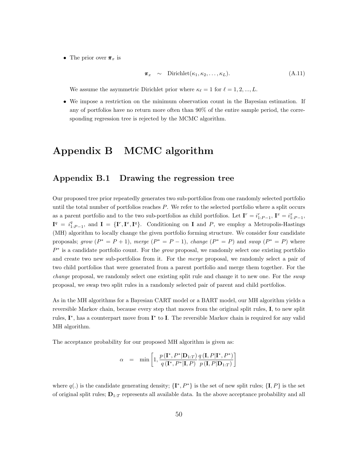• The prior over  $\pi_x$  is

$$
\boldsymbol{\pi}_x \sim \text{Dirichlet}(\kappa_1, \kappa_2, \dots, \kappa_L). \tag{A.11}
$$

We assume the asymmetric Dirichlet prior where  $\kappa_{\ell} = 1$  for  $\ell = 1, 2, ..., L$ .

• We impose a restriction on the minimum observation count in the Bayesian estimation. If any of portfolios have no return more often than 90% of the entire sample period, the corresponding regression tree is rejected by the MCMC algorithm.

## <span id="page-50-0"></span>Appendix B MCMC algorithm

## Appendix B.1 Drawing the regression tree

Our proposed tree prior repeatedly generates two sub-portfolios from one randomly selected portfolio until the total number of portfolios reaches  $P$ . We refer to the selected portfolio where a split occurs as a parent portfolio and to the two sub-portfolios as child portfolios. Let  $\mathbf{I}^r = i_{1:P-1}^r$ ,  $\mathbf{I}^x = i_{1:P-1}^x$ ,  $I^q = i_{1:P-1}^q$ , and  $I = \{I^r, I^x, I^q\}$ . Conditioning on I and P, we employ a Metropolis-Hastings (MH) algorithm to locally change the given portfolio forming structure. We consider four candidate proposals; grow  $(P^* = P + 1)$ , merge  $(P^* = P - 1)$ , change  $(P^* = P)$  and swap  $(P^* = P)$  where  $P^*$  is a candidate portfolio count. For the grow proposal, we randomly select one existing portfolio and create two new sub-portfolios from it. For the *merge* proposal, we randomly select a pair of two child portfolios that were generated from a parent portfolio and merge them together. For the change proposal, we randomly select one existing split rule and change it to new one. For the swap proposal, we swap two split rules in a randomly selected pair of parent and child portfolios.

As in the MH algorithms for a Bayesian CART model or a BART model, our MH algorithm yields a reversible Markov chain, because every step that moves from the original split rules, I, to new split rules, I<sup>\*</sup>, has a counterpart move from I<sup>\*</sup> to I. The reversible Markov chain is required for any valid MH algorithm.

The acceptance probability for our proposed MH algorithm is given as:

$$
\alpha = \min \left[1, \frac{p(\mathbf{I}^*, P^*|\mathbf{D}_{1:T})}{q(\mathbf{I}^*, P^*|\mathbf{I}, P)} \frac{q(\mathbf{I}, P|\mathbf{I}^*, P^*)}{p(\mathbf{I}, P|\mathbf{D}_{1:T})}\right]
$$

where  $q(.)$  is the candidate generating density;  $\{I^*, P^*\}$  is the set of new split rules;  $\{I, P\}$  is the set of original split rules;  $D_{1:T}$  represents all available data. In the above acceptance probability and all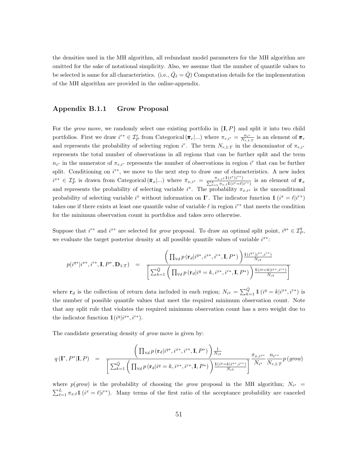the densities used in the MH algorithm, all redundant model parameters for the MH algorithm are omitted for the sake of notational simplicity. Also, we assume that the number of quantile values to be selected is same for all characteristics. (i.e.,  $\overline{Q}_{\ell} = \overline{Q}$ ) Computation details for the implementation of the MH algorithm are provided in the online-appendix.

#### Appendix B.1.1 Grow Proposal

For the grow move, we randomly select one existing portfolio in  $\{I, P\}$  and split it into two child portfolios. First we draw  $i^{r*} \in \mathcal{I}_P^r$  from Categorical  $(\pi_r | ...)$  where  $\pi_{r,i^r} = \frac{n_{i^r}}{N_{r,1:T}}$  is an element of  $\pi_r$ and represents the probability of selecting region i<sup>r</sup>. The term  $N_{r,1:T}$  in the denominator of  $\pi_{r,i^r}$ represents the total number of observations in all regions that can be further split and the term  $n_{i_r}$  in the numerator of  $\pi_{r,i_r}$  represents the number of observations in region  $i^r$  that can be further split. Conditioning on  $i^{r*}$ , we move to the next step to draw one of characteristics. A new index  $i^{x*} \in \mathcal{I}_P^x$  is drawn from Categorical  $(\bar{\pi}_x | ...)$  where  $\bar{\pi}_{x,i^x} = \frac{\pi_{x,i^x} 1(i^x | i^{r*})}{\sum_{k=1}^L \pi_{x,k} 1(i^x = \ell)}$  $\frac{\pi_{x,i}x \perp (i^r \mid i^r)}{\sum_{\ell=1}^L \pi_{x,\ell} \pmb{1}(i^x=\ell | i^{r*})}$  is an element of  $\bar{\pi}_x$ and represents the probability of selecting variable  $i^x$ . The probability  $\pi_{x,i^x}$  is the unconditional probability of selecting variable  $i^x$  without information on  $\mathbf{I}^r$ . The indicator function  $\mathbb{1}$   $(i^x = \ell | i^{r*})$ takes one if there exists at least one quantile value of variable  $\ell$  in region  $i^{r*}$  that meets the condition for the minimum observation count in portfolios and takes zero otherwise.

Suppose that  $i^{r*}$  and  $i^{x*}$  are selected for grow proposal. To draw an optimal split point,  $i^{q*} \in \mathcal{I}_P^q$ , we evaluate the target posterior density at all possible quantile values of variable  $i^{x*}$ :

$$
p(i^{q*}|i^{x*}, i^{r*}, \mathbf{I}, P^*, \mathbf{D}_{1:T}) = \frac{\left(\prod_{\forall d} p(\mathbf{r}_d|i^{q*}, i^{x*}, i^{r*}, \mathbf{I}, P^*)\right) \frac{\mathbb{1}(i^{q*}|i^{x*}, i^{r*})}{N_{iq}}}{\left[\sum_{k=1}^{\bar{Q}} \left(\prod_{\forall d} p(\mathbf{r}_d|i^{q} = k, i^{x*}, i^{r*}, \mathbf{I}, P^*)\right) \frac{\mathbb{1}(i^{q} = k|i^{x*}, i^{r*})}{N_{iq}}\right]}
$$

where  $\mathbf{r}_d$  is the collection of return data included in each region;  $N_{i^q} = \sum_{k=1}^{\bar{Q}} 1 \left( i^q = k | i^{x*}, i^{r*} \right)$  is the number of possible quantile values that meet the required minimum observation count. Note that any split rule that violates the required minimum observation count has a zero weight due to the indicator function  $\mathbb{1}(i^q|i^{x*}, i^{r*}).$ 

The candidate generating density of grow move is given by:

$$
q\left(\mathbf{I}^*, P^*|\mathbf{I}, P\right) = \frac{\left(\prod_{\forall d} p\left(\mathbf{r}_d|i^{q*}, i^{x*}, i^{r*}, \mathbf{I}, P^*\right)\right) \frac{1}{N_{i}q}}{\left[\sum_{k=1}^{\bar{Q}} \left(\prod_{\forall d} p\left(\mathbf{r}_d|i^{q} = k, i^{x*}, i^{r*}, \mathbf{I}, P^*\right)\right) \frac{\mathbb{1}(i^{q} = k|i^{x*}, i^{r*})}{N_{i}q}\right]} \frac{\pi_{x,i^{x*}}}{N_{i}q} \frac{n_{i^{r*}}}{N_{r,1:T}} p\left(grow\right)
$$

where  $p(grow)$  is the probability of choosing the grow proposal in the MH algorithm;  $N_{i^x}$  =  $\sum_{\ell=1}^L \pi_{x,\ell} 1\!\!1 (i^x = \ell |i^{r*})$ . Many terms of the first ratio of the acceptance probability are canceled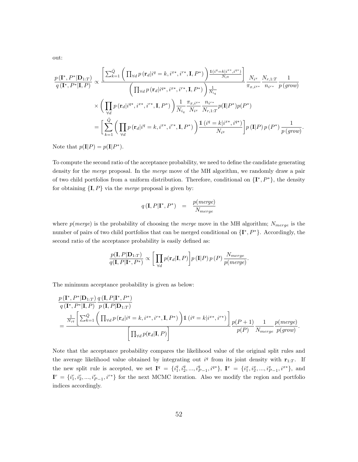out:

$$
\frac{p(\mathbf{I}^*, P^*|\mathbf{D}_{1:T})}{q(\mathbf{I}^*, P^*|\mathbf{I}, P)} \propto \frac{\left[\sum_{k=1}^{\bar{Q}} \left(\prod_{\forall d} p(\mathbf{r}_d|i^q = k, i^{x*}, i^{r*}, \mathbf{I}, P^*)\right) \frac{\mathbb{1}(i^q = k |i^{x*}, i^{q*})}{N_{iq}}\right]}{\left(\prod_{\forall d} p(\mathbf{r}_d|i^{q*}, i^{x*}, i^{r*}, \mathbf{I}, P^*)\right) \frac{1}{N_{iq}}} \frac{N_{i^x}}{\pi_{x, i^{x*}}} \frac{N_{r, 1:T}}{n_{i^{r*}}} \frac{1}{p(grow)}
$$
\n
$$
\times \left(\prod_{\forall d} p(\mathbf{r}_d|i^{q*}, i^{x*}, i^{r*}, \mathbf{I}, P^*)\right) \frac{1}{N_{iq}} \frac{\pi_{x, i^{x*}}}{N_{i^x}} \frac{n_{i^{r*}}}{N_{r, 1:T}} p(\mathbf{I}|P^*) p(P^*)
$$
\n
$$
= \left[\sum_{k=1}^{\bar{Q}} \left(\prod_{\forall d} p(\mathbf{r}_d|i^q = k, i^{x*}, i^{r*}, \mathbf{I}, P^*)\right) \frac{\mathbb{1}(i^q = k |i^{x*}, i^{q*})}{N_{i^q}}\right] p(\mathbf{I}|P) p(P^*) \frac{1}{p(grow)}
$$

.

Note that  $p(\mathbf{I}|P) = p(\mathbf{I}|P^*).$ 

To compute the second ratio of the acceptance probability, we need to define the candidate generating density for the *merge* proposal. In the *merge* move of the MH algorithm, we randomly draw a pair of two child portfolios from a uniform distribution. Therefore, conditional on  $\{I^*, P^*\}$ , the density for obtaining  $\{I, P\}$  via the *merge* proposal is given by:

$$
q\left(\mathbf{I}, P | \mathbf{I}^*, P^*\right) = \frac{p(\text{merge})}{N_{merge}}
$$

where  $p(merge)$  is the probability of choosing the *merge* move in the MH algorithm;  $N_{merge}$  is the number of pairs of two child portfolios that can be merged conditional on  $\{\mathbf I^*, P^*\}$ . Accordingly, the second ratio of the acceptance probability is easily defined as:

$$
\frac{p(\mathbf{I}, P | \mathbf{D}_{1:T})}{q(\mathbf{I}, P | \mathbf{I}^*, P^*)} \propto \left[ \prod_{\forall d} p(\mathbf{r}_d | \mathbf{I}, P) \right] p(\mathbf{I} | P) p(P) \frac{N_{merge}}{p(merge)}.
$$

The minimum acceptance probability is given as below:

$$
\frac{p(\mathbf{I}^*, P^*|\mathbf{D}_{1:T})}{q(\mathbf{I}^*, P^*|\mathbf{I}, P)} \frac{q(\mathbf{I}, P|\mathbf{I}^*, P^*)}{p(\mathbf{I}, P|\mathbf{D}_{1:T})}
$$
\n
$$
= \frac{\frac{1}{N_{iq}} \left[ \sum_{k=1}^{\bar{Q}} \left( \prod_{\forall d} p(\mathbf{r}_d|i^q = k, i^{x*}, i^{r*}, \mathbf{I}, P^*) \right) \mathbbm{1} (i^q = k|i^{x*}, i^{r*}) \right]}{\left[ \prod_{\forall d} p(\mathbf{r}_d|\mathbf{I}, P) \right]} \frac{p(P+1)}{p(P)} \frac{1}{N_{merge}} \frac{p(merge)}{p(grow)}.
$$

Note that the acceptance probability compares the likelihood value of the original split rules and the average likelihood value obtained by integrating out  $i<sup>q</sup>$  from its joint density with  $r_{1:T}$ . If the new split rule is accepted, we set  $I^q = \{i_1^q, i_2^q, ..., i_{P-1}^q, i^{q*}\}, I^x = \{i_1^x, i_2^x, ..., i_{P-1}^x, i^{x*}\},$  and  $I^r = \{i_1^r, i_2^r, ..., i_{P-1}^r, i^{r*}\}\$  for the next MCMC iteration. Also we modify the region and portfolio indices accordingly.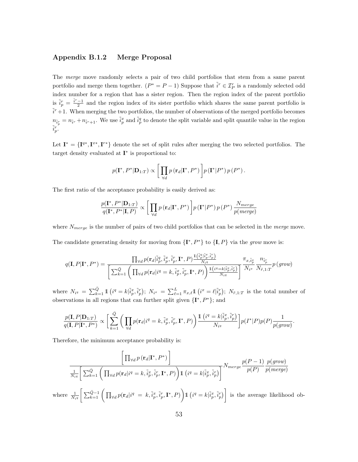### Appendix B.1.2 Merge Proposal

The merge move randomly selects a pair of two child portfolios that stem from a same parent portfolio and merge them together.  $(P^* = P - 1)$  Suppose that  $\tilde{i}^r \in \mathcal{I}_P^r$  is a randomly selected odd index number for a region that has a sister region. Then the region index of the parent portfolio is  $\tilde{i}_p^r = \frac{\tilde{i}^r - 1}{2}$  and the region index of its sister portfolio which shares the same parent portfolio is  $\tilde{i}^r+1$ . When merging the two portfolios, the number of observations of the merged portfolio becomes  $n_{\tilde{i}_p^r} = n_{\tilde{i}^r} + n_{\tilde{i}^r+1}$ . We use  $\tilde{i}_p^x$  and  $\tilde{i}_p^q$  to denote the split variable and split quantile value in the region  $\tilde{i}_p^r$ .

Let  $I^* = \{I^{q*}, I^{r*}, I^{r*}\}\$  denote the set of split rules after merging the two selected portfolios. The target density evaluated at  $I^*$  is proportional to:

$$
p(\mathbf{I}^*, P^*|\mathbf{D}_{1:T}) \propto \left[ \prod_{\forall d} p(\mathbf{r}_d|\mathbf{I}^*, P^*) \right] p(\mathbf{I}^*|P^*) p(P^*).
$$

The first ratio of the acceptance probability is easily derived as:

$$
\frac{p(\mathbf{I}^*, P^*|\mathbf{D}_{1:T})}{q(\mathbf{I}^*, P^*|\mathbf{I}, P)} \propto \left[ \prod_{\forall d} p(\mathbf{r}_d|\mathbf{I}^*, P^*) \right] p(\mathbf{I}^*|P^*) p(P^*) \frac{N_{merge}}{p(merge)}
$$

where  $N_{merge}$  is the number of pairs of two child portfolios that can be selected in the *merge* move.

The candidate generating density for moving from  $\{I^*, P^*\}$  to  $\{I, P\}$  via the grow move is:

$$
q(\mathbf{I}, P | \mathbf{I}^*, P^*) = \frac{\prod_{\forall d} p(\mathbf{r}_d | \tilde{i}_p^q, \tilde{i}_p^x, \tilde{i}_p^r, \mathbf{I}^*, P) \frac{\mathbb{1}(\tilde{i}_p^q | \tilde{i}_p^x, \tilde{i}_p^r)}{N_{iq}}}{\left[\sum_{k=1}^{\bar{Q}} \left(\prod_{\forall d} p(\mathbf{r}_d | i^q = k, \tilde{i}_p^x, \tilde{i}_p^r, \mathbf{I}^*, P)\right) \frac{\mathbb{1}(\frac{\hat{i}q}{2} | \tilde{i}_p^x, \tilde{i}_p^r)}{N_{iq}}\right]} \frac{\pi_{x, \tilde{i}_p^x}}{N_{\tilde{r}, 1:T}} p(\text{grow})
$$

where  $N_{i^q} = \sum_{k=1}^{\bar{Q}} 1 \left( i^q = k | \tilde{i}^x_p, \tilde{i}^r_p \right); N_{i^x} = \sum_{\ell=1}^L \pi_{x,\ell} 1 \left( i^x = \ell | \tilde{i}^r_p \right); N_{\tilde{r},1:T}$  is the total number of observations in all regions that can further split given  $\{I^*, P^*\}$ ; and

$$
\frac{p(\mathbf{I}, P|\mathbf{D}_{1:T})}{q(\mathbf{I}, P|\mathbf{I}^*, P^*)} \propto \bigg[\sum_{k=1}^{\bar{Q}} \bigg(\prod_{\forall d} p(\mathbf{r}_d|i^q=k,\tilde{i}_p^x, \tilde{i}_p^r, \mathbf{I}^*, P)\bigg) \frac{1\left(i^q=k|\tilde{i}_p^x, \tilde{i}_p^r\right)}{N_{i^q}}\bigg] p(I^*|P)p(P) \frac{1}{p(grow)}.
$$

Therefore, the minimum acceptance probability is:

$$
\frac{\left[\prod_{\forall d} p\left(\mathbf{r}_{d}|\mathbf{I}^{*},P^{*}\right)\right]}{\frac{1}{N_{i q}}\left[\sum_{k=1}^{\bar{Q}}\left(\prod_{\forall d} p(\mathbf{r}_{d}|i^{q}=k,\tilde{i}_{p}^{x},\tilde{i}_{p}^{r},\mathbf{I}^{*},P)\right)\mathbb{1}\left(i^{q}=k|\tilde{i}_{p}^{x},\tilde{i}_{p}^{r}\right)\right]}N_{merge}\frac{p(P-1)}{p(P)}\frac{p(grow)}{p(merge)}
$$
\nwhere 
$$
\frac{1}{N_{i q}}\left[\sum_{k=1}^{\bar{Q}-1}\left(\prod_{\forall d} p(\mathbf{r}_{d}|i^{q}=k,\tilde{i}_{p}^{x},\tilde{i}_{p}^{r},\mathbf{I}^{*},P)\right)\mathbb{1}\left(i^{q}=k|\tilde{i}_{p}^{x},\tilde{i}_{p}^{r}\right)\right]
$$
 is the average likelihood ob-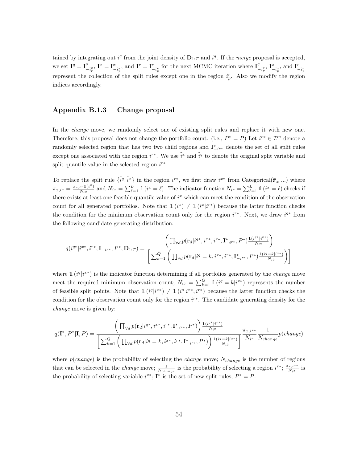tained by integrating out  $i^q$  from the joint density of  $\mathbf{D}_{1:T}$  and  $i^q$ . If the *merge* proposal is accepted, we set  $I^q = I^q_{-\tilde{i}^q_p}$ ,  $I^x = I^x_{-\tilde{i}^x_p}$  and  $I^r = I^r_{-\tilde{i}^r_p}$  for the next MCMC iteration where  $I^q_{-\tilde{i}^q_p}$ ,  $I^x_{-\tilde{i}^x_p}$ , and  $I^r_{-\tilde{i}^r_p}$ represent the collection of the split rules except one in the region  $\tilde{i}_p^r$ . Also we modify the region indices accordingly.

#### Appendix B.1.3 Change proposal

In the *change* move, we randomly select one of existing split rules and replace it with new one. Therefore, this proposal does not change the portfolio count. (i.e.,  $P^* = P$ ) Let  $i^{r*} \in \mathcal{I}^m$  denote a randomly selected region that has two two child regions and  $\mathbf{I}_{-i^{r^*}}^*$  denote the set of all split rules except one associated with the region  $i^{r*}$ . We use  $\tilde{i}^x$  and  $\tilde{i}^q$  to denote the original split variable and split quantile value in the selected region  $i^{r*}$ .

To replace the split rule  $\{\tilde{i}^q, \tilde{i}^x\}$  in the region  $i^{r*}$ , we first draw  $i^{x*}$  from Categorical $(\bar{\pi}_x | ...)$  where  $\bar{\pi}_{x,i^x} = \frac{\pi_{x,i^x} 1(i^x)}{N_{ix}}$  $\frac{i^{x} \mathbb{1}(i^{x})}{N_{i^{x}}}$  and  $N_{i^{x}} = \sum_{\ell=1}^{L} \mathbb{1}(i^{x} = \ell)$ . The indicator function  $N_{i^{x}} = \sum_{\ell=1}^{L} \mathbb{1}(i^{x} = \ell)$  checks if there exists at least one feasible quantile value of  $i<sup>x</sup>$  which can meet the condition of the observation count for all generated portfolios. Note that  $\mathbb{1}(i^x) \neq \mathbb{1}(i^x|i^{r*})$  because the latter function checks the condition for the minimum observation count only for the region  $i^{r*}$ . Next, we draw  $i^{q*}$  from the following candidate generating distribution:

$$
q(i^{q*}|i^{x*}, i^{r*}, \mathbf{I}_{-i^{r*}}, P^*, \mathbf{D}_{1:T}) = \frac{\left(\prod_{\forall d} p(\mathbf{r}_d|i^{q*}, i^{x*}, i^{r*}, \mathbf{I}_{-i^{r*}}, P^*) \frac{\mathbf{1}(i^{q*}|i^{x*})}{N_{iq}}\right)}{\left[\sum_{k=1}^{\bar{Q}} \left(\prod_{\forall d} p(\mathbf{r}_d|i^{q} = k, i^{x*}, i^{r*}, \mathbf{I}_{-i^{r*}}, P^*) \frac{\mathbf{1}(i^{q} = k|i^{x*})}{N_{iq}}\right)\right]}
$$

where  $\mathbb{1}(i^q|i^{x*})$  is the indicator function determining if all portfolios generated by the *change* move meet the required minimum observation count;  $N_{i^q} = \sum_{k=1}^{\bar{Q}} 1$  ( $i^q = k | i^{x*}$ ) represents the number of feasible split points. Note that  $\mathbb{1}(i^q|i^{x*}) \neq \mathbb{1}(i^q|i^{x*},i^{r*})$  because the latter function checks the condition for the observation count only for the region  $i^{r*}$ . The candidate generating density for the change move is given by:

$$
q(\mathbf{I}^*, P^*|\mathbf{I}, P) = \frac{\left(\prod_{\forall d} p(\mathbf{r}_d|i^{q*}, i^{x*}, i^{r*}, \mathbf{I}_{-i^{r*}}, P^*)\right) \frac{\mathbb{1}(i^{q*}|i^{x*})}{N_{iq}}}{\left[\sum_{k=1}^{\bar{Q}} \left(\prod_{\forall d} p(\mathbf{r}_d|i^q = k, i^{x*}, i^{r*}, \mathbf{I}_{-i^{r*}}, P^*)\right) \frac{\mathbb{1}(i^{q} = k|i^{x*})}{N_{iq}}\right]} \frac{\pi_{x,i^{x*}}}{N_{ix}} \frac{1}{N_{change}} p(change)
$$

where  $p(change)$  is the probability of selecting the *change* move;  $N_{change}$  is the number of regions that can be selected in the *change* move;  $\frac{1}{N_{change}}$  is the probability of selecting a region  $i^{r*}$ ;  $\frac{\pi_{x,i}x^{*}}{N_{i}x^{*}}$  $\frac{x,i^{x*}}{N_ix}$  is the probability of selecting variable  $i^{x*}$ ; **I**<sup>\*</sup> is the set of new split rules;  $P^* = P$ .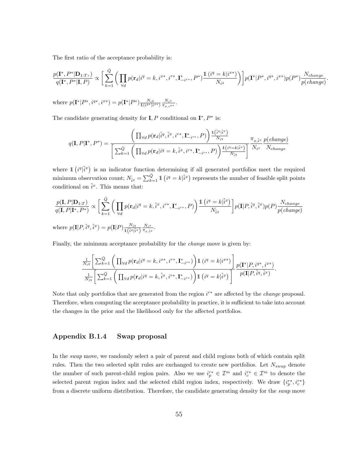The first ratio of the acceptance probability is:

$$
\frac{p(\mathbf{I}^*, P^*|\mathbf{D}_{1:T})}{q(\mathbf{I}^*, P^*|\mathbf{I}, P)} \propto \bigg[\sum_{k=1}^{\bar{Q}} \bigg(\prod_{\forall d} p(\mathbf{r}_d|i^q = k, i^{x*}, i^{r*}, \mathbf{I}^*_{-i^{r*}}, P^*) \frac{\mathbb{1}(i^q = k|i^{x*})}{N_{i^q}}\bigg) \bigg] p(\mathbf{I}^*|P^*, i^{q*}, i^{x*}) p(P^*) \frac{N_{change}}{p(change)}.
$$

where  $p(\mathbf{I}^* | P^*, i^{q*}, i^{x*}) = p(\mathbf{I}^* | P^*) \frac{N_i q}{\mathbb{1}(i^{q*} | i^{x*})} \frac{N_i x}{\pi_{x,i} x^*}.$ 

The candidate generating density for  $I, P$  conditional on  $I^*, P^*$  is:

$$
q(\mathbf{I}, P | \mathbf{I}^*, P^*) = \frac{\left(\prod_{\forall d} p(\mathbf{r}_d | \tilde{i}^q, \tilde{i}^x, i^{r*}, \mathbf{I}_{-i^{r*}}, P)\right) \frac{\mathbb{1}(\tilde{i}^q | \tilde{i}^x)}{N_{\tilde{i}^q}}}{\left[\sum_{k=1}^{\bar{Q}} \left(\prod_{\forall d} p(\mathbf{r}_d | i^q = k, \tilde{i}^x, i^{r*}, \mathbf{I}_{-i^{r*}}, P)\right) \frac{\mathbb{1}(\tilde{i}^q = k | \tilde{i}^x)}{N_{\tilde{i}^q}}\right]} \frac{\pi_{x, \tilde{i}^x}}{N_{\tilde{i}^x}} \frac{p(change)}{N_{change}}
$$

where  $\mathbb{1}(i^q|\tilde{i}^x)$  is an indicator function determining if all generated portfolios meet the required minimum observation count;  $N_{\tilde{i}q} = \sum_{k=1}^{\tilde{Q}} 1 \left( i^q = k | \tilde{i}^x \right)$  represents the number of feasible split points conditional on  $\tilde{i}^x$ . This means that:

$$
\frac{p(\mathbf{I}, P | \mathbf{D}_{1:T})}{q(\mathbf{I}, P | \mathbf{I}^*, P^*)} \propto \left[ \sum_{k=1}^{\bar{Q}} \left( \prod_{\forall d} p(\mathbf{r}_d | i^q = k, \tilde{i}^x, i^{r*}, \mathbf{I}^*_{-i^{r*}}, P) \right) \frac{\mathbb{1} \left( i^q = k | \tilde{i}^x \right)}{N_{\tilde{i}^q}} \right] p(\mathbf{I} | P, \tilde{i}^q, \tilde{i}^x) p(P) \frac{N_{change}}{p(change)}
$$
\nwhere  $p(\mathbf{I} | P, \tilde{i}^q, \tilde{i}^x) = p(\mathbf{I} | P) \frac{N_{\tilde{i}^q}}{\mathbb{1} \left( \tilde{i}^q | \tilde{i}^x \right)} \frac{N_{i^x}}{\pi_{x, \tilde{i}^x}}$ .

Finally, the minimum acceptance probability for the *change* move is given by:

$$
\frac{\frac{1}{N_{i^q}} \left[ \sum_{k=1}^{\bar{Q}} \left( \prod_{\forall d} p(\mathbf{r}_d | i^q = k, i^{x*}, i^{r*}, \mathbf{I}_{-i^{r*}}^*) \right) \mathbb{1} \left( i^q = k | i^{x*} \right) \right]}{\frac{1}{N_{i^q}} \left[ \sum_{k=1}^{\bar{Q}} \left( \prod_{\forall d} p(\mathbf{r}_d | i^q = k, \tilde{i}^x, i^{r*}, \mathbf{I}_{-i^{r*}}^*) \right) \mathbb{1} \left( i^q = k | \tilde{i}^x \right) \right]} \frac{p(\mathbf{I}^* | P, i^{q*}, i^{x*})}{p(\mathbf{I} | P, \tilde{i}^q, \tilde{i}^x)}.
$$

Note that only portfolios that are generated from the region  $i^{r*}$  are affected by the *change* proposal. Therefore, when computing the acceptance probability in practice, it is sufficient to take into account the changes in the prior and the likelihood only for the affected portfolios.

### Appendix B.1.4 Swap proposal

In the *swap* move, we randomly select a pair of parent and child regions both of which contain split rules. Then the two selected split rules are exchanged to create new portfolios. Let  $N_{swap}$  denote the number of such parent-child region pairs. Also we use  $i_p^{r*} \in \mathcal{I}^m$  and  $i_c^{r*} \in \mathcal{I}^m$  to denote the selected parent region index and the selected child region index, respectively. We draw  $\{i_p^{r*}, i_c^{r*}\}$ from a discrete uniform distribution. Therefore, the candidate generating density for the *swap* move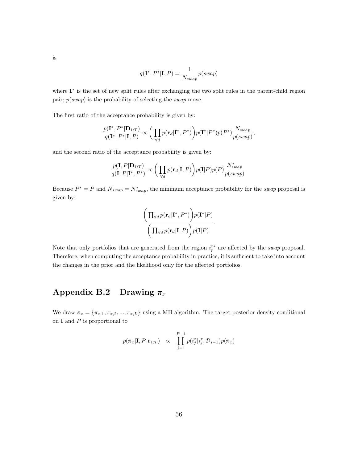is

$$
q(\mathbf{I}^*, P^*|\mathbf{I}, P) = \frac{1}{N_{swap}} p(swap)
$$

where I<sup>\*</sup> is the set of new split rules after exchanging the two split rules in the parent-child region pair;  $p(swap)$  is the probability of selecting the *swap* move.

The first ratio of the acceptance probability is given by:

$$
\frac{p(\mathbf{I^*}, P^*|\mathbf{D}_{1:T})}{q(\mathbf{I^*}, P^*|\mathbf{I}, P)} \propto \bigg(\prod_{\forall d} p(\mathbf{r}_d|\mathbf{I^*}, P^*)\bigg) p(\mathbf{I^*}|P^*) p(P^*) \frac{N_{swap}}{p(swap)},
$$

and the second ratio of the acceptance probability is given by:

$$
\frac{p(\mathbf{I},P|\mathbf{D}_{1:T})}{q(\mathbf{I},P|\mathbf{I}^*,P^*)} \propto \bigg(\prod_{\forall d} p(\mathbf{r}_d|\mathbf{I},P)\bigg) p(\mathbf{I}|P) p(P) \frac{N_{swap}^*}{p(swap)}.
$$

Because  $P^* = P$  and  $N_{swap} = N_{swap}^*$ , the minimum acceptance probability for the *swap* proposal is given by:

$$
\frac{\left(\prod_{\forall d} p(\mathbf{r}_d|\mathbf{I}^*, P^*)\right) p(\mathbf{I}^*|P)}{\left(\prod_{\forall d} p(\mathbf{r}_d|\mathbf{I}, P)\right) p(\mathbf{I}|P)}.
$$

Note that only portfolios that are generated from the region  $i_p^{r*}$  are affected by the swap proposal. Therefore, when computing the acceptance probability in practice, it is sufficient to take into account the changes in the prior and the likelihood only for the affected portfolios.

## Appendix B.2 Drawing  $\pi_x$

We draw  $\pi_x = {\pi_{x,1}, \pi_{x,2}, ..., \pi_{x,L}}$  using a MH algorithm. The target posterior density conditional on  **and**  $P$  **is proportional to** 

$$
p(\boldsymbol{\pi}_x | \mathbf{I}, P, \mathbf{r}_{1:T}) \propto \prod_{j=1}^{P-1} p(i_j^x | i_j^r, \mathcal{D}_{j-1}) p(\boldsymbol{\pi}_x)
$$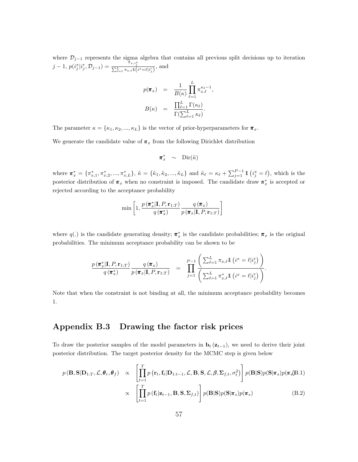where  $\mathcal{D}_{j-1}$  represents the sigma algebra that contains all previous split decisions up to iteration  $j-1, p(i_j^x|i_j^r, \mathcal{D}_{j-1}) = \frac{\pi_{x,i_j^x}}{\sum_{\ell=1}^L \pi_{x,\ell}1(i^x=\ell|i_j^r)},$  and

$$
p(\pi_x) = \frac{1}{B(\kappa)} \prod_{\ell=1}^{L} \pi_{x,\ell}^{\kappa_{\ell}-1},
$$

$$
B(\kappa) = \frac{\prod_{\ell=1}^{L} \Gamma(\kappa_{\ell})}{\Gamma(\sum_{\ell=1}^{L} \kappa_{\ell})}.
$$

The parameter  $\kappa = {\kappa_1, \kappa_2, ..., \kappa_L}$  is the vector of prior-hyperparameters for  $\pi_x$ .

We generate the candidate value of  $\pi_x$  from the following Dirichlet distribution

$$
\pi^*_x \ \sim \ \text{Dir}(\tilde{\kappa})
$$

where  $\pi_x^* = {\pi_{x,1}^*, \pi_{x,2}^*, ..., \pi_{x,L}^*}, \tilde{\kappa} = {\tilde{\kappa}_1, \tilde{\kappa}_2, ..., \tilde{\kappa}_L}$  and  $\tilde{\kappa}_{\ell} = \kappa_{\ell} + \sum_{j=1}^{P-1} \mathbb{1} (i_j^x = \ell)$ , which is the posterior distribution of  $\pi_x$  when no constraint is imposed. The candidate draw  $\pi_x^*$  is accepted or rejected according to the acceptance probability

$$
\min\left[1,\frac{p(\pmb{\pi}^*_x|\mathbf{I},P,\mathbf{r}_{1:T})}{q(\pmb{\pi}^*_x)}\frac{q(\pmb{\pi}_x)}{p(\pmb{\pi}_x|\mathbf{I},P,\mathbf{r}_{1:T})}\right]
$$

where  $q(.)$  is the candidate generating density;  $\pi_x^*$  is the candidate probabilities;  $\pi_x$  is the original probabilities. The minimum acceptance probability can be shown to be

$$
\frac{p(\boldsymbol{\pi}_x^*|\mathbf{I}, P, \mathbf{r}_{1:T})}{q(\boldsymbol{\pi}_x^*)} \frac{q(\boldsymbol{\pi}_x)}{p(\boldsymbol{\pi}_x|\mathbf{I}, P, \mathbf{r}_{1:T})} = \prod_{j=1}^{P-1} \frac{\left(\sum_{\ell=1}^L \pi_{x,\ell} \mathbb{1} \left(i^x = \ell | i_j^r\right)\right)}{\left(\sum_{\ell=1}^L \pi_{x,\ell}^* \mathbb{1} \left(i^x = \ell | i_j^r\right)\right)}.
$$

Note that when the constraint is not binding at all, the minimum acceptance probability becomes 1.

## Appendix B.3 Drawing the factor risk prices

To draw the posterior samples of the model parameters in  $\mathbf{b}_t(\mathbf{z}_{t-1})$ , we need to derive their joint posterior distribution. The target posterior density for the MCMC step is given below

$$
p(\mathbf{B}, \mathbf{S} | \mathbf{D}_{1:T}, \mathcal{L}, \pmb{\theta}_r, \pmb{\theta}_f) \propto \left[ \prod_{t=1}^T p(\mathbf{r}_t, \mathbf{f}_t | \mathbf{D}_{1:t-1}, \mathcal{L}, \mathbf{B}, \mathbf{S}, \mathcal{L}, \beta, \Sigma_{f,t}, \sigma_t^2) \right] p(\mathbf{B} | \mathbf{S}) p(\mathbf{S} | \pi_s) p(\pi_s | \mathbf{B}.1)
$$

$$
\propto \left[ \prod_{t=1}^T p(\mathbf{f}_t | \mathbf{z}_{t-1}, \mathbf{B}, \mathbf{S}, \Sigma_{f,t}) \right] p(\mathbf{B} | \mathbf{S}) p(\mathbf{S} | \pi_s) p(\pi_s) \tag{B.2}
$$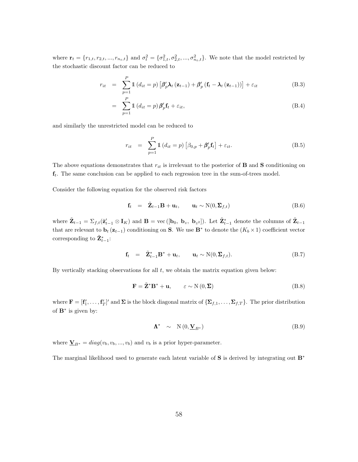where  $\mathbf{r}_t = \{r_{1,t}, r_{2,t}, ..., r_{n_t,t}\}\$ and  $\sigma_t^2 = \{\sigma_{1,t}^2, \sigma_{2,t}^2, ..., \sigma_{n_t,t}^2\}$ . We note that the model restricted by the stochastic discount factor can be reduced to

$$
r_{it} = \sum_{p=1}^{P} \mathbb{1} \left( d_{it} = p \right) \left[ \beta_p' \lambda_t \left( \mathbf{z}_{t-1} \right) + \beta_p' \left( \mathbf{f}_t - \lambda_t \left( \mathbf{z}_{t-1} \right) \right) \right] + \varepsilon_{it}
$$
(B.3)

$$
= \sum_{p=1}^{P} \mathbb{1} \left( d_{it} = p \right) \beta'_{p} \mathbf{f}_{t} + \varepsilon_{it}, \tag{B.4}
$$

and similarly the unrestricted model can be reduced to

$$
r_{it} = \sum_{p=1}^{P} \mathbb{1} \left( d_{it} = p \right) \left[ \beta_{0,p} + \beta'_{p} \mathbf{f}_{t} \right] + \varepsilon_{it}.
$$
 (B.5)

The above equations demonstrates that  $r_{it}$  is irrelevant to the posterior of **B** and **S** conditioning on  $f_t$ . The same conclusion can be applied to each regression tree in the sum-of-trees model.

Consider the following equation for the observed risk factors

$$
\mathbf{f}_t = \tilde{\mathbf{Z}}_{t-1} \mathbf{B} + \mathbf{u}_t, \qquad \mathbf{u}_t \sim \mathcal{N}(0, \Sigma_{f,t})
$$
(B.6)

where  $\tilde{\mathbf{Z}}_{t-1} = \sum_{f,t} (\tilde{\mathbf{z}}'_{t-1} \otimes \mathbf{I}_K)$  and  $\mathbf{B} = \text{vec}([\mathbf{b}_0, \mathbf{b}_z, \mathbf{b}_{z^2}])$ . Let  $\tilde{\mathbf{Z}}^*_{t-1}$  denote the columns of  $\tilde{\mathbf{Z}}_{t-1}$ that are relevant to  $\mathbf{b}_t(\mathbf{z}_{t-1})$  conditioning on S. We use B<sup>\*</sup> to denote the  $(K_b \times 1)$  coefficient vector corresponding to  $\tilde{\mathbf{Z}}_{t-1}^*$ :

$$
\mathbf{f}_t = \tilde{\mathbf{Z}}_{t-1}^* \mathbf{B}^* + \mathbf{u}_t, \qquad \mathbf{u}_t \sim \mathcal{N}(0, \Sigma_{f,t}). \tag{B.7}
$$

By vertically stacking observations for all  $t$ , we obtain the matrix equation given below:

$$
\mathbf{F} = \tilde{\mathbf{Z}}^* \mathbf{B}^* + \mathbf{u}, \qquad \varepsilon \sim \mathcal{N}(0, \Sigma) \tag{B.8}
$$

where  $\mathbf{F} = [\mathbf{f}'_1, \dots, \mathbf{f}'_T]'$  and  $\Sigma$  is the block diagonal matrix of  $\{\Sigma_{f,1}, \dots, \Sigma_{f,T}\}$ . The prior distribution of  $\mathbf{B}^*$  is given by:

$$
\Lambda^* \sim \mathcal{N}(0, \underline{\mathbf{V}}_{B^*}) \tag{B.9}
$$

where  $\underline{\mathbf{V}}_{B^*} = diag(v_b, v_b, ..., v_b)$  and  $v_b$  is a prior hyper-parameter.

The marginal likelihood used to generate each latent variable of S is derived by integrating out B<sup>∗</sup>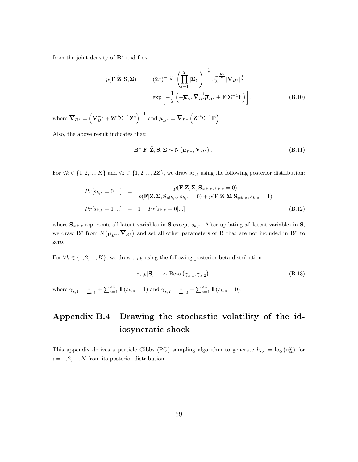from the joint density of  $\mathbf{B}^*$  and  $\mathbf{f}$  as:

$$
p(\mathbf{F}|\tilde{\mathbf{Z}}, \mathbf{S}, \Sigma) = (2\pi)^{-\frac{KT}{2}} \left( \prod_{t=1}^{T} |\Sigma_t| \right)^{-\frac{1}{2}} v_{\lambda}^{-\frac{K_b}{2}} |\overline{\mathbf{V}}_{B^*}|^{\frac{1}{2}}
$$
  

$$
\exp \left[ -\frac{1}{2} \left( -\overline{\boldsymbol{\mu}}'_{B^*} \overline{\mathbf{V}}_{B^*}^{-1} \overline{\boldsymbol{\mu}}_{B^*} + \mathbf{F}' \Sigma^{-1} \mathbf{F} \right) \right].
$$
 (B.10)

where  $\overline{\mathbf{V}}_{B^*} = \left( \underline{\mathbf{V}}_{B^*}^{-1} + \tilde{\mathbf{Z}}^{*} \boldsymbol{\Sigma}^{-1} \tilde{\mathbf{Z}}^* \right)^{-1}$  and  $\overline{\boldsymbol{\mu}}_{B^*} = \overline{\mathbf{V}}_{B^*} \left( \tilde{\mathbf{Z}}^{*} \boldsymbol{\Sigma}^{-1} \mathbf{F} \right)$ .

Also, the above result indicates that:

where  $\overline{\gamma}_{s,1} = \underline{\gamma}_{s,1}$ 

$$
\mathbf{B}^*|\mathbf{F}, \tilde{\mathbf{Z}}, \mathbf{S}, \Sigma \sim \mathcal{N}\left(\overline{\boldsymbol{\mu}}_{B^*}, \overline{\mathbf{V}}_{B^*}\right). \tag{B.11}
$$

For  $\forall k \in \{1, 2, ..., K\}$  and  $\forall z \in \{1, 2, ..., 2Z\}$ , we draw  $s_{k,z}$  using the following posterior distribution:

$$
Pr[s_{k,z} = 0|...] = \frac{p(\mathbf{F}|\tilde{\mathbf{Z}}, \mathbf{\Sigma}, \mathbf{S}_{\neq k,z}, s_{k,z} = 0)}{p(\mathbf{F}|\tilde{\mathbf{Z}}, \mathbf{\Sigma}, \mathbf{S}_{\neq k,z}, s_{k,z} = 0) + p(\mathbf{F}|\tilde{\mathbf{Z}}, \mathbf{\Sigma}, \mathbf{S}_{\neq k,z}, s_{k,z} = 1)}
$$
  
\n
$$
Pr[s_{k,z} = 1|...] = 1 - Pr[s_{k,z} = 0|...]
$$
 (B.12)

where  $S_{\neq k,z}$  represents all latent variables in S except  $s_{k,z}$ . After updating all latent variables in S, we draw  $\mathbf{B}^*$  from  $N(\overline{\mu}_{B^*}, \overline{\mathbf{V}}_{B^*})$  and set all other parameters of **B** that are not included in  $\mathbf{B}^*$  to zero.

For  $\forall k \in \{1, 2, ..., K\}$ , we draw  $\pi_{s,k}$  using the following posterior beta distribution:

$$
\pi_{s,k}|\mathbf{S}, \dots \sim \text{Beta}\left(\overline{\gamma}_{s,1}, \overline{\gamma}_{s,2}\right)
$$
\n
$$
+ \sum_{z=1}^{2Z} \mathbb{1}\left(s_{k,z} = 1\right) \text{ and } \overline{\gamma}_{s,2} = \underline{\gamma}_{s,2} + \sum_{z=1}^{2Z} \mathbb{1}\left(s_{k,z} = 0\right).
$$
\n(B.13)

# Appendix B.4 Drawing the stochastic volatility of the idiosyncratic shock

This appendix derives a particle Gibbs (PG) sampling algorithm to generate  $h_{i,t} = \log(\sigma_{it}^2)$  for  $i = 1, 2, ..., N$  from its posterior distribution.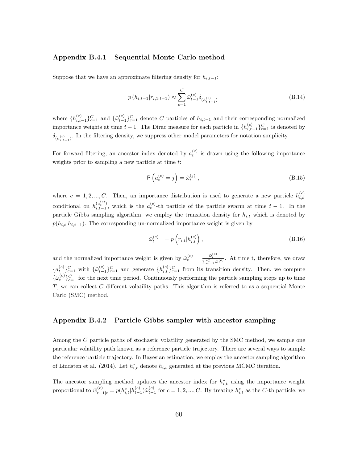#### Appendix B.4.1 Sequential Monte Carlo method

Suppose that we have an approximate filtering density for  $h_{i,t-1}$ :

$$
p(h_{i,t-1}|r_{i,1:t-1}) \approx \sum_{c=1}^{C} \hat{\omega}_{t-1}^{(c)} \delta_{(h_{i,t-1}^{(c)})}
$$
(B.14)

where  $\{h_{i,t-1}^{(c)}\}_{c=1}^C$  and  $\{\hat{\omega}_{t-1}^{(c)}\}_{c=1}^C$  denote C particles of  $h_{i,t-1}$  and their corresponding normalized importance weights at time  $t-1$ . The Dirac measure for each particle in  $\{h_{i,t-1}^{(c)}\}_{c=1}^C$  is denoted by  $\delta_{(h_{i,t-1}^{(c)})}$ . In the filtering density, we suppress other model parameters for notation simplicity.

For forward filtering, an ancestor index denoted by  $a_t^{(c)}$  is drawn using the following importance weights prior to sampling a new particle at time t:

$$
P\left(a_t^{(c)} = j\right) = \hat{\omega}_{t-1}^{(j)},\tag{B.15}
$$

where  $c = 1, 2, ..., C$ . Then, an importance distribution is used to generate a new particle  $h_{i,t}^{(c)}$ conditional on  $h^{(a_t^{(c)})}_{i,t=1}$  $\binom{a_t^{(c)}}{i,t-1}$ , which is the  $a_t^{(c)}$ -th particle of the particle swarm at time  $t-1$ . In the particle Gibbs sampling algorithm, we employ the transition density for  $h_{i,t}$  which is denoted by  $p(h_{i,t}|h_{i,t-1})$ . The corresponding un-normalized importance weight is given by

$$
\bar{\omega}_t^{(c)} = p\left(r_{i,t}|h_{i,t}^{(c)}\right),\tag{B.16}
$$

and the normalized importance weight is given by  $\hat{\omega}_t^{(c)} = \frac{\bar{\omega}_t^{(c)}}{\sum_{o=1}^C \bar{\omega}_t^{(o)}}$ . At time t, therefore, we draw  ${a_{t}^{(c)}\}_{c=1}^{C}$  with  ${\{\hat{\omega}_{t-1}^{(c)}\}_{c=1}^{C}}$  and generate  ${h_{i,t}^{(c)}\}_{c=1}^{C}$  from its transition density. Then, we compute  ${\{\hat{\omega}_{t}^{(c)}\}}_{c=1}^{C}$  for the next time period. Continuously performing the particle sampling steps up to time  $T$ , we can collect  $C$  different volatility paths. This algorithm is referred to as a sequential Monte Carlo (SMC) method.

### Appendix B.4.2 Particle Gibbs sampler with ancestor sampling

Among the C particle paths of stochastic volatility generated by the SMC method, we sample one particular volatility path known as a reference particle trajectory. There are several ways to sample the reference particle trajectory. In Bayesian estimation, we employ the ancestor sampling algorithm of Lindsten et al. (2014). Let  $h_{i,t}^*$  denote  $h_{i,t}$  generated at the previous MCMC iteration.

The ancestor sampling method updates the ancestor index for  $h_{i,t}^*$  using the importance weight proportional to  $\bar{w}_{t-1|t}^{(c)} = p(h_{i,t}^* | h_{t-1}^{(c)}) \hat{\omega}_{t-1}^{(c)}$  for  $c = 1, 2, ..., C$ . By treating  $h_{i,t}^*$  as the C-th particle, we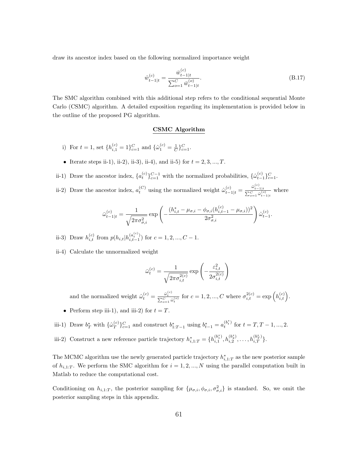draw its ancestor index based on the following normalized importance weight

$$
\hat{w}_{t-1|t}^{(c)} = \frac{\bar{w}_{t-1|t}^{(c)}}{\sum_{o=1}^{C} \bar{w}_{t-1|t}^{(o)}}.
$$
\n(B.17)

The SMC algorithm combined with this additional step refers to the conditional sequential Monte Carlo (CSMC) algorithm. A detailed exposition regarding its implementation is provided below in the outline of the proposed PG algorithm.

#### CSMC Algorithm

- i) For  $t = 1$ , set  $\{h_{i,1}^{(c)} = 1\}_{c=1}^C$  and  $\{\hat{\omega}_1^{(c)} = \frac{1}{C}\}_{c=1}^C$ .
- Iterate steps ii-1), ii-2), ii-3), ii-4), and ii-5) for  $t = 2, 3, ..., T$ .
- ii-1) Draw the ancestor index,  $\{a_t^{(c)}\}_{c=1}^{C-1}$  with the normalized probabilities,  $\{\hat{\omega}_{t-1}^{(c)}\}_{c=1}^{C}$ .
- ii-2) Draw the ancestor index,  $a_t^{(C)}$  using the normalized weight  $\hat{\omega}_{t-1|t}^{(c)} = \frac{\bar{\omega}_{t-1|t}^{(c)}}{\sum_{o=1}^{C} \bar{\omega}_{t-1|t}^{(o)}}$  where

$$
\bar{\omega}_{t-1|t}^{(c)} = \frac{1}{\sqrt{2\pi\sigma_{\sigma,i}^2}} \exp\left(-\frac{(h_{i,t}^* - \mu_{\sigma,i} - \phi_{\sigma,i}(h_{i,t-1}^{(c)} - \mu_{\sigma,i}))^2}{2\sigma_{\sigma,i}^2}\right) \hat{\omega}_{t-1}^{(c)}.
$$

- ii-3) Draw  $h_{i,t}^{(c)}$  from  $p(h_{i,t}|h_{i,t-1}^{(a_t^{(c)})})$  $\binom{a_i-1}{i,t-1}$  for  $c=1,2,...,C-1$ .
- ii-4) Calculate the unnormalized weight

$$
\bar{\omega}_t^{(c)} = \frac{1}{\sqrt{2\pi\sigma_{i,t}^{2(c)}}} \exp\left(-\frac{\varepsilon_{i,t}^2}{2\sigma_{i,t}^{2(c)}}\right)
$$

and the normalized weight  $\hat{\omega}_t^{(c)} = \frac{\bar{\omega}_t^{(c)}}{\sum_{o=1}^C \bar{\omega}_t^{(o)}}$  for  $c = 1, 2, ..., C$  where  $\sigma_{i,t}^{2(c)} = \exp\left(h_{i,t}^{(c)}\right)$ .

• Perform step iii-1), and iii-2) for  $t = T$ .

iii-1) Draw  $b_T^*$  with  $\{\hat{\omega}_T^{(c)}\}$  $\{c \atop T\}^C_{C=1}$  and construct  $b^*_{1:T-1}$  using  $b^*_{t-1} = a_t^{(b^*_t)}$  for  $t = T, T-1, ..., 2$ .

iii-2) Construct a new reference particle trajectory  $h_{i,1:T}^* = \{h_{i,1}^{(b_1^*)}\}$  $\binom{(b_1^*)}{i,1}, h_{i,2}^{(b_2^*)}$  $\binom{(b_2^*)}{i,2},\ldots,\binom{(b_T^*)}{i,T}.$ 

The MCMC algorithm use the newly generated particle trajectory  $h_{i,1:T}^*$  as the new posterior sample of  $h_{i,1:T}$ . We perform the SMC algorithm for  $i = 1, 2, ..., N$  using the parallel computation built in Matlab to reduce the computational cost.

Conditioning on  $h_{i,1:T}$ , the posterior sampling for  $\{\mu_{\sigma,i}, \phi_{\sigma,i}, \sigma_{\sigma,i}^2\}$  is standard. So, we omit the posterior sampling steps in this appendix.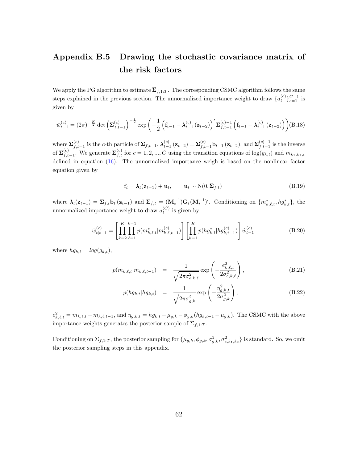## Appendix B.5 Drawing the stochastic covariance matrix of the risk factors

We apply the PG algorithm to estimate  $\Sigma_{f,1:T}$ . The corresponding CSMC algorithm follows the same steps explained in the previous section. The unnormalized importance weight to draw  $\{a_t^{(c)}\}_{c=1}^{C-1}$  is given by

$$
\bar{w}_{t-1}^{(c)} = (2\pi)^{-\frac{K}{2}} \det \left( \mathbf{\Sigma}_{f,t-1}^{(c)} \right)^{-\frac{1}{2}} \exp \left( -\frac{1}{2} \left( \mathbf{f}_{t-1} - \mathbf{\lambda}_{t-1}^{(c)} \left( \mathbf{z}_{t-2} \right) \right) \mathbf{\Sigma}_{f,t-1}^{(c)-1} \left( \mathbf{f}_{t-1} - \mathbf{\lambda}_{t-1}^{(c)} \left( \mathbf{z}_{t-2} \right) \right) \right) (B.18)
$$

where  $\sum_{f,t-1}^{(c)}$  is the c-th particle of  $\sum_{f,t-1} \lambda_{t-1}^{(c)} (\mathbf{z}_{t-2}) = \sum_{f,t-1}^{(c)} \mathbf{b}_{t-1} (\mathbf{z}_{t-2})$ , and  $\sum_{f,t-1}^{(c)-1}$  is the inverse of  $\Sigma_{f,t-1}^{(c)}$ . We generate  $\Sigma_{f,t}^{(c)}$  for  $c=1,2,...,C$  using the transition equations of  $\log(g_{k,t})$  and  $m_{k_1,k_2,t}$ defined in equation [\(16\)](#page-11-1). The unnormalized importance weigh is based on the nonlinear factor equation given by

$$
\mathbf{f}_t = \boldsymbol{\lambda}_t(\mathbf{z}_{t-1}) + \mathbf{u}_t, \qquad \mathbf{u}_t \sim \mathcal{N}(0, \boldsymbol{\Sigma}_{f,t})
$$
(B.19)

where  $\lambda_t(\mathbf{z}_{t-1}) = \sum_{f,t} \mathbf{b}_t(\mathbf{z}_{t-1})$  and  $\sum_{f,t} = (\mathbf{M}_t^{-1})\mathbf{G}_t(\mathbf{M}_t^{-1})'$ . Conditioning on  $\{m_{k,\ell,t}^*, hg_{k,t}^*\}$ , the unnormalized importance weight to draw  $a_t^{(C)}$  is given by

$$
\bar{w}_{t|t-1}^{(c)} = \left[ \prod_{k=2}^{K} \prod_{\ell=1}^{k-1} p(m_{k,\ell,t}^* | m_{k,\ell,t-1}^{(c)}) \right] \left[ \prod_{k=1}^{K} p(hg_{k,t}^* | hg_{k,t-1}^{(c)}) \right] \hat{w}_{t-1}^{(c)} \tag{B.20}
$$

where  $hg_{k,t} = log(g_{k,t}),$ 

$$
p(m_{k,\ell,t}|m_{k,\ell,t-1}) = \frac{1}{\sqrt{2\pi\sigma_{e,k,\ell}^2}} \exp\left(-\frac{e_{k,\ell,t}^2}{2\sigma_{e,k,\ell}^2}\right),
$$
 (B.21)

$$
p(hg_{k,t}|hg_{k,t}) = \frac{1}{\sqrt{2\pi\sigma_{g,k}^2}} \exp\left(-\frac{\eta_{g,k,t}^2}{2\sigma_{g,k}^2}\right),
$$
 (B.22)

 $e_{k,\ell,t}^2 = m_{k,\ell,t} - m_{k,\ell,t-1}$ , and  $\eta_{g,k,t} = hg_{k,t} - \mu_{g,k} - \phi_{g,k}(hg_{k,t-1} - \mu_{g,k})$ . The CSMC with the above importance weights generates the posterior sample of  $\Sigma_{f,1:T}$ .

Conditioning on  $\Sigma_{f,1:T}$ , the posterior sampling for  $\{\mu_{g,k}, \phi_{g,k}, \sigma_{g,k}^2, \sigma_{e,k_1,k_2}^2\}$  is standard. So, we omit the posterior sampling steps in this appendix.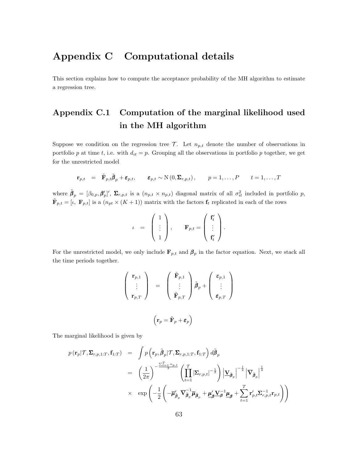## Appendix C Computational details

This section explains how to compute the acceptance probability of the MH algorithm to estimate a regression tree.

# Appendix C.1 Computation of the marginal likelihood used in the MH algorithm

Suppose we condition on the regression tree  $\mathcal{T}$ . Let  $n_{p,t}$  denote the number of observations in portfolio p at time t, i.e. with  $d_{it} = p$ . Grouping all the observations in portfolio p together, we get for the unrestricted model

$$
\mathbf{r}_{p,t} = \tilde{\mathbf{F}}_{p,t} \tilde{\boldsymbol{\beta}}_p + \boldsymbol{\varepsilon}_{p,t}, \quad \boldsymbol{\varepsilon}_{p,t} \sim \mathrm{N}\left(0, \boldsymbol{\Sigma}_{r,p,t}\right), \quad p = 1, \ldots, P \quad t = 1, \ldots, T
$$

where  $\tilde{\beta}_p = [\beta_{0,p}, \beta'_{p}]', \Sigma_{r,p,t}$  is a  $(n_{p,t} \times n_{p,t})$  diagonal matrix of all  $\sigma_{it}^2$  included in portfolio p,  $\tilde{\mathbf{F}}_{p,t} = [\iota, \ \mathbf{F}_{p,t}]$  is a  $(n_{pt} \times (K+1))$  matrix with the factors  $\mathbf{f}_t$  replicated in each of the rows

$$
\iota = \begin{pmatrix} 1 \\ \vdots \\ 1 \end{pmatrix}, \quad \mathbf{F}_{p,t} = \begin{pmatrix} \mathbf{f}'_t \\ \vdots \\ \mathbf{f}'_t \end{pmatrix}.
$$

For the unrestricted model, we only include  $\mathbf{F}_{p,t}$  and  $\boldsymbol{\beta}_p$  in the factor equation. Next, we stack all the time periods together.

$$
\begin{array}{c} \left( \begin{array}{c} \mathbf{r}_{p,1} \\ \vdots \\ \mathbf{r}_{p,T} \end{array} \right) \end{array} \hspace{0.2cm} = \hspace{0.2cm} \left( \begin{array}{c} \tilde{\mathbf{F}}_{p,1} \\ \vdots \\ \tilde{\mathbf{F}}_{p,T} \end{array} \right) \tilde{\boldsymbol{\beta}}_p + \left( \begin{array}{c} \varepsilon_{p,1} \\ \vdots \\ \varepsilon_{p,T} \end{array} \right) \vspace{0.2cm} \\ \hspace{0.2cm} \boldsymbol{\varepsilon}_{p,T} \end{array}
$$

The marginal likelihood is given by

$$
p(\mathbf{r}_{p}|\mathcal{T}, \Sigma_{r,p,1:T}, \mathbf{f}_{1:T}) = \int p(\mathbf{r}_{p}, \tilde{\beta}_{p}|\mathcal{T}, \Sigma_{r,p,1:T}, \mathbf{f}_{1:T}) d\tilde{\beta}_{p}
$$
  
\n
$$
= \left(\frac{1}{2\pi}\right)^{-\frac{\sum_{t=1}^{T} n_{p,t}}{2}} \left(\prod_{t=1}^{T} |\Sigma_{r,p,t}|^{-\frac{1}{2}}\right) \left|\underline{\mathbf{V}}_{\tilde{\beta}_{p}}\right|^{-\frac{1}{2}} \left|\overline{\mathbf{V}}_{\tilde{\beta}_{p}}\right|^{\frac{1}{2}}\times \exp\left(-\frac{1}{2}\left(-\overline{\boldsymbol{\mu}}_{\tilde{\beta}_{p}}\overline{\mathbf{V}}_{\tilde{\beta}_{p}}^{-1}\overline{\boldsymbol{\mu}}_{\tilde{\beta}_{p}} + \underline{\boldsymbol{\mu}}_{\beta}'\underline{\mathbf{V}}_{\tilde{\beta}}^{-1}\underline{\boldsymbol{\mu}}_{\beta} + \sum_{t=1}^{T} \mathbf{r}_{p,t}'\Sigma_{r,p,t}^{-1} \mathbf{r}_{p,t}\right)\right)
$$